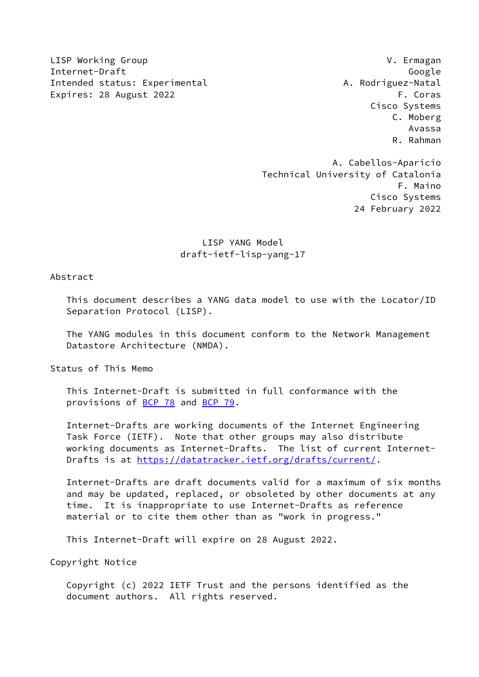LISP Working Group V. Ermagan Internet-Draft Google Intended status: Experimental A. Rodriguez-Natal Expires: 28 August 2022 F. Coras

 Cisco Systems C. Moberg Avassa R. Rahman

 A. Cabellos-Aparicio Technical University of Catalonia F. Maino Cisco Systems 24 February 2022

# LISP YANG Model draft-ietf-lisp-yang-17

# Abstract

 This document describes a YANG data model to use with the Locator/ID Separation Protocol (LISP).

 The YANG modules in this document conform to the Network Management Datastore Architecture (NMDA).

Status of This Memo

 This Internet-Draft is submitted in full conformance with the provisions of [BCP 78](https://datatracker.ietf.org/doc/pdf/bcp78) and [BCP 79](https://datatracker.ietf.org/doc/pdf/bcp79).

 Internet-Drafts are working documents of the Internet Engineering Task Force (IETF). Note that other groups may also distribute working documents as Internet-Drafts. The list of current Internet- Drafts is at<https://datatracker.ietf.org/drafts/current/>.

 Internet-Drafts are draft documents valid for a maximum of six months and may be updated, replaced, or obsoleted by other documents at any time. It is inappropriate to use Internet-Drafts as reference material or to cite them other than as "work in progress."

This Internet-Draft will expire on 28 August 2022.

Copyright Notice

 Copyright (c) 2022 IETF Trust and the persons identified as the document authors. All rights reserved.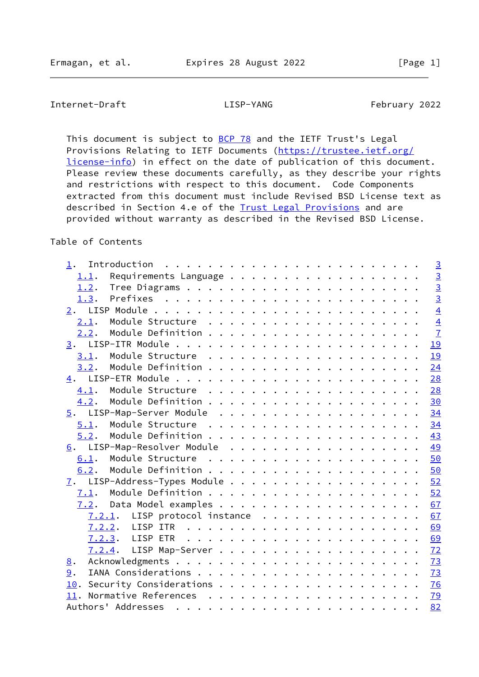# Internet-Draft LISP-YANG February 2022

This document is subject to **[BCP 78](https://datatracker.ietf.org/doc/pdf/bcp78)** and the IETF Trust's Legal Provisions Relating to IETF Documents ([https://trustee.ietf.org/](https://trustee.ietf.org/license-info) [license-info](https://trustee.ietf.org/license-info)) in effect on the date of publication of this document. Please review these documents carefully, as they describe your rights and restrictions with respect to this document. Code Components extracted from this document must include Revised BSD License text as described in Section 4.e of the **Trust Legal Provisions** and are provided without warranty as described in the Revised BSD License.

# Table of Contents

| $1$ .                            |  |  |  |  |  |  |  |  |  | $\overline{3}$ |
|----------------------------------|--|--|--|--|--|--|--|--|--|----------------|
| 1.1.                             |  |  |  |  |  |  |  |  |  | $\overline{3}$ |
|                                  |  |  |  |  |  |  |  |  |  | $\overline{3}$ |
| 1.3.                             |  |  |  |  |  |  |  |  |  | $\overline{3}$ |
|                                  |  |  |  |  |  |  |  |  |  | $\overline{4}$ |
| 2.1.                             |  |  |  |  |  |  |  |  |  | $\overline{4}$ |
| 2.2.                             |  |  |  |  |  |  |  |  |  | $\overline{1}$ |
|                                  |  |  |  |  |  |  |  |  |  | 19             |
| 3.1.                             |  |  |  |  |  |  |  |  |  | 19             |
| 3.2.                             |  |  |  |  |  |  |  |  |  | 24             |
| 4.                               |  |  |  |  |  |  |  |  |  | 28             |
| 4.1.                             |  |  |  |  |  |  |  |  |  | 28             |
| 4.2.                             |  |  |  |  |  |  |  |  |  | 30             |
|                                  |  |  |  |  |  |  |  |  |  | 34             |
| 5.1.                             |  |  |  |  |  |  |  |  |  | 34             |
| 5.2.                             |  |  |  |  |  |  |  |  |  | 43             |
| 6. LISP-Map-Resolver Module      |  |  |  |  |  |  |  |  |  | 49             |
| 6.1.                             |  |  |  |  |  |  |  |  |  | 50             |
| 6.2.                             |  |  |  |  |  |  |  |  |  | 50             |
|                                  |  |  |  |  |  |  |  |  |  | 52             |
|                                  |  |  |  |  |  |  |  |  |  | 52             |
|                                  |  |  |  |  |  |  |  |  |  | 67             |
| $7.2.1$ . LISP protocol instance |  |  |  |  |  |  |  |  |  | 67             |
|                                  |  |  |  |  |  |  |  |  |  | 69             |
|                                  |  |  |  |  |  |  |  |  |  | 69             |
|                                  |  |  |  |  |  |  |  |  |  | 72             |
| 8.                               |  |  |  |  |  |  |  |  |  | <b>73</b>      |
| 9.                               |  |  |  |  |  |  |  |  |  | 73             |
| 10.                              |  |  |  |  |  |  |  |  |  | <u>76</u>      |
|                                  |  |  |  |  |  |  |  |  |  | <u>79</u>      |
|                                  |  |  |  |  |  |  |  |  |  | 82             |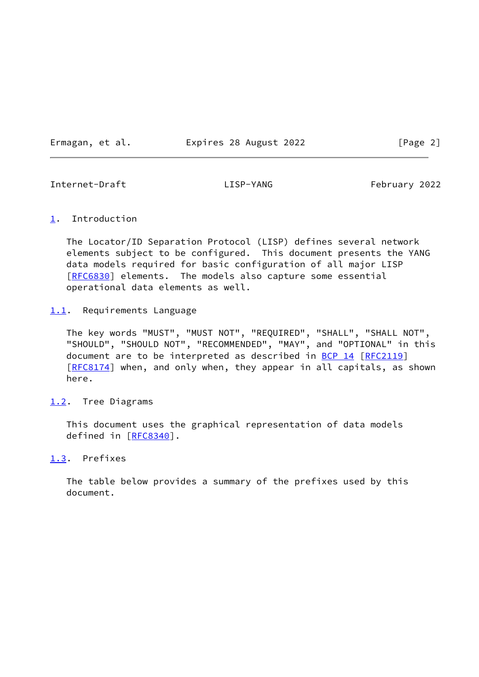Ermagan, et al. Expires 28 August 2022 [Page 2]

<span id="page-2-1"></span>Internet-Draft LISP-YANG February 2022

### <span id="page-2-0"></span>[1](#page-2-0). Introduction

 The Locator/ID Separation Protocol (LISP) defines several network elements subject to be configured. This document presents the YANG data models required for basic configuration of all major LISP [\[RFC6830](https://datatracker.ietf.org/doc/pdf/rfc6830)] elements. The models also capture some essential operational data elements as well.

<span id="page-2-2"></span>[1.1](#page-2-2). Requirements Language

 The key words "MUST", "MUST NOT", "REQUIRED", "SHALL", "SHALL NOT", "SHOULD", "SHOULD NOT", "RECOMMENDED", "MAY", and "OPTIONAL" in this document are to be interpreted as described in [BCP 14](https://datatracker.ietf.org/doc/pdf/bcp14) [[RFC2119](https://datatracker.ietf.org/doc/pdf/rfc2119)] [\[RFC8174](https://datatracker.ietf.org/doc/pdf/rfc8174)] when, and only when, they appear in all capitals, as shown here.

<span id="page-2-3"></span>[1.2](#page-2-3). Tree Diagrams

 This document uses the graphical representation of data models defined in [[RFC8340\]](https://datatracker.ietf.org/doc/pdf/rfc8340).

<span id="page-2-4"></span>[1.3](#page-2-4). Prefixes

 The table below provides a summary of the prefixes used by this document.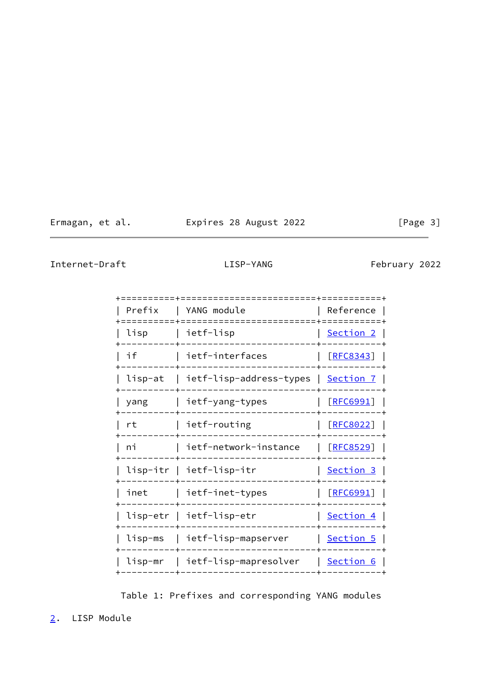Ermagan, et al. Expires 28 August 2022 [Page 3]

<span id="page-3-1"></span>Internet-Draft LISP-YANG February 2022

|        | ===================+============                           |                               |
|--------|------------------------------------------------------------|-------------------------------|
| Prefix | YANG module<br>===================                         | Reference                     |
| lisp   | ietf-lisp                                                  | <u>Section 2</u>  <br>------- |
|        | ietf-interfaces                                            | <u>[RFC8343]</u>              |
|        | lisp-at   ietf-lisp-address-types   <u>Section 7</u>       |                               |
| yang   | ietf-yang-types                                            | <u>[RFC6991]</u>              |
| rt     | ietf-routing                                               | [REC8022]                     |
| ni     | ietf-network-instance                                      | <u>[RFC8529]</u>              |
|        | lisp-itr   ietf-lisp-itr                                   | Section 3                     |
|        | inet        ietf-inet-types<br>----------------            | <u>[RFC6991]</u>              |
|        | lisp-etr   ietf-lisp-etr                                   | <u>Section 4</u>              |
|        | lisp-ms   ietf-lisp-mapserver                              | $\mid$ Section 5 $\mid$       |
|        | lisp-mr   ietf-lisp-mapresolver<br>----------------------- | <u>  Section 6</u>            |
|        |                                                            |                               |

Table 1: Prefixes and corresponding YANG modules

<span id="page-3-0"></span>[2](#page-3-0). LISP Module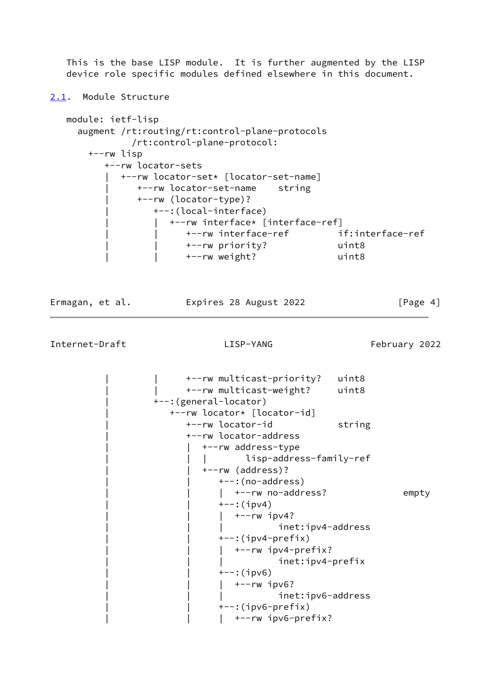This is the base LISP module. It is further augmented by the LISP device role specific modules defined elsewhere in this document.

<span id="page-4-0"></span>[2.1](#page-4-0). Module Structure

```
 module: ietf-lisp
   augment /rt:routing/rt:control-plane-protocols
             /rt:control-plane-protocol:
     +--rw lisp
        +--rw locator-sets
          | +--rw locator-set* [locator-set-name]
              | +--rw locator-set-name string
              | +--rw (locator-type)?
                 | +--:(local-interface)
                   | | +--rw interface* [interface-ref]
                       | | +--rw interface-ref if:interface-ref
                       | | +--rw priority? uint8
                       | | +--rw weight? uint8
```
Ermagan, et al. Expires 28 August 2022 [Page 4]

Internet-Draft LISP-YANG February 2022

 | | +--rw multicast-priority? uint8 | | +--rw multicast-weight? uint8 | +--:(general-locator) | +--rw locator\* [locator-id] +--rw locator-id string | +--rw locator-address | | +--rw address-type | | | lisp-address-family-ref | | +--rw (address)?  $+--$ : (no-address) |  $+--rw$  no-address? empty  $+--:$ (ipv4)  $|$  +--rw ipv4? inet:ipv4-address  $+-$ : (ipv4-prefix) | | | +--rw ipv4-prefix? inet:ipv4-prefix  $+--:$ (ipv6)  $|$  +--rw ipv6? inet:ipv6-address  $+-$ : (ipv6-prefix)  $|$  +--rw ipv6-prefix?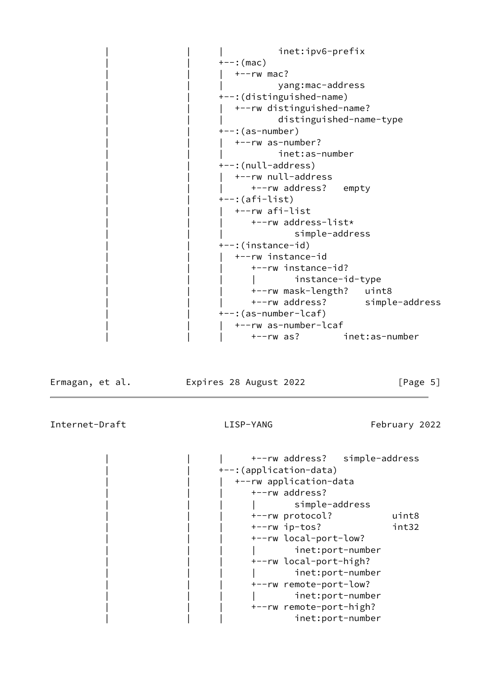| inet:ipv6-prefix                 |
|----------------------------------|
| $+--:$ (mac)                     |
| $+--rw$ mac?                     |
| yang:mac-address                 |
| +--: (distinguished-name)        |
| +--rw distinguished-name?        |
| distinguished-name-type          |
| +--:(as-number)                  |
| +--rw as-number?                 |
| inet:as-number                   |
| +--:(null-address)               |
| +--rw null-address               |
| +--rw address? empty             |
| +--:(afi-list)                   |
| +--rw afi-list                   |
| +--rw address-list*              |
| simple-address                   |
| +--:(instance-id)                |
| +--rw instance-id                |
| +--rw instance-id?               |
| instance-id-type                 |
| +--rw mask-length?<br>uint8      |
| +--rw address?<br>simple-address |
| +--: (as-number-lcaf)            |
| +--rw as-number-lcaf             |
| inet:as-number<br>+--rw as?      |

Ermagan, et al. Expires 28 August 2022 [Page 5]

|  |                         | +--rw address? simple-address |       |
|--|-------------------------|-------------------------------|-------|
|  | +--: (application-data) |                               |       |
|  |                         | +--rw application-data        |       |
|  |                         | +--rw address?                |       |
|  |                         | simple-address                |       |
|  |                         | +--rw protocol?               | uint8 |
|  |                         | $+--rw$ ip-tos?               | int32 |
|  |                         | +--rw local-port-low?         |       |
|  |                         | inet:port-number              |       |
|  |                         | +--rw local-port-high?        |       |
|  |                         | inet:port-number              |       |
|  |                         | +--rw remote-port-low?        |       |
|  |                         | inet:port-number              |       |
|  |                         | +--rw remote-port-high?       |       |
|  |                         | inet:port-number              |       |
|  |                         |                               |       |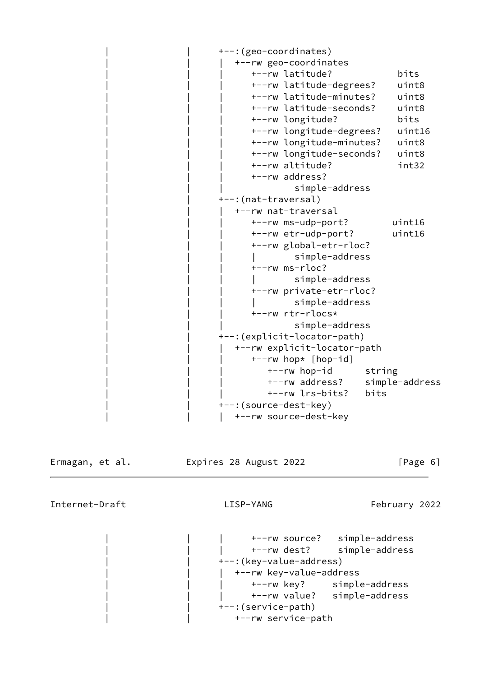| +--: (geo-coordinates)             |  |
|------------------------------------|--|
| +--rw geo-coordinates              |  |
| +--rw latitude?<br>bits            |  |
| +--rw latitude-degrees?<br>uint8   |  |
| +--rw latitude-minutes?<br>uint8   |  |
| +--rw latitude-seconds?<br>uint8   |  |
| +--rw longitude?<br>bits           |  |
| +--rw longitude-degrees?<br>uint16 |  |
| +--rw longitude-minutes?<br>uint8  |  |
| +--rw longitude-seconds?<br>uint8  |  |
| +--rw altitude?<br>int32           |  |
| +--rw address?                     |  |
| simple-address                     |  |
| +--: (nat-traversal)               |  |
| +--rw nat-traversal                |  |
| +--rw ms-udp-port?<br>uint16       |  |
| +--rw etr-udp-port?<br>uint16      |  |
| +--rw global-etr-rloc?             |  |
| simple-address                     |  |
| +--rw ms-rloc?                     |  |
| simple-address                     |  |
| +--rw private-etr-rloc?            |  |
| simple-address                     |  |
| +--rw rtr-rlocs*                   |  |
| simple-address                     |  |
| +--:(explicit-locator-path)        |  |
| +--rw explicit-locator-path        |  |
| +--rw hop* [hop-id]                |  |
| +--rw hop-id<br>string             |  |
| simple-address<br>+--rw address?   |  |
| +--rw lrs-bits?<br>bits            |  |
| +--: (source-dest-key)             |  |
| +--rw source-dest-key              |  |

Ermagan, et al. **Expires 28 August 2022** [Page 6]

<span id="page-6-0"></span>Internet-Draft LISP-YANG February 2022

 | | | +--rw source? simple-address | | | +--rw dest? simple-address +--: (key-value-address) | | | +--rw key-value-address | | | +--rw key? simple-address | | | +--rw value? simple-address +--:(service-path) | | +--rw service-path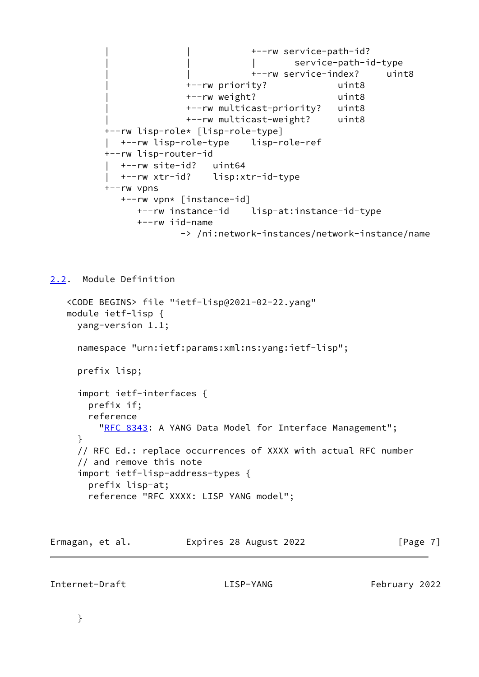```
 | | +--rw service-path-id?
                           | | | service-path-id-type
                           | | +--rw service-index? uint8
               | +--rw priority? uint8
               | +--rw weight? uint8
               | +--rw multicast-priority? uint8
               | +--rw multicast-weight? uint8
 +--rw lisp-role* [lisp-role-type]
 | +--rw lisp-role-type lisp-role-ref
 +--rw lisp-router-id
   | +--rw site-id? uint64
   | +--rw xtr-id? lisp:xtr-id-type
 +--rw vpns
   +--rw vpn* [instance-id]
      +--rw instance-id lisp-at:instance-id-type
      +--rw iid-name
              -> /ni:network-instances/network-instance/name
```
<span id="page-7-0"></span>[2.2](#page-7-0). Module Definition

```
 <CODE BEGINS> file "ietf-lisp@2021-02-22.yang"
 module ietf-lisp {
   yang-version 1.1;
   namespace "urn:ietf:params:xml:ns:yang:ietf-lisp";
   prefix lisp;
   import ietf-interfaces {
    prefix if;
     reference
      RFC 8343: A YANG Data Model for Interface Management";
   }
   // RFC Ed.: replace occurrences of XXXX with actual RFC number
   // and remove this note
   import ietf-lisp-address-types {
     prefix lisp-at;
     reference "RFC XXXX: LISP YANG model";
```
Ermagan, et al. 
Expires 28 August 2022

[Page 7]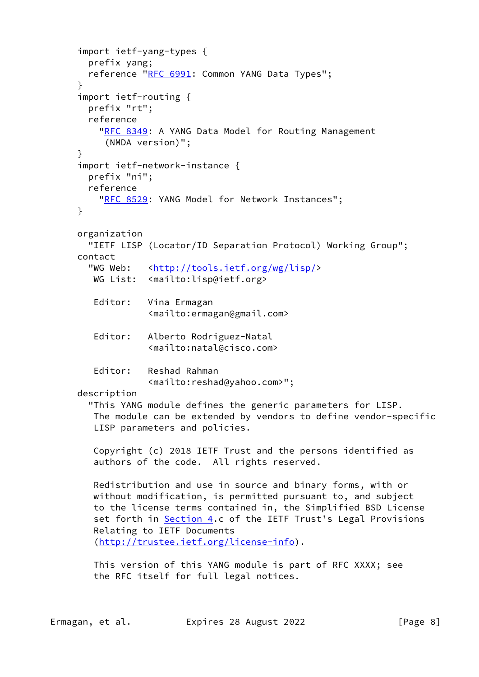```
 import ietf-yang-types {
   prefix yang;
   reference "RFC 6991: Common YANG Data Types";
 }
 import ietf-routing {
   prefix "rt";
   reference
    RFC 8349: A YANG Data Model for Routing Management
      (NMDA version)";
 }
 import ietf-network-instance {
   prefix "ni";
   reference
    RFC 8529: YANG Model for Network Instances";
 }
 organization
   "IETF LISP (Locator/ID Separation Protocol) Working Group";
 contact
   "WG Web: <http://tools.ietf.org/wg/lisp/>
   WG List: <mailto:lisp@ietf.org>
    Editor: Vina Ermagan
              <mailto:ermagan@gmail.com>
    Editor: Alberto Rodriguez-Natal
              <mailto:natal@cisco.com>
    Editor: Reshad Rahman
              <mailto:reshad@yahoo.com>";
 description
   "This YANG module defines the generic parameters for LISP.
   The module can be extended by vendors to define vendor-specific
    LISP parameters and policies.
    Copyright (c) 2018 IETF Trust and the persons identified as
    authors of the code. All rights reserved.
    Redistribution and use in source and binary forms, with or
   without modification, is permitted pursuant to, and subject
    to the license terms contained in, the Simplified BSD License
    Section 4.c of the IETF Trust's Legal Provisions
    Relating to IETF Documents
    (http://trustee.ietf.org/license-info).
    This version of this YANG module is part of RFC XXXX; see
    the RFC itself for full legal notices.
```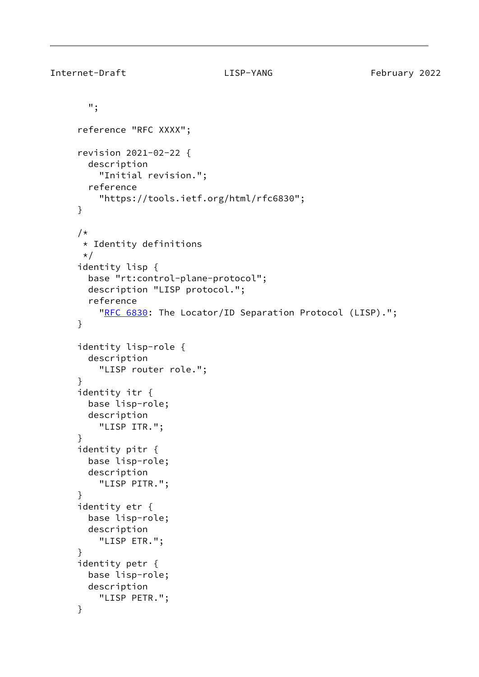```
 ";
 reference "RFC XXXX";
 revision 2021-02-22 {
   description
     "Initial revision.";
   reference
     "https://tools.ietf.org/html/rfc6830";
 }
 /*
 * Identity definitions
 */
 identity lisp {
   base "rt:control-plane-protocol";
   description "LISP protocol.";
   reference
    RFC 6830: The Locator/ID Separation Protocol (LISP).";
 }
 identity lisp-role {
   description
     "LISP router role.";
 }
 identity itr {
   base lisp-role;
   description
     "LISP ITR.";
 }
 identity pitr {
   base lisp-role;
   description
     "LISP PITR.";
 }
 identity etr {
   base lisp-role;
   description
     "LISP ETR.";
 }
 identity petr {
   base lisp-role;
   description
     "LISP PETR.";
 }
```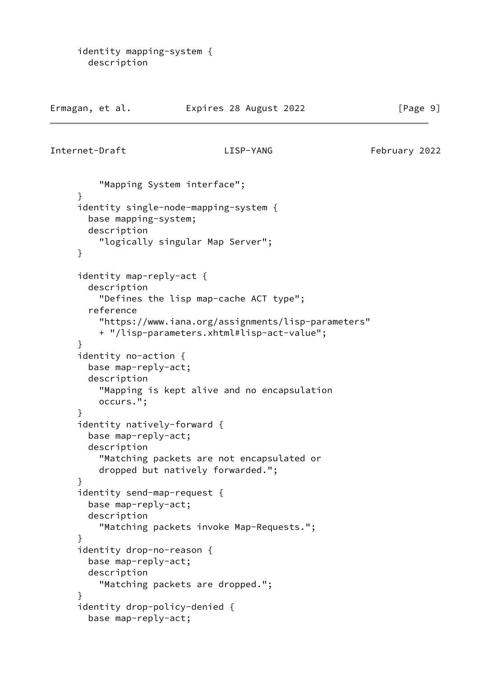```
 identity mapping-system {
   description
```

| Ermagan, et al. | Expires 28 August 2022 | [Page 9] |
|-----------------|------------------------|----------|
|-----------------|------------------------|----------|

```
Internet-Draft LISP-YANG February 2022
```

```
 "Mapping System interface";
 }
 identity single-node-mapping-system {
   base mapping-system;
   description
     "logically singular Map Server";
 }
 identity map-reply-act {
   description
     "Defines the lisp map-cache ACT type";
   reference
     "https://www.iana.org/assignments/lisp-parameters"
     + "/lisp-parameters.xhtml#lisp-act-value";
 }
 identity no-action {
   base map-reply-act;
   description
     "Mapping is kept alive and no encapsulation
     occurs.";
 }
 identity natively-forward {
   base map-reply-act;
   description
     "Matching packets are not encapsulated or
     dropped but natively forwarded.";
 }
 identity send-map-request {
   base map-reply-act;
   description
     "Matching packets invoke Map-Requests.";
 }
 identity drop-no-reason {
   base map-reply-act;
   description
     "Matching packets are dropped.";
 }
 identity drop-policy-denied {
   base map-reply-act;
```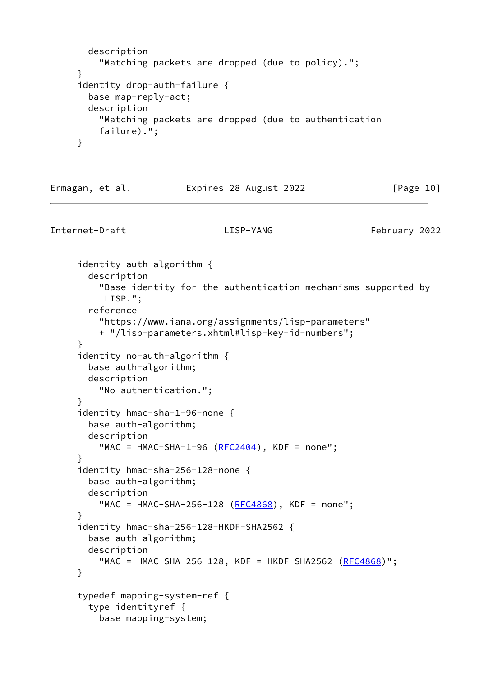```
 description
         "Matching packets are dropped (due to policy).";
     }
     identity drop-auth-failure {
       base map-reply-act;
       description
         "Matching packets are dropped (due to authentication
         failure).";
     }
Ermagan, et al. 
Expires 28 August 2022

[Page 10]
Internet-Draft LISP-YANG February 2022
     identity auth-algorithm {
       description
         "Base identity for the authentication mechanisms supported by
          LISP.";
       reference
         "https://www.iana.org/assignments/lisp-parameters"
         + "/lisp-parameters.xhtml#lisp-key-id-numbers";
     }
     identity no-auth-algorithm {
       base auth-algorithm;
       description
         "No authentication.";
     }
     identity hmac-sha-1-96-none {
       base auth-algorithm;
       description
        RFC2404), KDF = none";
     }
     identity hmac-sha-256-128-none {
       base auth-algorithm;
       description
        RFC4868), KDF = none";
     }
     identity hmac-sha-256-128-HKDF-SHA2562 {
       base auth-algorithm;
       description
        RFC4868)";
     }
     typedef mapping-system-ref {
```
type identityref {

base mapping-system;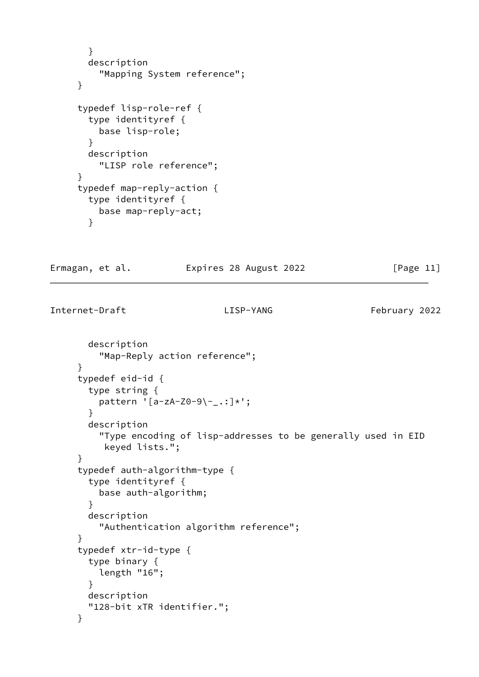```
 }
   description
     "Mapping System reference";
 }
 typedef lisp-role-ref {
   type identityref {
     base lisp-role;
   }
   description
     "LISP role reference";
 }
 typedef map-reply-action {
   type identityref {
     base map-reply-act;
   }
```
Ermagan, et al. Expires 28 August 2022 [Page 11]

```
 description
     "Map-Reply action reference";
 }
 typedef eid-id {
   type string {
    pattern '[a-zA-Z0-9\-_.:]*';
   }
   description
     "Type encoding of lisp-addresses to be generally used in EID
      keyed lists.";
 }
 typedef auth-algorithm-type {
   type identityref {
     base auth-algorithm;
   }
   description
     "Authentication algorithm reference";
 }
 typedef xtr-id-type {
   type binary {
     length "16";
   }
   description
   "128-bit xTR identifier.";
 }
```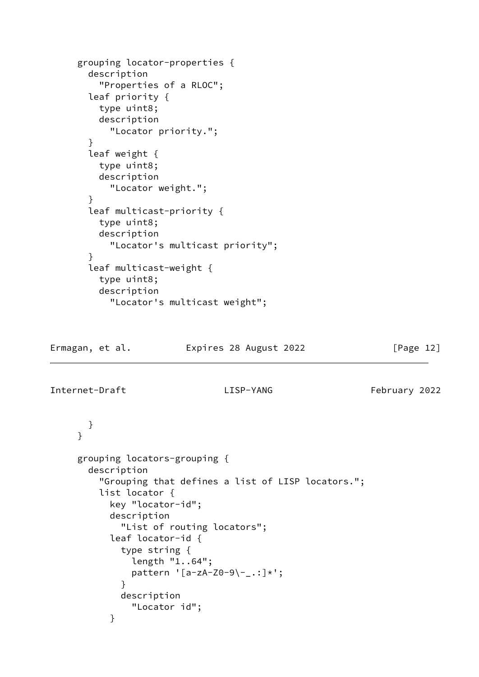```
 grouping locator-properties {
       description
         "Properties of a RLOC";
       leaf priority {
         type uint8;
         description
           "Locator priority.";
       }
       leaf weight {
         type uint8;
         description
           "Locator weight.";
       }
       leaf multicast-priority {
         type uint8;
         description
           "Locator's multicast priority";
       }
       leaf multicast-weight {
         type uint8;
         description
           "Locator's multicast weight";
Ermagan, et al. Expires 28 August 2022 [Page 12]
Internet-Draft LISP-YANG February 2022
       }
      }
     grouping locators-grouping {
       description
         "Grouping that defines a list of LISP locators.";
         list locator {
           key "locator-id";
           description
             "List of routing locators";
           leaf locator-id {
             type string {
               length "1..64";
              pattern '[a-zA-Z0-9\-_.:]*';
 }
```

```
 }
```
description

"Locator id";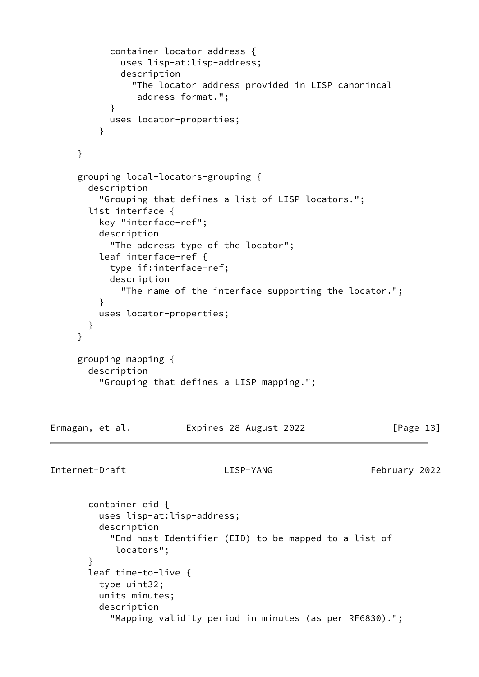```
 container locator-address {
             uses lisp-at:lisp-address;
             description
               "The locator address provided in LISP canonincal
                address format.";
 }
           uses locator-properties;
 }
     }
     grouping local-locators-grouping {
       description
         "Grouping that defines a list of LISP locators.";
       list interface {
         key "interface-ref";
         description
           "The address type of the locator";
         leaf interface-ref {
           type if:interface-ref;
           description
             "The name of the interface supporting the locator.";
         }
         uses locator-properties;
       }
      }
     grouping mapping {
       description
         "Grouping that defines a LISP mapping.";
Ermagan, et al. 
Expires 28 August 2022

[Page 13]
Internet-Draft LISP-YANG February 2022
       container eid {
         uses lisp-at:lisp-address;
         description
           "End-host Identifier (EID) to be mapped to a list of
            locators";
       }
       leaf time-to-live {
         type uint32;
         units minutes;
         description
           "Mapping validity period in minutes (as per RF6830).";
```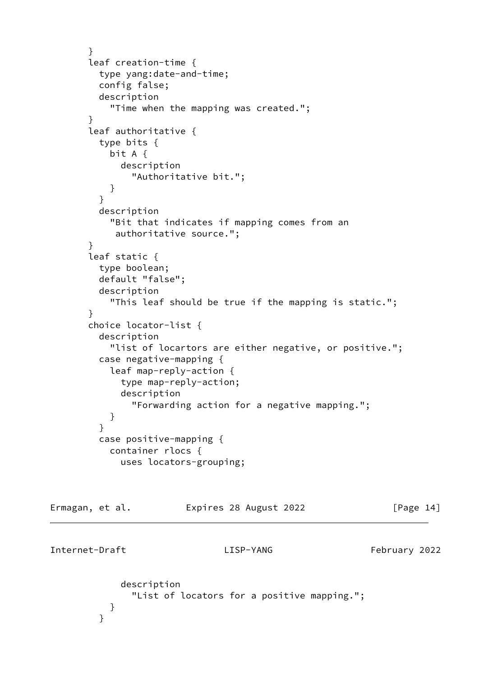```
 }
       leaf creation-time {
         type yang:date-and-time;
         config false;
         description
            "Time when the mapping was created.";
       }
       leaf authoritative {
         type bits {
           bit A {
             description
               "Authoritative bit.";
 }
         }
         description
           "Bit that indicates if mapping comes from an
            authoritative source.";
       }
       leaf static {
         type boolean;
         default "false";
         description
            "This leaf should be true if the mapping is static.";
       }
       choice locator-list {
         description
            "list of locartors are either negative, or positive.";
         case negative-mapping {
           leaf map-reply-action {
             type map-reply-action;
             description
               "Forwarding action for a negative mapping.";
 }
 }
         case positive-mapping {
           container rlocs {
             uses locators-grouping;
Ermagan, et al.             Expires 28 August 2022               [Page 14]
Internet-Draft LISP-YANG February 2022
             description
```

```
 "List of locators for a positive mapping.";
```

```
 }
    }
```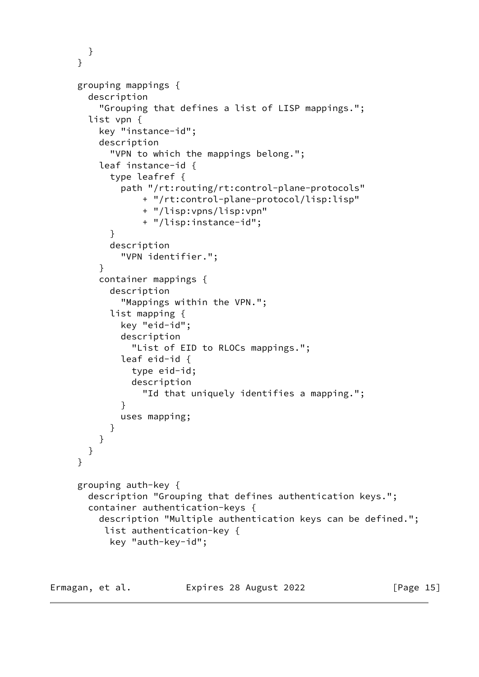```
 }
      }
     grouping mappings {
       description
          "Grouping that defines a list of LISP mappings.";
        list vpn {
          key "instance-id";
          description
            "VPN to which the mappings belong.";
          leaf instance-id {
            type leafref {
              path "/rt:routing/rt:control-plane-protocols"
                  + "/rt:control-plane-protocol/lisp:lisp"
                  + "/lisp:vpns/lisp:vpn"
                  + "/lisp:instance-id";
 }
            description
              "VPN identifier.";
 }
          container mappings {
            description
              "Mappings within the VPN.";
            list mapping {
              key "eid-id";
              description
                "List of EID to RLOCs mappings.";
              leaf eid-id {
                type eid-id;
                description
                  "Id that uniquely identifies a mapping.";
 }
              uses mapping;
 }
         }
       }
     }
     grouping auth-key {
       description "Grouping that defines authentication keys.";
       container authentication-keys {
          description "Multiple authentication keys can be defined.";
           list authentication-key {
            key "auth-key-id";
```
Ermagan, et al. 
Expires 28 August 2022

[Page 15]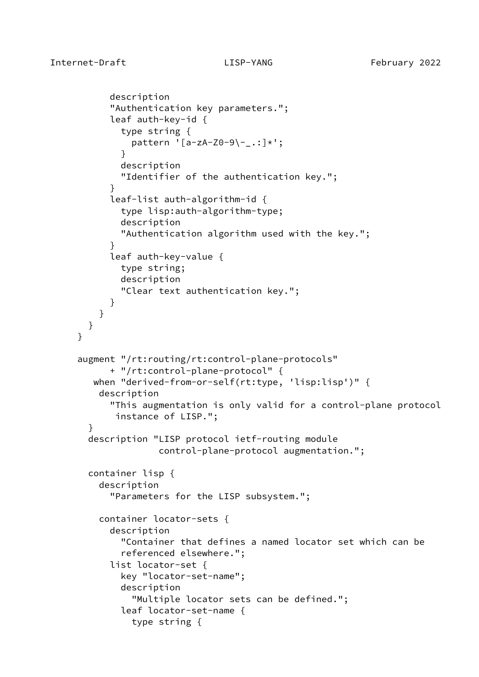}

```
 description
            "Authentication key parameters.";
            leaf auth-key-id {
              type string {
                pattern '[a-zA-Z0-9\-_.:]*';
 }
             description
              "Identifier of the authentication key.";
 }
            leaf-list auth-algorithm-id {
              type lisp:auth-algorithm-type;
              description
              "Authentication algorithm used with the key.";
 }
            leaf auth-key-value {
             type string;
              description
              "Clear text authentication key.";
 }
         }
       }
     augment "/rt:routing/rt:control-plane-protocols"
            + "/rt:control-plane-protocol" {
        when "derived-from-or-self(rt:type, 'lisp:lisp')" {
         description
            "This augmentation is only valid for a control-plane protocol
             instance of LISP.";
       }
       description "LISP protocol ietf-routing module
                     control-plane-protocol augmentation.";
       container lisp {
         description
            "Parameters for the LISP subsystem.";
         container locator-sets {
            description
              "Container that defines a named locator set which can be
              referenced elsewhere.";
            list locator-set {
             key "locator-set-name";
             description
                "Multiple locator sets can be defined.";
             leaf locator-set-name {
                type string {
```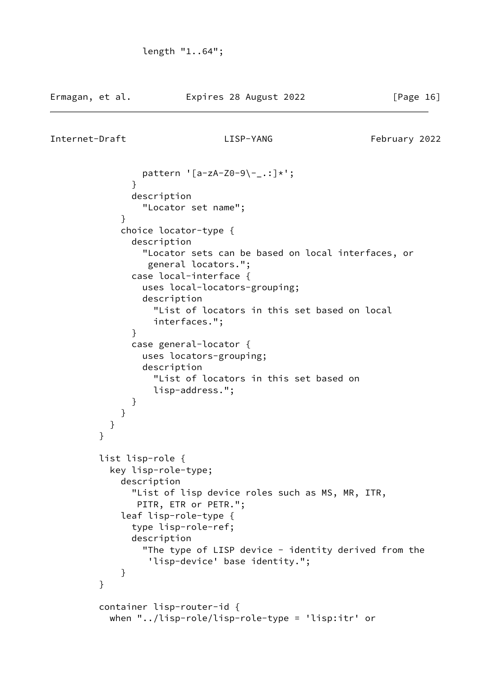```
 pattern '[a-zA-Z0-9\-_.:]*';
 }
               description
                 "Locator set name";
 }
             choice locator-type {
               description
                 "Locator sets can be based on local interfaces, or
                  general locators.";
               case local-interface {
                 uses local-locators-grouping;
                 description
                   "List of locators in this set based on local
                   interfaces.";
 }
               case general-locator {
                 uses locators-grouping;
                 description
                   "List of locators in this set based on
                   lisp-address.";
 }
 }
           }
         }
         list lisp-role {
           key lisp-role-type;
             description
               "List of lisp device roles such as MS, MR, ITR,
                PITR, ETR or PETR.";
             leaf lisp-role-type {
               type lisp-role-ref;
               description
                "The type of LISP device - identity derived from the
                  'lisp-device' base identity.";
 }
         }
         container lisp-router-id {
           when "../lisp-role/lisp-role-type = 'lisp:itr' or
```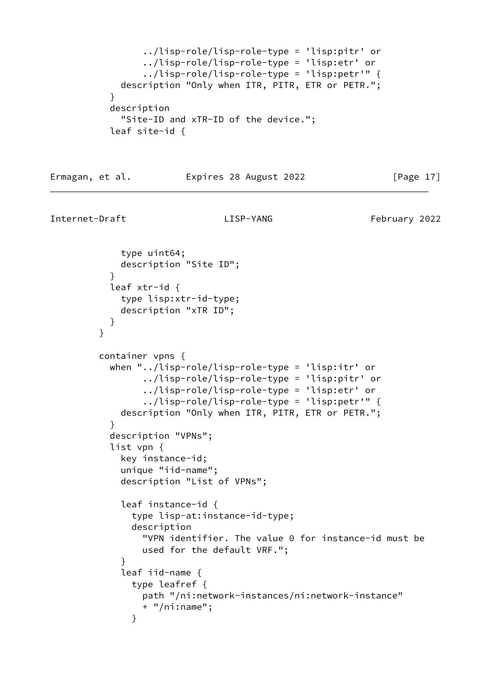```
 ../lisp-role/lisp-role-type = 'lisp:pitr' or
                  ../lisp-role/lisp-role-type = 'lisp:etr' or
                  ../lisp-role/lisp-role-type = 'lisp:petr'" {
             description "Only when ITR, PITR, ETR or PETR.";
 }
            description
             "Site-ID and xTR-ID of the device.";
            leaf site-id {
```
### Ermagan, et al. Expires 28 August 2022 [Page 17]

```
Internet-Draft LISP-YANG February 2022
```

```
 type uint64;
             description "Site ID";
 }
           leaf xtr-id {
             type lisp:xtr-id-type;
             description "xTR ID";
 }
         }
         container vpns {
           when "../lisp-role/lisp-role-type = 'lisp:itr' or
                 ../lisp-role/lisp-role-type = 'lisp:pitr' or
                 ../lisp-role/lisp-role-type = 'lisp:etr' or
                 ../lisp-role/lisp-role-type = 'lisp:petr'" {
             description "Only when ITR, PITR, ETR or PETR.";
 }
           description "VPNs";
           list vpn {
             key instance-id;
             unique "iid-name";
             description "List of VPNs";
             leaf instance-id {
               type lisp-at:instance-id-type;
               description
                 "VPN identifier. The value 0 for instance-id must be
                 used for the default VRF.";
 }
             leaf iid-name {
               type leafref {
                 path "/ni:network-instances/ni:network-instance"
                 + "/ni:name";
 }
```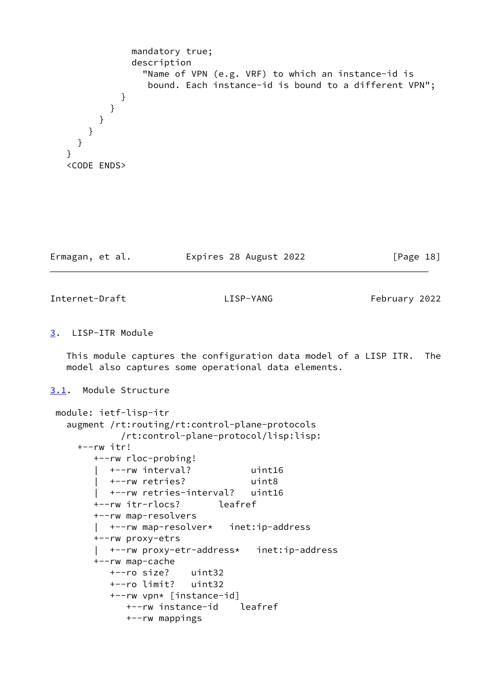```
 mandatory true;
                description
                  "Name of VPN (e.g. VRF) to which an instance-id is
                   bound. Each instance-id is bound to a different VPN";
 }
           }
        }
       }
     }
   }
   <CODE ENDS>
```

| Expires 28 August 2022<br>Ermagan, et al. | [Page 18] |  |
|-------------------------------------------|-----------|--|
|-------------------------------------------|-----------|--|

<span id="page-20-1"></span>Internet-Draft LISP-YANG February 2022

# <span id="page-20-0"></span>[3](#page-20-0). LISP-ITR Module

 This module captures the configuration data model of a LISP ITR. The model also captures some operational data elements.

## <span id="page-20-2"></span>[3.1](#page-20-2). Module Structure

```
 module: ietf-lisp-itr
   augment /rt:routing/rt:control-plane-protocols
             /rt:control-plane-protocol/lisp:lisp:
     +--rw itr!
        +--rw rloc-probing!
          | +--rw interval? uint16
          | +--rw retries? uint8
          | +--rw retries-interval? uint16
        +--rw itr-rlocs? leafref
        +--rw map-resolvers
          | +--rw map-resolver* inet:ip-address
        +--rw proxy-etrs
         | +--rw proxy-etr-address* inet:ip-address
        +--rw map-cache
           +--ro size? uint32
          +--ro limit? uint32
           +--rw vpn* [instance-id]
             +--rw instance-id leafref
             +--rw mappings
```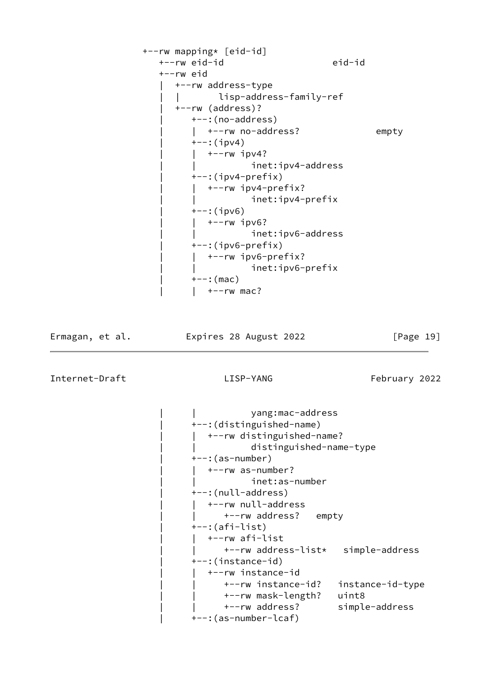```
 +--rw mapping* [eid-id]
    +--rw eid-id eid-id
    +--rw eid
      | +--rw address-type
       | | lisp-address-family-ref
      | +--rw (address)?
         | +--:(no-address)
        | +--rw no-address? empty
        +--:(ipv4)
          +--rw ipv4?
                   inet:ipv4-address
        +-:(ipv4-prefix)
        | +--rw ipv4-prefix?
                   inet:ipv4-prefix
        +--:(ipv6)
        | +--rw ipv6?
                   inet:ipv6-address
        +-: (ipv6-prefix)
           | | +--rw ipv6-prefix?
                   inet:ipv6-prefix
        +--: (mac)
        | +--rw mac?
```
Ermagan, et al. Expires 28 August 2022 [Page 19]

```
 | | yang:mac-address
 | +--:(distinguished-name)
  | | +--rw distinguished-name?
             | | distinguished-name-type
 | +--:(as-number)
    | | +--rw as-number?
            inet:as-number
 | +--:(null-address)
    | | +--rw null-address
      +--rw address? empty
 | +--:(afi-list)
    | | +--rw afi-list
       | | +--rw address-list* simple-address
 | +--:(instance-id)
   | | +--rw instance-id
       | | +--rw instance-id? instance-id-type
       | | +--rw mask-length? uint8
       | | +--rw address? simple-address
 | +--:(as-number-lcaf)
```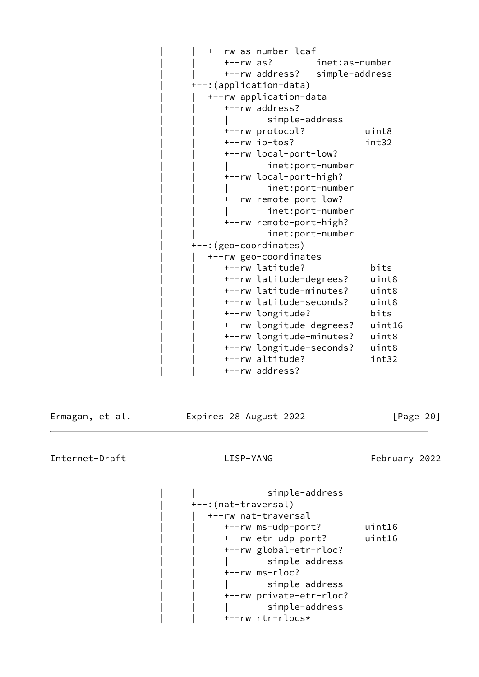| +--rw as-number-lcaf     |                |
|--------------------------|----------------|
| $+--rw$ as?              | inet:as-number |
| +--rw address?           | simple-address |
| +--: (application-data)  |                |
| +--rw application-data   |                |
| +--rw address?           |                |
| simple-address           |                |
| +--rw protocol?          | uint8          |
| +--rw ip-tos?            | int32          |
| +--rw local-port-low?    |                |
| inet:port-number         |                |
| +--rw local-port-high?   |                |
| inet:port-number         |                |
| +--rw remote-port-low?   |                |
| inet:port-number         |                |
| +--rw remote-port-high?  |                |
| inet:port-number         |                |
| +--: (geo-coordinates)   |                |
| +--rw geo-coordinates    |                |
| +--rw latitude?          | bits           |
| +--rw latitude-degrees?  | uint8          |
| +--rw latitude-minutes?  | uint8          |
| +--rw latitude-seconds?  | uint8          |
| +--rw longitude?         | bits           |
| +--rw longitude-degrees? | uint16         |
| +--rw longitude-minutes? | uint8          |
| +--rw longitude-seconds? | uint8          |
| +--rw altitude?          | int32          |
| +--rw address?           |                |

Ermagan, et al. 
Expires 28 August 2022

[Page 20]

Internet-Draft LISP-YANG February 2022

simple-address | +--:(nat-traversal) | | +--rw nat-traversal | | +--rw ms-udp-port? uint16 | | +--rw etr-udp-port? uint16 | | +--rw global-etr-rloc? | | | simple-address | | +--rw ms-rloc? | | | simple-address | | +--rw private-etr-rloc? | | | simple-address | | +--rw rtr-rlocs\*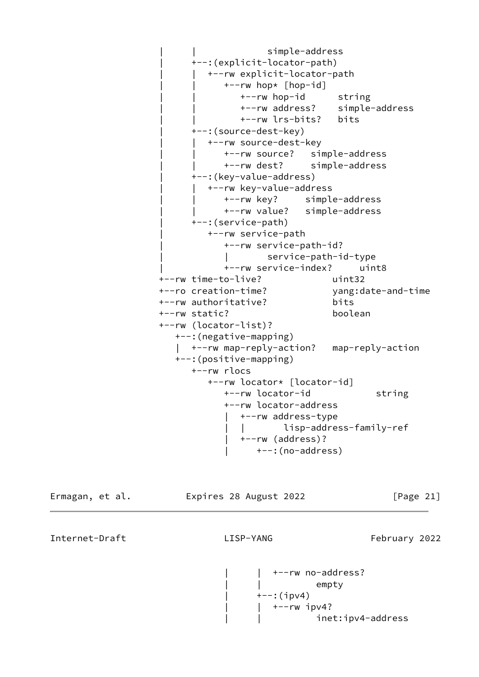| | simple-address | +--:(explicit-locator-path) | | +--rw explicit-locator-path | | +--rw hop\* [hop-id] | | +--rw hop-id string | | +--rw address? simple-address | | +--rw lrs-bits? bits | +--:(source-dest-key) +--rw source-dest-key | | +--rw source? simple-address | | +--rw dest? simple-address | +--:(key-value-address) | | +--rw key-value-address | | +--rw key? simple-address | | +--rw value? simple-address | +--:(service-path) | +--rw service-path | +--rw service-path-id? | | service-path-id-type | +--rw service-index? uint8 +--rw time-to-live? uint32 +--ro creation-time? yang:date-and-time +--rw authoritative? bits +--rw static? boolean +--rw (locator-list)? +--:(negative-mapping) | +--rw map-reply-action? map-reply-action +--:(positive-mapping) +--rw rlocs +--rw locator\* [locator-id] +--rw locator-id string +--rw locator-address | +--rw address-type | | lisp-address-family-ref | +--rw (address)? | +--:(no-address)

Ermagan, et al. Expires 28 August 2022 [Page 21]

Internet-Draft LISP-YANG February 2022

 | | +--rw no-address? empty  $+--:$ (ipv4) | | +--rw ipv4? inet:ipv4-address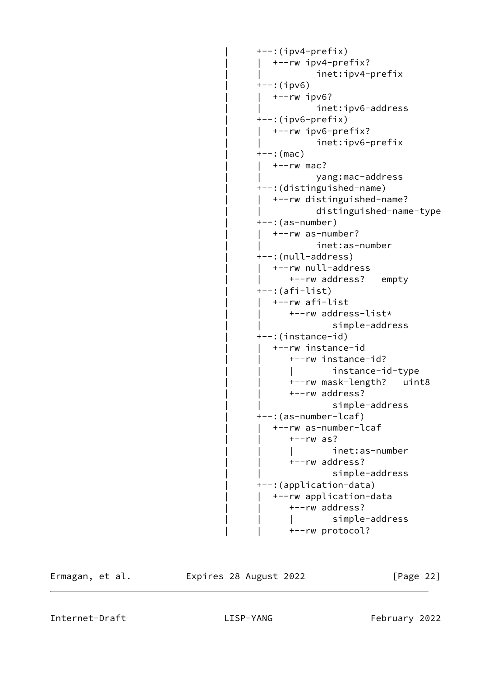```
+-: (ipv4-prefix)
   | | +--rw ipv4-prefix?
            inet:ipv4-prefix
+--:(ipv6)
| +--rw ipv6?
             | | inet:ipv6-address
+-: (ipv6-prefix)
| +--rw ipv6-prefix?
            inet:ipv6-prefix
+--: (mac)
| +--rw mac?
             | | yang:mac-address
 | +--:(distinguished-name)
| +--rw distinguished-name?
             | | distinguished-name-type
 | +--:(as-number)
   | | +--rw as-number?
             | | inet:as-number
 | +--:(null-address)
| +--rw null-address
      +--rw address? empty
 | +--:(afi-list)
   | | +--rw afi-list
       | | +--rw address-list*
               simple-address
 | +--:(instance-id)
   | | +--rw instance-id
       | | +--rw instance-id?
       | | | instance-id-type
       | | +--rw mask-length? uint8
       | | +--rw address?
                | | simple-address
 | +--:(as-number-lcaf)
   | | +--rw as-number-lcaf
      +--rw as?
        | | | inet:as-number
       | | +--rw address?
                | | simple-address
 | +--:(application-data)
   | | +--rw application-data
      +--rw address?
        | | | simple-address
      +--rw protocol?
```
Ermagan, et al. Expires 28 August 2022 [Page 22]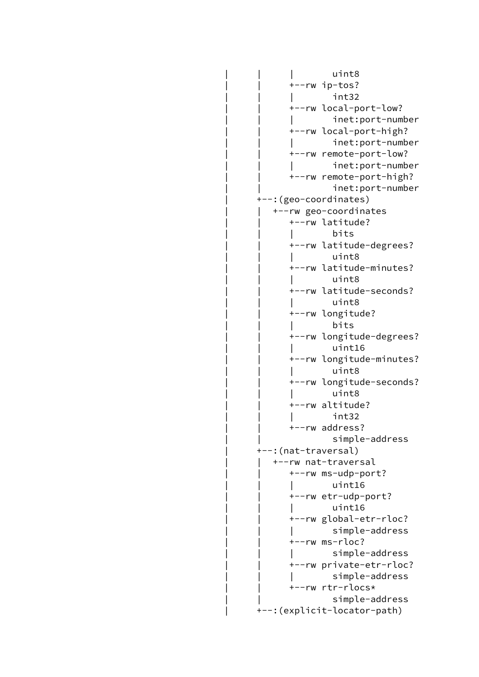| | | | | uint8 | | | | | uint8 | | +--rw ip-tos? | | | | | int32<br>| | | | int32 | | +--rw local-port-low? inet:port-number | | +--rw local-port-high? | | | inet:port-number | | +--rw remote-port-low? inet:port-number | | +--rw remote-port-high? inet:port-number | +--:(geo-coordinates) | | +--rw geo-coordinates | | +--rw latitude? | | | bits | | +--rw latitude-degrees? | | | | | uint8 | | | | | uint8 | | +--rw latitude-minutes? | | | | | uint8 | | | | | uint8 | | +--rw latitude-seconds? | | | | | uint8 | | | | | uint8 | | +--rw longitude? | | | bits | | +--rw longitude-degrees? | | | | uint16<br>| | | | uint16 | | +--rw longitude-minutes? | | | | | uint8 | | | | | uint8 | | +--rw longitude-seconds? | | | | | uint8 | | | | | uint8 | | +--rw altitude? | | | | | int32<br>| | | | int32 | | +--rw address? | | simple-address | +--:(nat-traversal) | | +--rw nat-traversal | | +--rw ms-udp-port? | | | | uint16<br>| | | | uint16 | | +--rw etr-udp-port? | | | | uint16<br>| | | | uint16 | | +--rw global-etr-rloc? | | | simple-address | | +--rw ms-rloc? | | | simple-address | | +--rw private-etr-rloc? | | | simple-address | | +--rw rtr-rlocs\* simple-address | +--:(explicit-locator-path)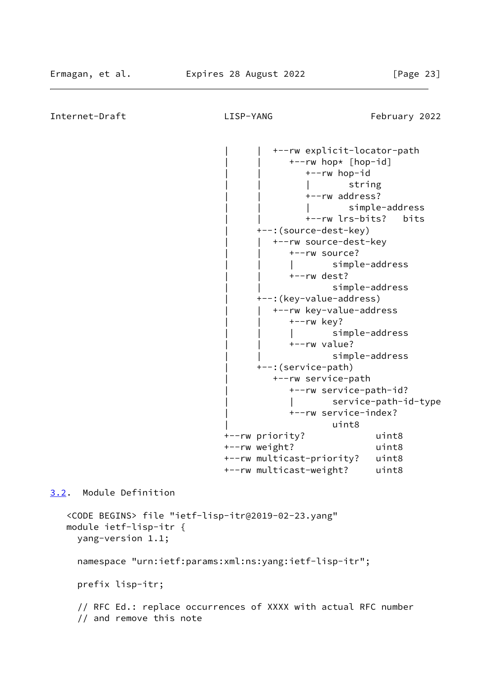```
Internet-Draft LISP-YANG February 2022
                                      | | +--rw explicit-locator-path
                                         | | +--rw hop* [hop-id]
                                            | | +--rw hop-id
 | | | string
                                            | | +--rw address?
                                            | | | simple-address
                                            | | +--rw lrs-bits? bits
                                    | +--:(source-dest-key)
                                     | | +--rw source-dest-key
                                        +--rw source?
                                                | | | simple-address
                                        +--rw dest?
                                                simple-address
                                    | +--:(key-value-address)
                                      | | +--rw key-value-address
                                        +--rw key?
                                         | | | simple-address
                                         | | +--rw value?
                                                 | | simple-address
                                    | +--:(service-path)
                                       | +--rw service-path
                                         | +--rw service-path-id?
                                         | | service-path-id-type
                                         | +--rw service-index?
 | uint8
                              +--rw priority? uint8
                              +--rw weight? uint8
                              +--rw multicast-priority? uint8
                              +--rw multicast-weight? uint8
3.2. Module Definition
   <CODE BEGINS> file "ietf-lisp-itr@2019-02-23.yang"
   module ietf-lisp-itr {
     yang-version 1.1;
     namespace "urn:ietf:params:xml:ns:yang:ietf-lisp-itr";
     prefix lisp-itr;
     // RFC Ed.: replace occurrences of XXXX with actual RFC number
     // and remove this note
```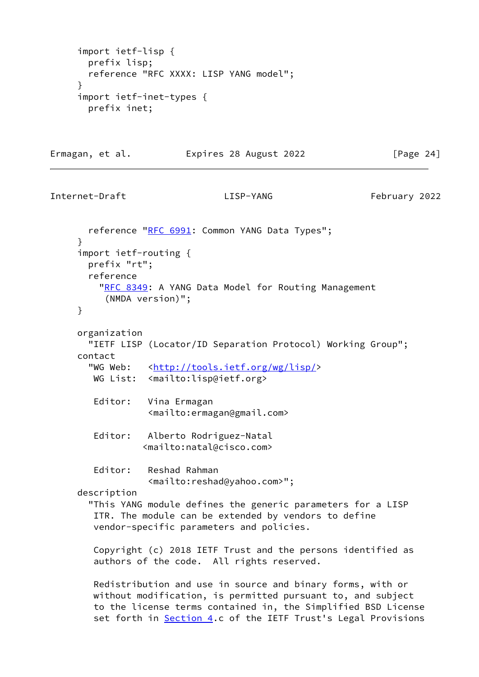```
 import ietf-lisp {
       prefix lisp;
        reference "RFC XXXX: LISP YANG model";
      }
      import ietf-inet-types {
       prefix inet;
Ermagan, et al.               Expires 28 August 2022                 [Page 24]
Internet-Draft LISP-YANG February 2022
      RFC 6991: Common YANG Data Types";
      }
      import ietf-routing {
       prefix "rt";
       reference
         RFC 8349: A YANG Data Model for Routing Management
           (NMDA version)";
     }
     organization
        "IETF LISP (Locator/ID Separation Protocol) Working Group";
      contact
      <http://tools.ietf.org/wg/lisp/>
        WG List: <mailto:lisp@ietf.org>
        Editor: Vina Ermagan
                  <mailto:ermagan@gmail.com>
        Editor: Alberto Rodriguez-Natal
                  <mailto:natal@cisco.com>
         Editor: Reshad Rahman
                   <mailto:reshad@yahoo.com>";
      description
        "This YANG module defines the generic parameters for a LISP
        ITR. The module can be extended by vendors to define
        vendor-specific parameters and policies.
        Copyright (c) 2018 IETF Trust and the persons identified as
         authors of the code. All rights reserved.
        Redistribution and use in source and binary forms, with or
        without modification, is permitted pursuant to, and subject
        to the license terms contained in, the Simplified BSD License
```
set forth in [Section 4.](#page-30-0)c of the IETF Trust's Legal Provisions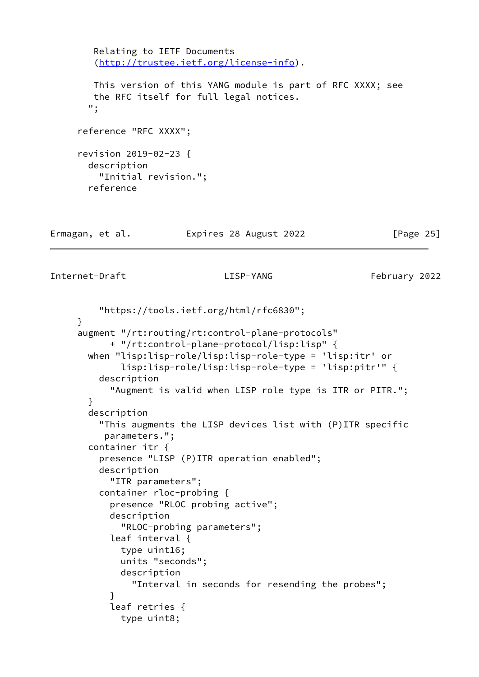```
 Relating to IETF Documents
         (http://trustee.ietf.org/license-info).
         This version of this YANG module is part of RFC XXXX; see
         the RFC itself for full legal notices.
        ";
      reference "RFC XXXX";
      revision 2019-02-23 {
        description
          "Initial revision.";
        reference
Ermagan, et al.               Expires 28 August 2022               [Page 25]
```

```
Internet-Draft LISP-YANG February 2022
```

```
 "https://tools.ietf.org/html/rfc6830";
      }
      augment "/rt:routing/rt:control-plane-protocols"
            + "/rt:control-plane-protocol/lisp:lisp" {
        when "lisp:lisp-role/lisp:lisp-role-type = 'lisp:itr' or
              lisp:lisp-role/lisp:lisp-role-type = 'lisp:pitr'" {
          description
            "Augment is valid when LISP role type is ITR or PITR.";
        }
        description
          "This augments the LISP devices list with (P)ITR specific
           parameters.";
        container itr {
          presence "LISP (P)ITR operation enabled";
          description
            "ITR parameters";
          container rloc-probing {
            presence "RLOC probing active";
            description
              "RLOC-probing parameters";
            leaf interval {
              type uint16;
              units "seconds";
              description
                "Interval in seconds for resending the probes";
 }
            leaf retries {
              type uint8;
```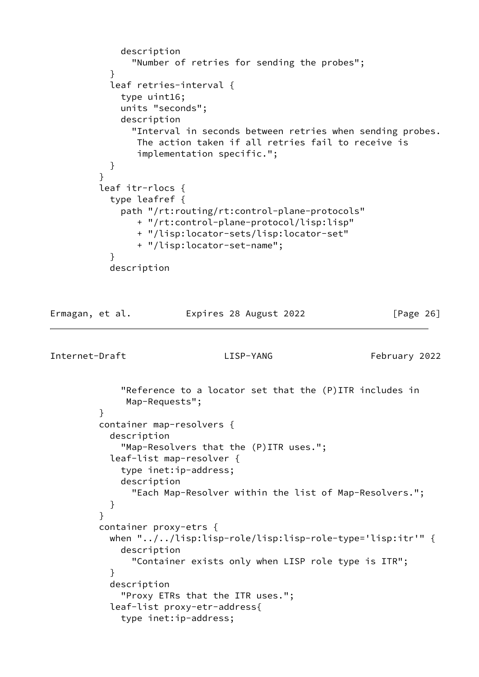```
 description
               "Number of retries for sending the probes";
 }
           leaf retries-interval {
             type uint16;
             units "seconds";
             description
               "Interval in seconds between retries when sending probes.
                The action taken if all retries fail to receive is
                implementation specific.";
 }
 }
         leaf itr-rlocs {
           type leafref {
             path "/rt:routing/rt:control-plane-protocols"
                + "/rt:control-plane-protocol/lisp:lisp"
                + "/lisp:locator-sets/lisp:locator-set"
                + "/lisp:locator-set-name";
 }
           description
```

```
Ermagan, et al.             Expires 28 August 2022               [Page 26]
```
Internet-Draft LISP-YANG February 2022

 "Reference to a locator set that the (P)ITR includes in Map-Requests"; } container map-resolvers { description "Map-Resolvers that the (P)ITR uses."; leaf-list map-resolver { type inet:ip-address; description "Each Map-Resolver within the list of Map-Resolvers."; } } container proxy-etrs { when "../../lisp:lisp-role/lisp:lisp-role-type='lisp:itr'" { description "Container exists only when LISP role type is ITR"; } description "Proxy ETRs that the ITR uses."; leaf-list proxy-etr-address{ type inet:ip-address;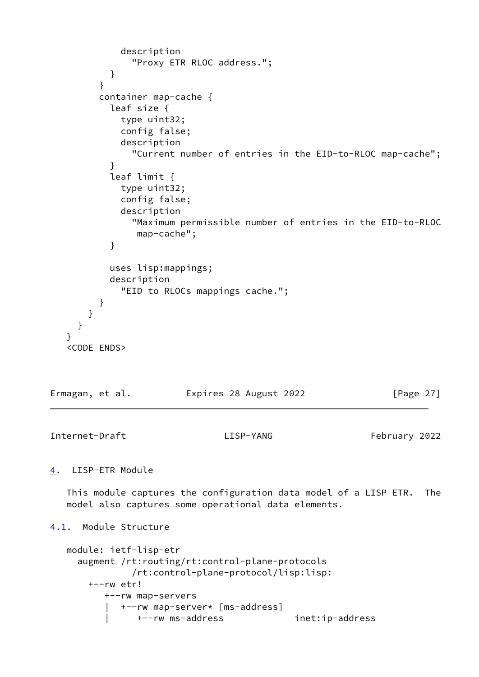```
 description
               "Proxy ETR RLOC address.";
 }
 }
         container map-cache {
           leaf size {
             type uint32;
             config false;
             description
               "Current number of entries in the EID-to-RLOC map-cache";
 }
           leaf limit {
             type uint32;
             config false;
             description
               "Maximum permissible number of entries in the EID-to-RLOC
                map-cache";
 }
           uses lisp:mappings;
           description
             "EID to RLOCs mappings cache.";
         }
       }
     }
    }
    <CODE ENDS>
Ermagan, et al.             Expires 28 August 2022               [Page 27]
Internet-Draft LISP-YANG February 2022
4. LISP-ETR Module
   This module captures the configuration data model of a LISP ETR. The
   model also captures some operational data elements.
4.1. Module Structure
   module: ietf-lisp-etr
     augment /rt:routing/rt:control-plane-protocols
               /rt:control-plane-protocol/lisp:lisp:
       +--rw etr!
          +--rw map-servers
          | +--rw map-server* [ms-address]
          | +--rw ms-address inet:ip-address
```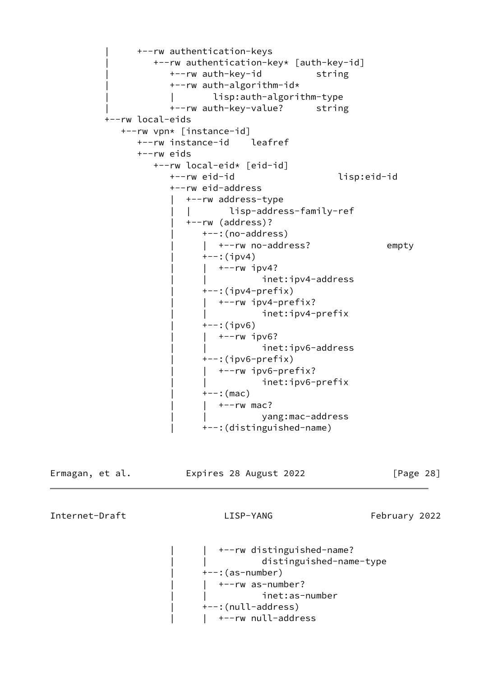```
 | +--rw authentication-keys
          | +--rw authentication-key* [auth-key-id]
           +--rw auth-key-id string
            | +--rw auth-algorithm-id*
                   lisp:auth-algorithm-type
           +--rw auth-key-value? string
 +--rw local-eids
   +--rw vpn* [instance-id]
      +--rw instance-id leafref
      +--rw eids
         +--rw local-eid* [eid-id]
            +--rw eid-id lisp:eid-id
            +--rw eid-address
               | +--rw address-type
                | | lisp-address-family-ref
               | +--rw (address)?
                  | +--:(no-address)
                  | +--rw no-address? empty
                  +--:(ipv4)
                  | +--rw ipv4?
                             inet:ipv4-address
                  +-: (ipv4-prefix)
                   | | +--rw ipv4-prefix?
                             | | inet:ipv4-prefix
                  +--:(ipv6)
                    | | +--rw ipv6?
                             inet:ipv6-address
                   | +--:(ipv6-prefix)
                  | +--rw ipv6-prefix?
                             inet:ipv6-prefix
                  +--: (mac)
                  | +--rw mac?
                              | | yang:mac-address
                   | +--:(distinguished-name)
```
Ermagan, et al. Expires 28 August 2022 [Page 28]

Internet-Draft LISP-YANG February 2022

 | | +--rw distinguished-name? | | distinguished-name-type  $+--$ : (as-number)  $|$  +--rw as-number? | | inet:as-number | +--:(null-address) | | +--rw null-address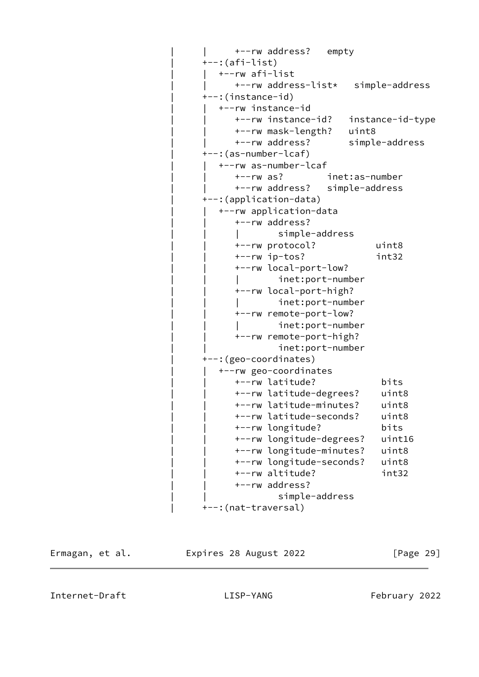| +--rw address?<br>empty            |                  |
|------------------------------------|------------------|
| +--:(afi-list)                     |                  |
| +--rw afi-list                     |                  |
| +--rw address-list* simple-address |                  |
| +--:(instance-id)                  |                  |
| +--rw instance-id                  |                  |
| +--rw instance-id?                 | instance-id-type |
| +--rw mask-length?                 | uint8            |
| +--rw address?                     | simple-address   |
| +--:(as-number-lcaf)               |                  |
| +--rw as-number-lcaf               |                  |
| $+--rw$ as?                        | inet:as-number   |
| +--rw address?                     | simple-address   |
| +--: (application-data)            |                  |
| +--rw application-data             |                  |
| +--rw address?                     |                  |
| simple-address                     |                  |
| +--rw protocol?                    | uint8            |
| +--rw ip-tos?                      | int32            |
| +--rw local-port-low?              |                  |
| inet:port-number                   |                  |
| +--rw local-port-high?             |                  |
| inet:port-number                   |                  |
| +--rw remote-port-low?             |                  |
| inet:port-number                   |                  |
| +--rw remote-port-high?            |                  |
| inet:port-number                   |                  |
| +--: (geo-coordinates)             |                  |
| +--rw geo-coordinates              |                  |
| +--rw latitude?                    | bits             |
| +--rw latitude-degrees?            | uint8            |
| +--rw latitude-minutes?            | uint8            |
| +--rw latitude-seconds?            | uint8            |
| +--rw longitude?                   | bits             |
| +--rw longitude-degrees?           | uint16           |
| +--rw longitude-minutes?           | uint8            |
| +--rw longitude-seconds?           | uint8            |
| +--rw altitude?                    | int32            |
| +--rw address?                     |                  |
| simple-address                     |                  |
| +--: (nat-traversal)               |                  |
|                                    |                  |

<span id="page-32-0"></span>

Ermagan, et al. Expires 28 August 2022 [Page 29]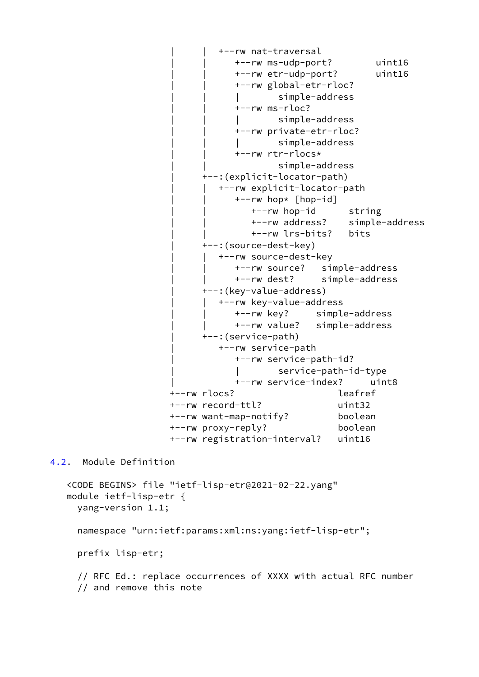```
 | | +--rw nat-traversal
             | | +--rw ms-udp-port? uint16
             | | +--rw etr-udp-port? uint16
             | | +--rw global-etr-rloc?
             | | | simple-address
             | | +--rw ms-rloc?
                     simple-address
             | | +--rw private-etr-rloc?
             | | | simple-address
             | | +--rw rtr-rlocs*
                      | | simple-address
       | +--:(explicit-locator-path)
          | | +--rw explicit-locator-path
             | | +--rw hop* [hop-id]
                | | +--rw hop-id string
                | | +--rw address? simple-address
                | | +--rw lrs-bits? bits
       | +--:(source-dest-key)
         | | +--rw source-dest-key
             | | +--rw source? simple-address
             | | +--rw dest? simple-address
       | +--:(key-value-address)
          | | +--rw key-value-address
             | | +--rw key? simple-address
             | | +--rw value? simple-address
       | +--:(service-path)
          | +--rw service-path
             | +--rw service-path-id?
                      | | service-path-id-type
             | +--rw service-index? uint8
 +--rw rlocs? leafref
 +--rw record-ttl? uint32
 +--rw want-map-notify? boolean
 +--rw proxy-reply? boolean
 +--rw registration-interval? uint16
```
<span id="page-33-0"></span>[4.2](#page-33-0). Module Definition

```
 <CODE BEGINS> file "ietf-lisp-etr@2021-02-22.yang"
 module ietf-lisp-etr {
   yang-version 1.1;
   namespace "urn:ietf:params:xml:ns:yang:ietf-lisp-etr";
   prefix lisp-etr;
   // RFC Ed.: replace occurrences of XXXX with actual RFC number
   // and remove this note
```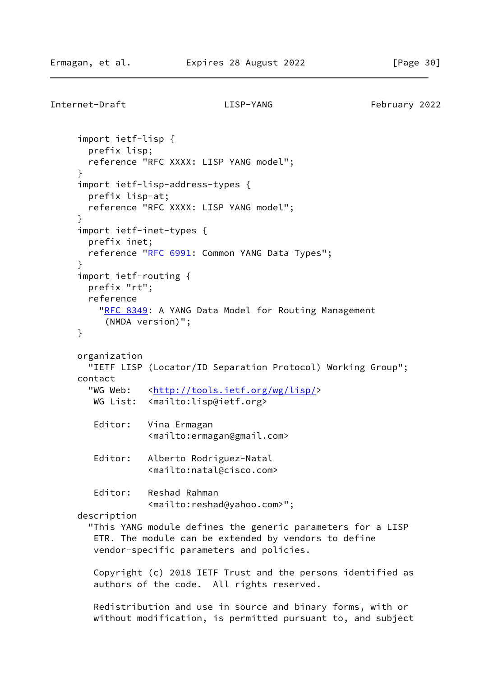```
Internet-Draft LISP-YANG February 2022
      import ietf-lisp {
       prefix lisp;
       reference "RFC XXXX: LISP YANG model";
      }
      import ietf-lisp-address-types {
       prefix lisp-at;
       reference "RFC XXXX: LISP YANG model";
      }
      import ietf-inet-types {
       prefix inet;
      RFC 6991: Common YANG Data Types";
      }
      import ietf-routing {
       prefix "rt";
       reference
         RFC 8349: A YANG Data Model for Routing Management
           (NMDA version)";
     }
     organization
       "IETF LISP (Locator/ID Separation Protocol) Working Group";
      contact
       <http://tools.ietf.org/wg/lisp/>
       WG List: <mailto:lisp@ietf.org>
        Editor: Vina Ermagan
                  <mailto:ermagan@gmail.com>
        Editor: Alberto Rodriguez-Natal
                  <mailto:natal@cisco.com>
        Editor: Reshad Rahman
                  <mailto:reshad@yahoo.com>";
     description
        "This YANG module defines the generic parameters for a LISP
         ETR. The module can be extended by vendors to define
        vendor-specific parameters and policies.
        Copyright (c) 2018 IETF Trust and the persons identified as
         authors of the code. All rights reserved.
        Redistribution and use in source and binary forms, with or
        without modification, is permitted pursuant to, and subject
```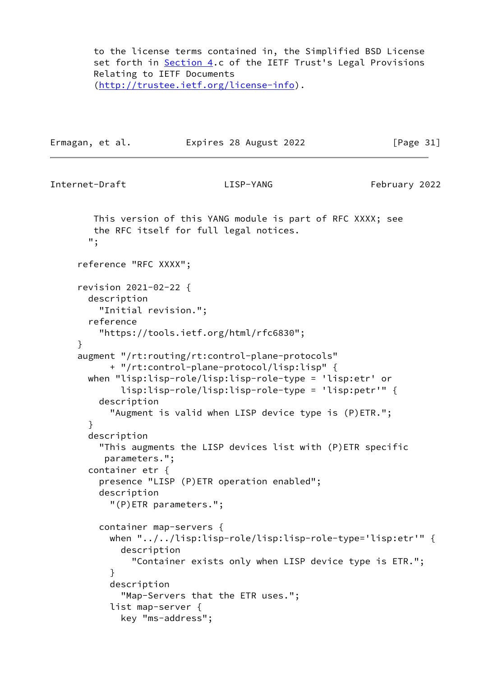to the license terms contained in, the Simplified BSD License set forth in [Section 4.](#page-30-0)c of the IETF Trust's Legal Provisions Relating to IETF Documents [\(http://trustee.ietf.org/license-info](http://trustee.ietf.org/license-info)).

Ermagan, et al. **Expires 28 August 2022** [Page 31]

Internet-Draft LISP-YANG February 2022

 This version of this YANG module is part of RFC XXXX; see the RFC itself for full legal notices. "; reference "RFC XXXX"; revision 2021-02-22 { description "Initial revision."; reference "https://tools.ietf.org/html/rfc6830"; } augment "/rt:routing/rt:control-plane-protocols" + "/rt:control-plane-protocol/lisp:lisp" { when "lisp:lisp-role/lisp:lisp-role-type = 'lisp:etr' or lisp:lisp-role/lisp:lisp-role-type = 'lisp:petr'" { description "Augment is valid when LISP device type is (P)ETR."; } description "This augments the LISP devices list with (P)ETR specific parameters."; container etr { presence "LISP (P)ETR operation enabled"; description "(P)ETR parameters."; container map-servers { when "../../lisp:lisp-role/lisp:lisp-role-type='lisp:etr'" { description "Container exists only when LISP device type is ETR."; } description "Map-Servers that the ETR uses."; list map-server { key "ms-address";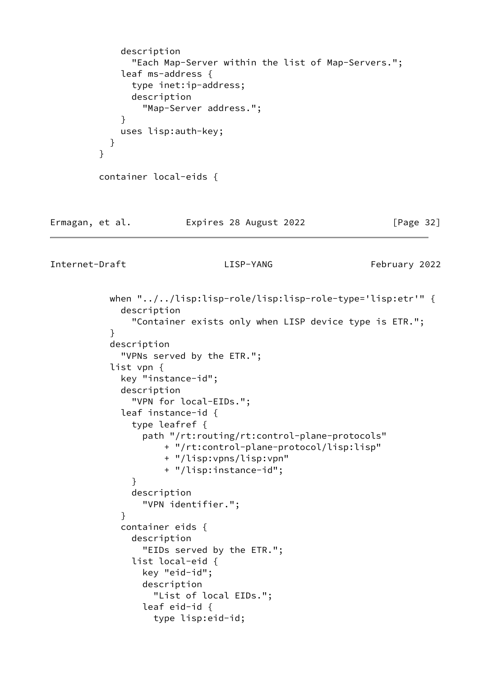```
 description
                "Each Map-Server within the list of Map-Servers.";
              leaf ms-address {
                type inet:ip-address;
                description
                  "Map-Server address.";
 }
              uses lisp:auth-key;
            }
          }
          container local-eids {
```
# Ermagan, et al. Expires 28 August 2022 [Page 32]

Internet-Draft LISP-YANG February 2022

 when "../../lisp:lisp-role/lisp:lisp-role-type='lisp:etr'" { description "Container exists only when LISP device type is ETR."; } description "VPNs served by the ETR."; list vpn { key "instance-id"; description "VPN for local-EIDs."; leaf instance-id { type leafref { path "/rt:routing/rt:control-plane-protocols" + "/rt:control-plane-protocol/lisp:lisp" + "/lisp:vpns/lisp:vpn" + "/lisp:instance-id"; } description "VPN identifier."; } container eids { description "EIDs served by the ETR."; list local-eid { key "eid-id"; description "List of local EIDs."; leaf eid-id { type lisp:eid-id;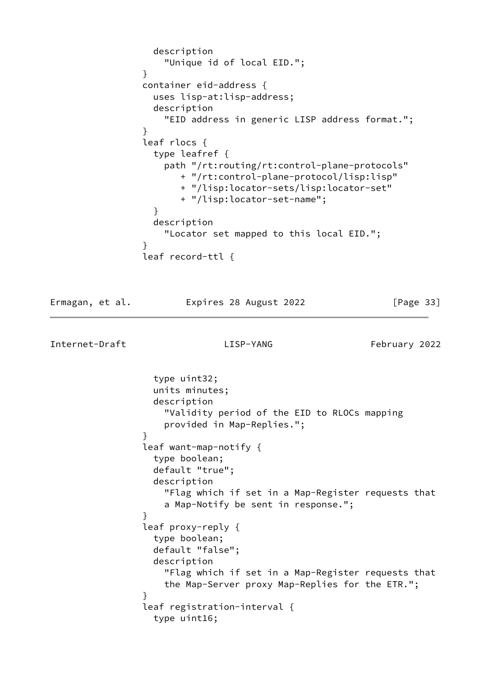```
 description
                    "Unique id of local EID.";
 }
                container eid-address {
                  uses lisp-at:lisp-address;
                  description
                    "EID address in generic LISP address format.";
 }
                leaf rlocs {
                  type leafref {
                    path "/rt:routing/rt:control-plane-protocols"
                      + "/rt:control-plane-protocol/lisp:lisp"
                      + "/lisp:locator-sets/lisp:locator-set"
                      + "/lisp:locator-set-name";
 }
                  description
                    "Locator set mapped to this local EID.";
 }
                leaf record-ttl {
```
Ermagan, et al. Expires 28 August 2022 [Page 33]

```
Internet-Draft LISP-YANG February 2022
                  type uint32;
                  units minutes;
                  description
                    "Validity period of the EID to RLOCs mapping
                    provided in Map-Replies.";
 }
                leaf want-map-notify {
                  type boolean;
                  default "true";
                  description
                    "Flag which if set in a Map-Register requests that
                    a Map-Notify be sent in response.";
 }
                leaf proxy-reply {
                  type boolean;
                  default "false";
                  description
                    "Flag which if set in a Map-Register requests that
                    the Map-Server proxy Map-Replies for the ETR.";
 }
                leaf registration-interval {
                  type uint16;
```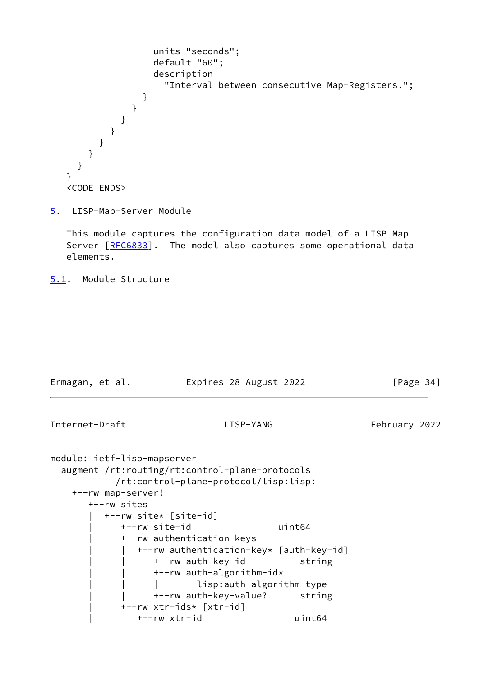```
 units "seconds";
                   default "60";
                   description
                     "Interval between consecutive Map-Registers.";
 }
              }
            }
          }
        }
      }
     }
   }
   <CODE ENDS>
```
<span id="page-38-0"></span>[5](#page-38-0). LISP-Map-Server Module

 This module captures the configuration data model of a LISP Map Server [\[RFC6833](https://datatracker.ietf.org/doc/pdf/rfc6833)]. The model also captures some operational data elements.

<span id="page-38-1"></span>[5.1](#page-38-1). Module Structure

| Ermagan, et al.                                                 | Expires 28 August 2022                                                                                           |        |               | [Page $34$ ] |
|-----------------------------------------------------------------|------------------------------------------------------------------------------------------------------------------|--------|---------------|--------------|
| Internet-Draft                                                  | LISP-YANG                                                                                                        |        | February 2022 |              |
| module: ietf-lisp-mapserver<br>+--rw map-server!<br>+--rw sites | augment /rt:routing/rt:control-plane-protocols<br>/rt:control-plane-protocol/lisp:lisp:<br>+--rw site* [site-id] |        |               |              |
|                                                                 | +--rw site-id                                                                                                    | uint64 |               |              |
|                                                                 | +--rw authentication-keys                                                                                        |        |               |              |
|                                                                 | +--rw authentication-key* [auth-key-id]                                                                          |        |               |              |
|                                                                 | +--rw auth-key-id                                                                                                | string |               |              |
|                                                                 | +--rw auth-algorithm-id*                                                                                         |        |               |              |
|                                                                 | lisp:auth-algorithm-type                                                                                         |        |               |              |
|                                                                 | +--rw auth-key-value? string                                                                                     |        |               |              |
|                                                                 | +--rw xtr-ids* [xtr-id]                                                                                          |        |               |              |
|                                                                 | +--rw xtr-id                                                                                                     | uint64 |               |              |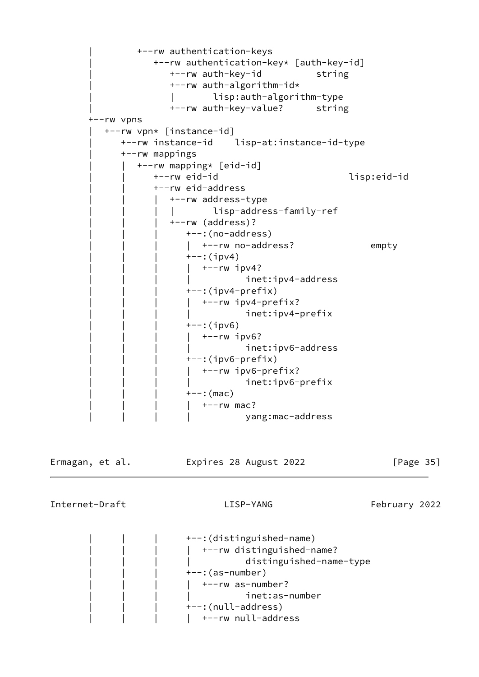```
 | +--rw authentication-keys
                    | +--rw authentication-key* [auth-key-id]
                      +--rw auth-key-id string
                       | +--rw auth-algorithm-id*
                                | | lisp:auth-algorithm-type
                      +--rw auth-key-value? string
        +--rw vpns
           | +--rw vpn* [instance-id]
              | +--rw instance-id lisp-at:instance-id-type
              | +--rw mappings
                 | | +--rw mapping* [eid-id]
                    | | +--rw eid-id lisp:eid-id
                    | | +--rw eid-address
                       | | | +--rw address-type
                        | | | | lisp-address-family-ref
                       | | | +--rw (address)?
                          +--: (no-address)
                          | +--rw no-address? empty
                          +--:(ipv4)
                          | +--rw ipv4?
                                     inet:ipv4-address
                          +-: (ipv4-prefix)
                          | +--rw ipv4-prefix?
                           | | | | inet:ipv4-prefix
                          ---:(ipv6)
                            | | | | +--rw ipv6?
                                     inet:ipv6-address
                          +--: (ipv6-prefix)
                          | +--rw ipv6-prefix?
                                     inet:ipv6-prefix
                          +--: (mac)
                           +--rw mac?
                                      | | | | yang:mac-address
Ermagan, et al.               Expires 28 August 2022                 [Page 35]
```
Internet-Draft LISP-YANG February 2022

 | | | +--:(distinguished-name) | | | | +--rw distinguished-name? | | | | distinguished-name-type  $+--$ : (as-number)  $|$  +--rw as-number? | | | | inet:as-number +--:(null-address)  $|$  +--rw null-address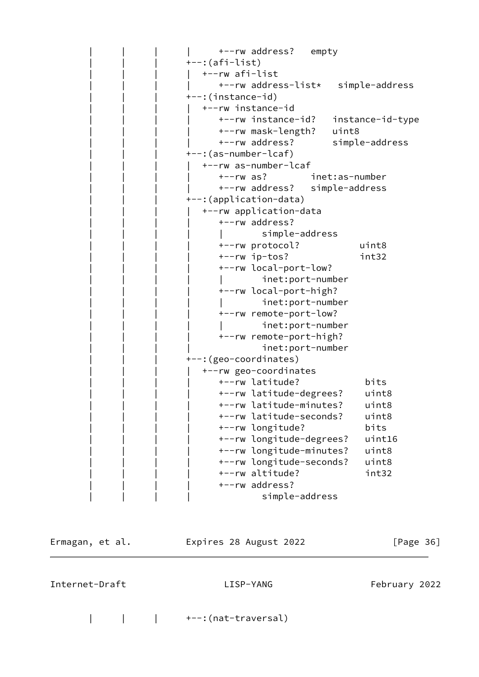| +--rw address? empty          |                  |
|-------------------------------|------------------|
| +--:(afi-list)                |                  |
| +--rw afi-list                |                  |
| +--rw address-list*           | simple-address   |
| +--:(instance-id)             |                  |
| +--rw instance-id             |                  |
| +--rw instance-id?            | instance-id-type |
| +--rw mask-length?<br>uint8   |                  |
| +--rw address?                | simple-address   |
| +--: (as-number-lcaf)         |                  |
| +--rw as-number-lcaf          |                  |
| $+--rw$ as?<br>inet:as-number |                  |
| +--rw address? simple-address |                  |
| +--:(application-data)        |                  |
| +--rw application-data        |                  |
| +--rw address?                |                  |
| simple-address                |                  |
| +--rw protocol?               | uint8            |
| +--rw ip-tos?                 | int32            |
| +--rw local-port-low?         |                  |
| inet:port-number              |                  |
| +--rw local-port-high?        |                  |
| inet:port-number              |                  |
| +--rw remote-port-low?        |                  |
| inet:port-number              |                  |
| +--rw remote-port-high?       |                  |
| inet:port-number              |                  |
| +--: (geo-coordinates)        |                  |
| +--rw geo-coordinates         |                  |
| +--rw latitude?               | bits             |
| +--rw latitude-degrees?       | uint8            |
| +--rw latitude-minutes?       | uint8            |
| +--rw latitude-seconds?       | uint8            |
| +--rw longitude?              | bits             |
| +--rw longitude-degrees?      | uint16           |
| +--rw longitude-minutes?      | uint8            |
| +--rw longitude-seconds?      | uint8            |
| +--rw altitude?               | int32            |
| +--rw address?                |                  |
| simple-address                |                  |
|                               |                  |

| Ermagan, et al. | Expires 28 August 2022 |  | [Page 36] |  |
|-----------------|------------------------|--|-----------|--|
|                 |                        |  |           |  |

Internet-Draft LISP-YANG LISP-YANG February 2022

| | | +--:(nat-traversal)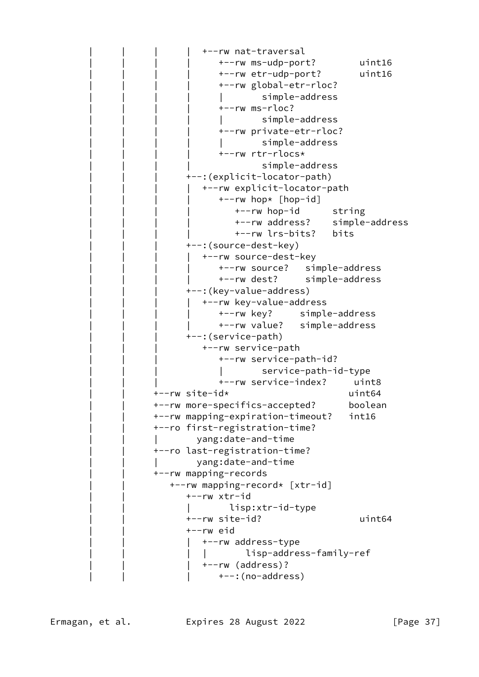```
 | | | | +--rw nat-traversal
               | | | | +--rw ms-udp-port? uint16
               | | | | +--rw etr-udp-port? uint16
               | | | | +--rw global-etr-rloc?
                       simple-address
               | | | | +--rw ms-rloc?
                       | | | | | simple-address
               | | | | +--rw private-etr-rloc?
                      | | | | | simple-address
               | | | | +--rw rtr-rlocs*
                       simple-address
        | | | +--:(explicit-locator-path)
           | | | | +--rw explicit-locator-path
              +--rw hop* [hop-id]
                 +--rw hop-id string
                  | | | | +--rw address? simple-address
                  | | | | +--rw lrs-bits? bits
       +--: (source-dest-key)
         +--rw source-dest-key
               | | | | +--rw source? simple-address
               | | | | +--rw dest? simple-address
       +--: (key-value-address)
           | | | | +--rw key-value-address
              | | | | +--rw key? simple-address
              | | | | +--rw value? simple-address
       +--:(service-path)
           | | | +--rw service-path
              | | | +--rw service-path-id?
                       | | | | service-path-id-type
               | | | +--rw service-index? uint8
 | | +--rw site-id* uint64
 | | +--rw more-specifics-accepted? boolean
 | | +--rw mapping-expiration-timeout? int16
 | | +--ro first-registration-time?
        | | | yang:date-and-time
 | | +--ro last-registration-time?
         | | | yang:date-and-time
 | | +--rw mapping-records
    | | +--rw mapping-record* [xtr-id]
        | | +--rw xtr-id
        | | | lisp:xtr-id-type
        | | +--rw site-id? uint64
        | | +--rw eid
          | | | +--rw address-type
          | | | | lisp-address-family-ref
          | | | +--rw (address)?
             | | | +--:(no-address)
```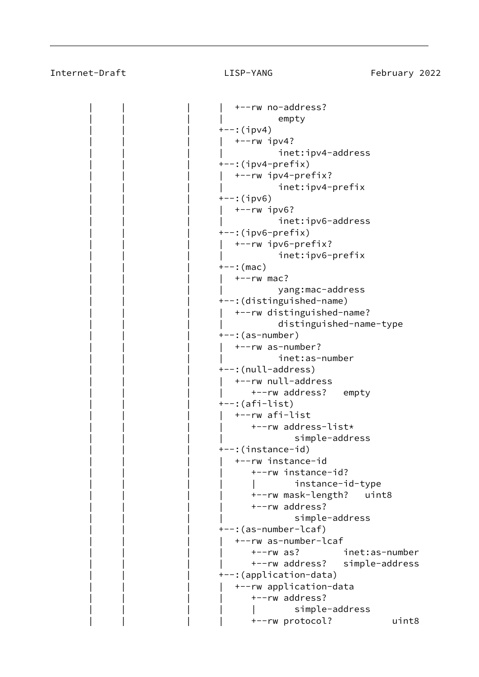## Internet-Draft LISP-YANG February 2022

 | | | | +--rw no-address? | | | | empty  $+--$ : (ipv4)  $+--rw$  ipv4? inet:ipv4-address  $+--:$ (ipv4-prefix) | | | | +--rw ipv4-prefix? inet:ipv4-prefix  $---:$ (ipv6) | | | | +--rw ipv6? inet:ipv6-address  $+-$ : (ipv6-prefix) | | | | +--rw ipv6-prefix? inet:ipv6-prefix  $+--:$  (mac) +--rw mac? | | | | yang:mac-address | | | +--:(distinguished-name) | | | | +--rw distinguished-name? | | | | distinguished-name-type  $---:$  (as-number) | | | | +--rw as-number? inet:as-number | | | +--:(null-address) | | | | +--rw null-address +--rw address? empty  $+-: ($ afi-list) | | | | +--rw afi-list | | | | +--rw address-list\* simple-address | | | +--:(instance-id) | | | | +--rw instance-id | | | | +--rw instance-id? | instance-id-type | | | | +--rw mask-length? uint8 +--rw address? simple-address | | | +--:(as-number-lcaf) | | | | +--rw as-number-lcaf | | | | +--rw as? inet:as-number | | | | +--rw address? simple-address +--: (application-data) | | | | +--rw application-data +--rw address? simple-address | | | | +--rw protocol? uint8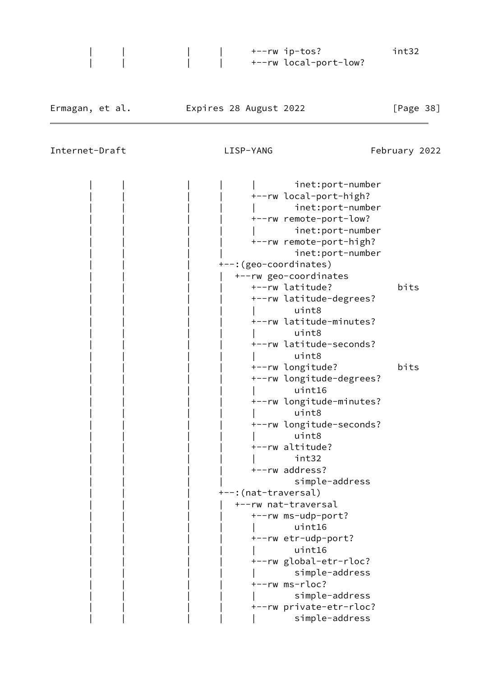| | | | +--rw ip-tos? int32 | | | | +--rw local-port-low?

Internet-Draft LISP-YANG Enternet-Draft Communist LISP-YANG

|  |                        | inet:port-number         |      |
|--|------------------------|--------------------------|------|
|  |                        | +--rw local-port-high?   |      |
|  |                        | inet:port-number         |      |
|  |                        | +--rw remote-port-low?   |      |
|  |                        | inet:port-number         |      |
|  |                        | +--rw remote-port-high?  |      |
|  |                        | inet:port-number         |      |
|  | +--: (geo-coordinates) |                          |      |
|  |                        | +--rw geo-coordinates    |      |
|  |                        | +--rw latitude?          | bits |
|  |                        | +--rw latitude-degrees?  |      |
|  |                        | uint8                    |      |
|  |                        | +--rw latitude-minutes?  |      |
|  |                        | uint8                    |      |
|  |                        | +--rw latitude-seconds?  |      |
|  |                        | uint8                    |      |
|  |                        | +--rw longitude?         | bits |
|  |                        | +--rw longitude-degrees? |      |
|  |                        | uint16                   |      |
|  |                        | +--rw longitude-minutes? |      |
|  |                        | uint8                    |      |
|  |                        | +--rw longitude-seconds? |      |
|  |                        | uint8                    |      |
|  |                        | +--rw altitude?          |      |
|  |                        | int32                    |      |
|  |                        | +--rw address?           |      |
|  |                        | simple-address           |      |
|  | +--:(nat-traversal)    |                          |      |
|  |                        | +--rw nat-traversal      |      |
|  |                        | +--rw ms-udp-port?       |      |
|  |                        | uint16                   |      |
|  |                        | +--rw etr-udp-port?      |      |
|  |                        | uint16                   |      |
|  |                        | +--rw global-etr-rloc?   |      |
|  |                        | simple-address           |      |
|  |                        | +--rw ms-rloc?           |      |
|  |                        | simple-address           |      |
|  |                        | +--rw private-etr-rloc?  |      |
|  |                        | simple-address           |      |
|  |                        |                          |      |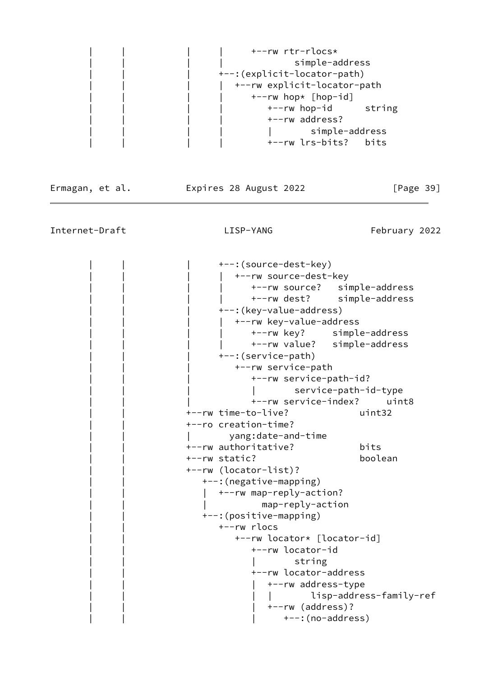

Ermagan, et al. Expires 28 August 2022 [Page 39]

Internet-Draft LISP-YANG Enternet-Draft Communist LISP-YANG

| +--:(source-dest-key)    |                                 |
|--------------------------|---------------------------------|
| +--rw source-dest-key    |                                 |
|                          | +--rw source?<br>simple-address |
|                          | +--rw dest? simple-address      |
| +--: (key-value-address) |                                 |
|                          | +--rw key-value-address         |
|                          | +--rw key? simple-address       |
|                          | +--rw value? simple-address     |
| +--: (service-path)      |                                 |
| +--rw service-path       |                                 |
|                          | +--rw service-path-id?          |
|                          | service-path-id-type            |
|                          | +--rw service-index?<br>uint8   |
| +--rw time-to-live?      | uint32                          |
| +--ro creation-time?     |                                 |
| yang:date-and-time       |                                 |
| +--rw authoritative?     | bits                            |
| +--rw static?            | boolean                         |
| +--rw (locator-list)?    |                                 |
| +--: (negative-mapping)  |                                 |
| +--rw map-reply-action?  |                                 |
|                          | map-reply-action                |
| +--: (positive-mapping)  |                                 |
| +--rw rlocs              |                                 |
|                          | +--rw locator* [locator-id]     |
|                          | +--rw locator-id                |
|                          | string                          |
|                          | +--rw locator-address           |
|                          | +--rw address-type              |
|                          | lisp-address-family-ref         |
|                          | +--rw (address)?                |
|                          | +--: (no-address)               |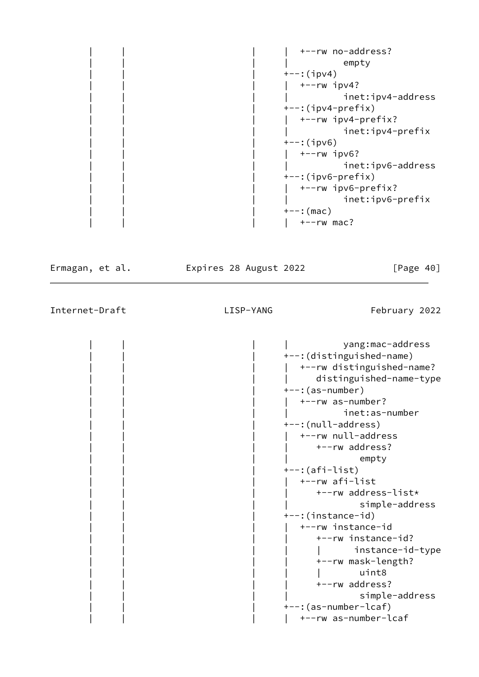|  | +--rw no-address?    |
|--|----------------------|
|  | empty                |
|  | $+--$ : (ipv4)       |
|  | $+--rw$ ipv4?        |
|  | inet:ipv4-address    |
|  | $+-$ : (ipv4-prefix) |
|  | +--rw ipv4-prefix?   |
|  | inet:ipv4-prefix     |
|  | $+--$ : (ipv6)       |
|  | $+--rw$ ipv6?        |
|  | inet:ipv6-address    |
|  | $+-$ : (ipv6-prefix) |
|  | +--rw ipv6-prefix?   |
|  | inet:ipv6-prefix     |
|  | $+--:$ (mac)         |
|  | $+--rw$ mac?         |

Ermagan, et al. 
Expires 28 August 2022

[Page 40]

Internet-Draft LISP-YANG February 2022

 | | | | yang:mac-address +--: (distinguished-name) | | | | +--rw distinguished-name? | | | | distinguished-name-type | | | +--:(as-number) | | | | +--rw as-number? inet:as-number +--:(null-address) | | | | +--rw null-address +--rw address? | | | | empty | | | +--:(afi-list) | | | | +--rw afi-list | | | | +--rw address-list\* simple-address | | | +--:(instance-id) | | | | +--rw instance-id | | | | +--rw instance-id? | | | | | instance-id-type | | | | +--rw mask-length? | | | | | uint8 +--rw address? simple-address +--: (as-number-lcaf) | | | | +--rw as-number-lcaf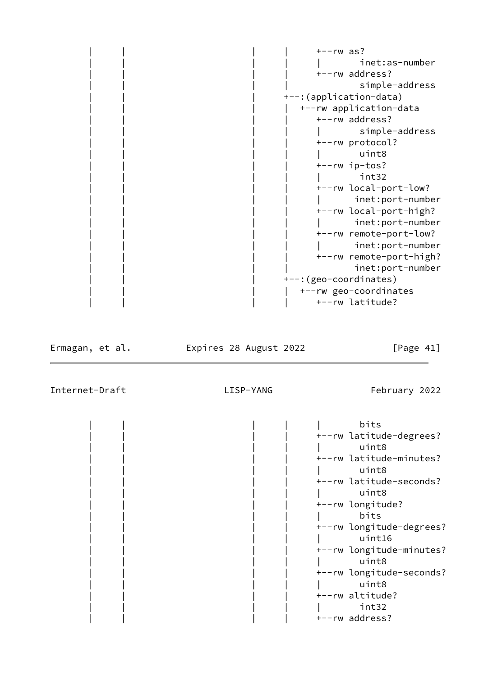$+--rw$  as? | inet:as-number +--rw address? simple-address +--: (application-data) | | | | +--rw application-data +--rw address? | simple-address +--rw protocol? | | | | | uint8 | | | | +--rw ip-tos? | | | | | int32 +--rw local-port-low? | inet:port-number | | | | +--rw local-port-high? | | | | | inet:port-number | | | | +--rw remote-port-low? | | | | | inet:port-number | | | | +--rw remote-port-high? inet:port-number +--: (geo-coordinates) |  $+-rw$  geo-coordinates | | | | +--rw latitude?

Ermagan, et al. Expires 28 August 2022 [Page 41]

|  |  | bits                     |
|--|--|--------------------------|
|  |  | +--rw latitude-degrees?  |
|  |  | uint8                    |
|  |  | +--rw latitude-minutes?  |
|  |  | uint8                    |
|  |  | +--rw latitude-seconds?  |
|  |  | uint8                    |
|  |  | +--rw longitude?         |
|  |  | bits                     |
|  |  | +--rw longitude-degrees? |
|  |  | uint16                   |
|  |  | +--rw longitude-minutes? |
|  |  | uint8                    |
|  |  | +--rw longitude-seconds? |
|  |  | uint8                    |
|  |  | +--rw altitude?          |
|  |  | int32                    |
|  |  | +--rw address?           |
|  |  |                          |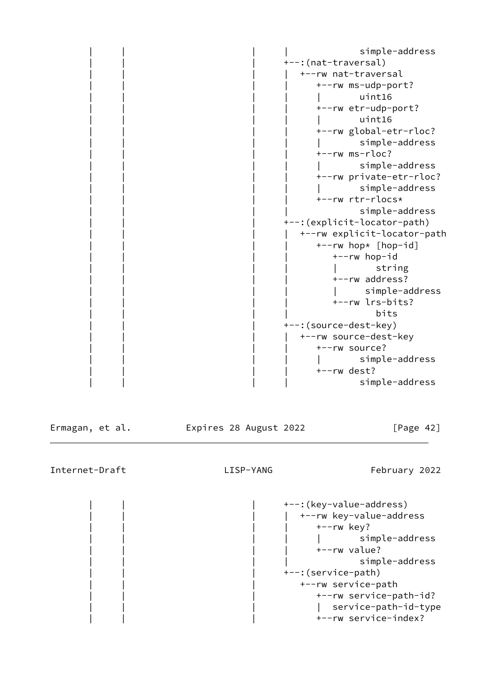simple-address +--: (nat-traversal) | | | | +--rw nat-traversal | | | | +--rw ms-udp-port? | | | | | uint16 +--rw etr-udp-port? | | | | | uint16 | | | | +--rw global-etr-rloc? simple-address  $+--rw$  ms $-rloc?$ simple-address | | | | +--rw private-etr-rloc? simple-address | | | | +--rw rtr-rlocs\* simple-address +--: (explicit-locator-path) | | | | +--rw explicit-locator-path +--rw hop\* [hop-id] | | | | +--rw hop-id | | | | | string +--rw address? simple-address | | | | +--rw lrs-bits? | | | | bits +--: (source-dest-key) +--rw source-dest-key +--rw source? | simple-address +--rw dest? simple-address

Ermagan, et al. 
Expires 28 August 2022

[Page 42]

Internet-Draft LISP-YANG February 2022

+--: (key-value-address) +--rw key-value-address  $+--rw$  key? simple-address +--rw value? simple-address | | | +--:(service-path) | | | +--rw service-path | | | +--rw service-path-id? | service-path-id-type | | | +--rw service-index?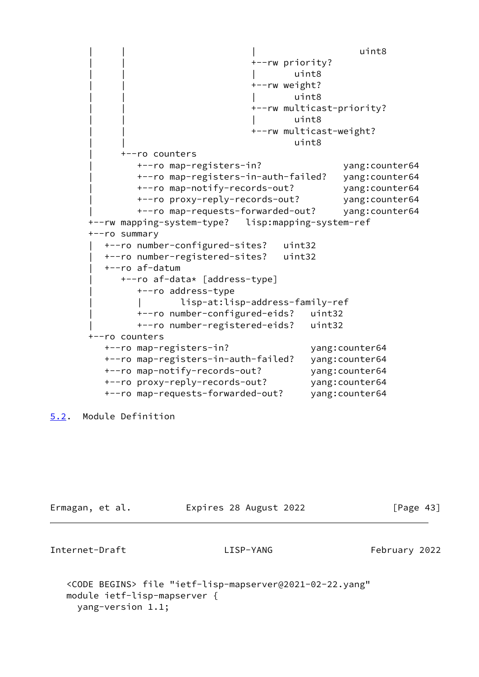```
 | | | uint8
                                | | +--rw priority?
                                     uint8
                               +--rw weight?
 | | | uint8
                                | | +--rw multicast-priority?
 | | | uint8
                                | | +--rw multicast-weight?
 | | uint8
            | +--ro counters
              | +--ro map-registers-in? yang:counter64
              | +--ro map-registers-in-auth-failed? yang:counter64
              | +--ro map-notify-records-out? yang:counter64
              | +--ro proxy-reply-records-out? yang:counter64
              | +--ro map-requests-forwarded-out? yang:counter64
      +--rw mapping-system-type? lisp:mapping-system-ref
      +--ro summary
         | +--ro number-configured-sites? uint32
         | +--ro number-registered-sites? uint32
         | +--ro af-datum
           | +--ro af-data* [address-type]
              | +--ro address-type
                     | | lisp-at:lisp-address-family-ref
              | +--ro number-configured-eids? uint32
              | +--ro number-registered-eids? uint32
      +--ro counters
         +--ro map-registers-in? yang:counter64
         +--ro map-registers-in-auth-failed? yang:counter64
         +--ro map-notify-records-out? yang:counter64
         +--ro proxy-reply-records-out? yang:counter64
         +--ro map-requests-forwarded-out? yang:counter64
```

```
5.2. Module Definition
```

| Ermagan, et al. | Expires 28 August 2022 |  | [Page 43] |
|-----------------|------------------------|--|-----------|
|                 |                        |  |           |

```
Internet-Draft LISP-YANG February 2022
```

```
 <CODE BEGINS> file "ietf-lisp-mapserver@2021-02-22.yang"
 module ietf-lisp-mapserver {
   yang-version 1.1;
```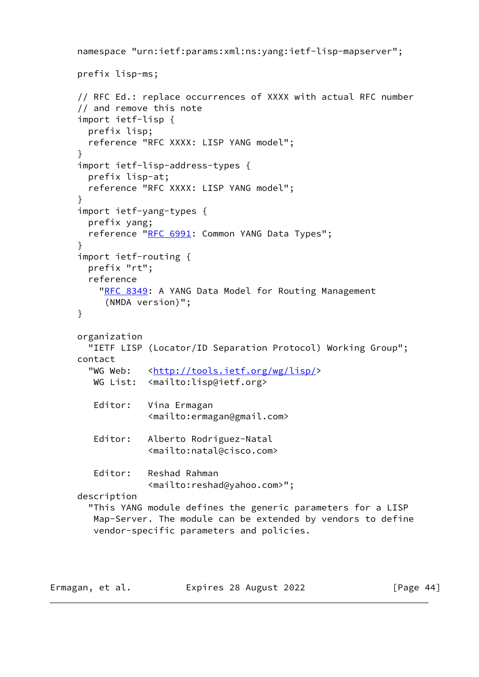```
 namespace "urn:ietf:params:xml:ns:yang:ietf-lisp-mapserver";
 prefix lisp-ms;
 // RFC Ed.: replace occurrences of XXXX with actual RFC number
 // and remove this note
 import ietf-lisp {
   prefix lisp;
   reference "RFC XXXX: LISP YANG model";
 }
 import ietf-lisp-address-types {
   prefix lisp-at;
   reference "RFC XXXX: LISP YANG model";
 }
 import ietf-yang-types {
   prefix yang;
  RFC 6991: Common YANG Data Types";
 }
 import ietf-routing {
   prefix "rt";
   reference
    RFC 8349: A YANG Data Model for Routing Management
      (NMDA version)";
 }
 organization
   "IETF LISP (Locator/ID Separation Protocol) Working Group";
 contact
  <http://tools.ietf.org/wg/lisp/>
   WG List: <mailto:lisp@ietf.org>
   Editor: Vina Ermagan
              <mailto:ermagan@gmail.com>
    Editor: Alberto Rodriguez-Natal
              <mailto:natal@cisco.com>
    Editor: Reshad Rahman
              <mailto:reshad@yahoo.com>";
 description
   "This YANG module defines the generic parameters for a LISP
    Map-Server. The module can be extended by vendors to define
    vendor-specific parameters and policies.
```

| Ermagan, et al. | Expires 28 August 2022 | [Page 44] |
|-----------------|------------------------|-----------|
|-----------------|------------------------|-----------|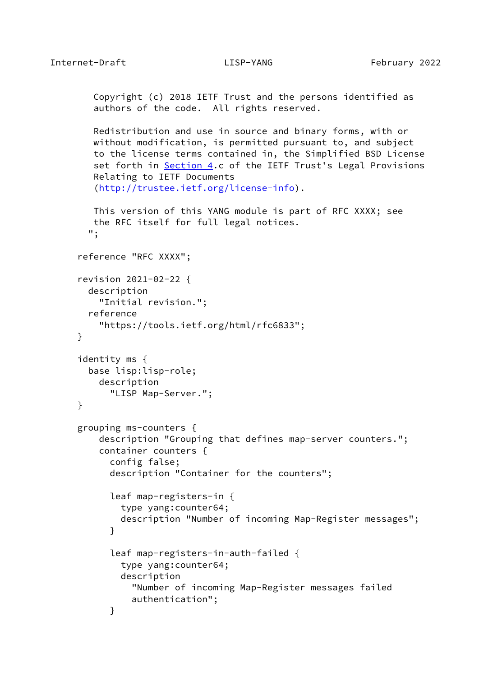}

}

```
 Copyright (c) 2018 IETF Trust and the persons identified as
         authors of the code. All rights reserved.
        Redistribution and use in source and binary forms, with or
        without modification, is permitted pursuant to, and subject
        to the license terms contained in, the Simplified BSD License
        Section 4.c of the IETF Trust's Legal Provisions
        Relating to IETF Documents
         (http://trustee.ietf.org/license-info).
        This version of this YANG module is part of RFC XXXX; see
        the RFC itself for full legal notices.
        ";
     reference "RFC XXXX";
     revision 2021-02-22 {
       description
          "Initial revision.";
       reference
          "https://tools.ietf.org/html/rfc6833";
     identity ms {
       base lisp:lisp-role;
         description
           "LISP Map-Server.";
     grouping ms-counters {
          description "Grouping that defines map-server counters.";
          container counters {
            config false;
            description "Container for the counters";
           leaf map-registers-in {
              type yang:counter64;
             description "Number of incoming Map-Register messages";
 }
            leaf map-registers-in-auth-failed {
              type yang:counter64;
             description
                "Number of incoming Map-Register messages failed
                authentication";
 }
```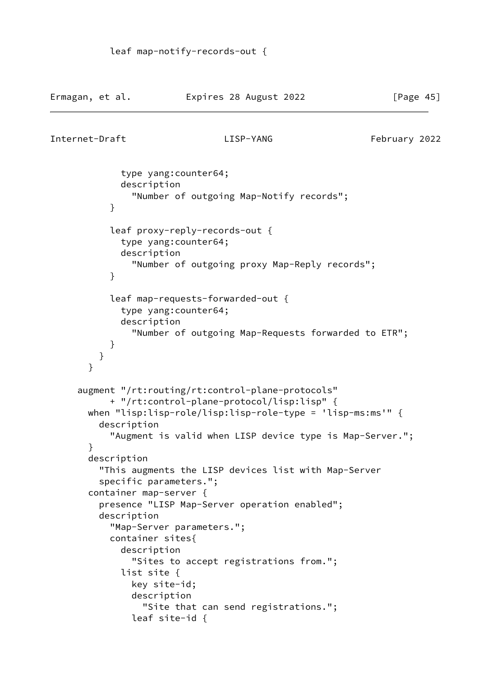Ermagan, et al. Expires 28 August 2022 [Page 45]

```
Internet-Draft LISP-YANG February 2022
```

```
 type yang:counter64;
              description
                "Number of outgoing Map-Notify records";
 }
            leaf proxy-reply-records-out {
              type yang:counter64;
              description
                "Number of outgoing proxy Map-Reply records";
 }
            leaf map-requests-forwarded-out {
              type yang:counter64;
              description
                "Number of outgoing Map-Requests forwarded to ETR";
 }
          }
       }
      augment "/rt:routing/rt:control-plane-protocols"
            + "/rt:control-plane-protocol/lisp:lisp" {
       when "lisp:lisp-role/lisp:lisp-role-type = 'lisp-ms:ms'" {
          description
            "Augment is valid when LISP device type is Map-Server.";
       }
       description
          "This augments the LISP devices list with Map-Server
          specific parameters.";
       container map-server {
          presence "LISP Map-Server operation enabled";
          description
            "Map-Server parameters.";
           container sites{
              description
                "Sites to accept registrations from.";
              list site {
                key site-id;
                description
                  "Site that can send registrations.";
                leaf site-id {
```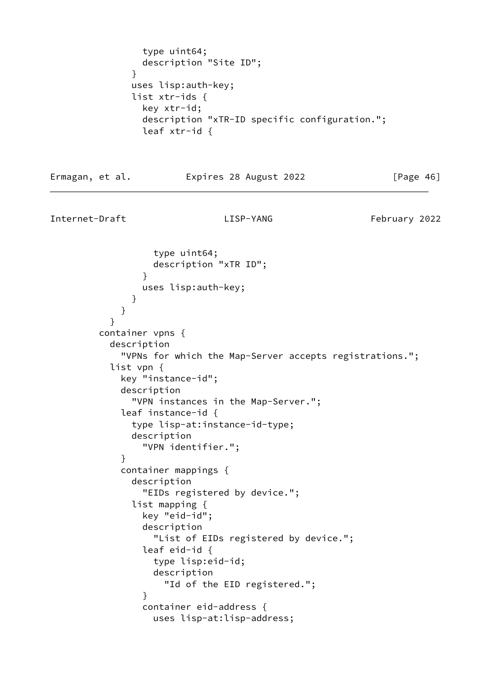```
 type uint64;
                description "Site ID";
 }
               uses lisp:auth-key;
               list xtr-ids {
                key xtr-id;
                description "xTR-ID specific configuration.";
                leaf xtr-id {
Ermagan, et al.             Expires 28 August 2022               [Page 46]
Internet-Draft LISP-YANG February 2022
                  type uint64;
                  description "xTR ID";
 }
                uses lisp:auth-key;
 }
 }
 }
         container vpns {
           description
             "VPNs for which the Map-Server accepts registrations.";
           list vpn {
             key "instance-id";
             description
               "VPN instances in the Map-Server.";
             leaf instance-id {
               type lisp-at:instance-id-type;
               description
                "VPN identifier.";
 }
             container mappings {
               description
                "EIDs registered by device.";
               list mapping {
                key "eid-id";
                description
                  "List of EIDs registered by device.";
                leaf eid-id {
                  type lisp:eid-id;
                  description
                    "Id of the EID registered.";
 }
                container eid-address {
                  uses lisp-at:lisp-address;
```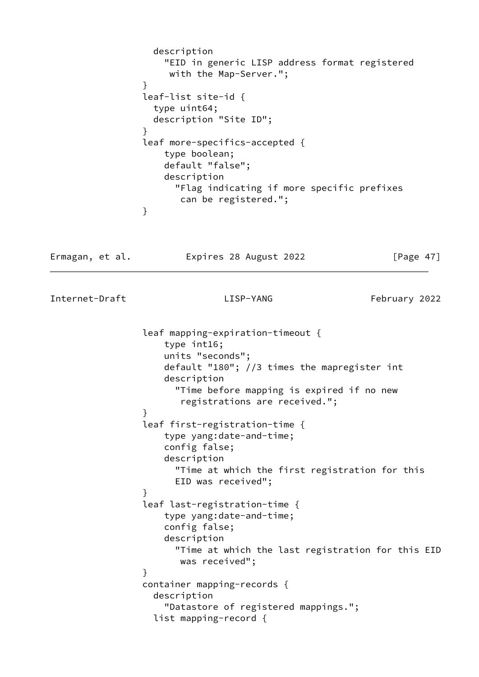|                 | description<br>"EID in generic LISP address format registered<br>with the Map-Server.";<br>$\mathcal{F}$<br>leaf-list site-id $\{$<br>type uint64;<br>description "Site ID";<br>$\mathcal{F}$<br>leaf more-specifics-accepted {<br>type boolean;<br>default "false";<br>description<br>"Flag indicating if more specific prefixes<br>can be registered.";<br>}                                                                                                 |               |
|-----------------|----------------------------------------------------------------------------------------------------------------------------------------------------------------------------------------------------------------------------------------------------------------------------------------------------------------------------------------------------------------------------------------------------------------------------------------------------------------|---------------|
| Ermagan, et al. | Expires 28 August 2022                                                                                                                                                                                                                                                                                                                                                                                                                                         | [Page $47$ ]  |
| Internet-Draft  | LISP-YANG                                                                                                                                                                                                                                                                                                                                                                                                                                                      | February 2022 |
|                 | leaf mapping-expiration-timeout {<br>type int16;<br>units "seconds";<br>default "180"; //3 times the mapregister int<br>description<br>"Time before mapping is expired if no new<br>registrations are received.";<br>}<br>leaf first-registration-time {<br>type yang:date-and-time;<br>config false;<br>description<br>"Time at which the first registration for this<br>EID was received";<br>}<br>leaf last-registration-time {<br>type yang:date-and-time; |               |
|                 | config false;<br>description<br>"Time at which the last registration for this EID<br>was received";<br>}<br>container mapping-records {<br>description<br>"Datastore of registered mappings.";<br>list mapping-record {                                                                                                                                                                                                                                        |               |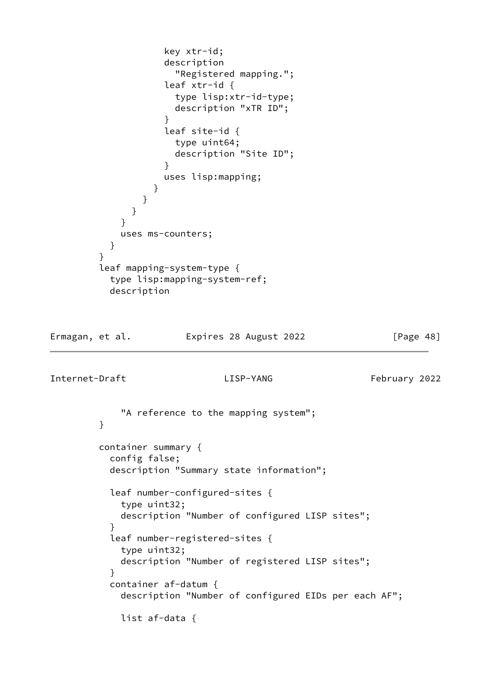```
 "Registered mapping.";
                  leaf xtr-id {
                    type lisp:xtr-id-type;
                    description "xTR ID";
 }
                  leaf site-id {
                    type uint64;
                    description "Site ID";
 }
                  uses lisp:mapping;
 }
 }
 }
 }
           uses ms-counters;
 }
 }
        leaf mapping-system-type {
          type lisp:mapping-system-ref;
          description
Ermagan, et al. 
Expires 28 August 2022

[Page 48]
Internet-Draft LISP-YANG February 2022
            "A reference to the mapping system";
        }
        container summary {
          config false;
          description "Summary state information";
          leaf number-configured-sites {
            type uint32;
           description "Number of configured LISP sites";
 }
          leaf number-registered-sites {
           type uint32;
           description "Number of registered LISP sites";
 }
          container af-datum {
           description "Number of configured EIDs per each AF";
           list af-data {
```
 key xtr-id; description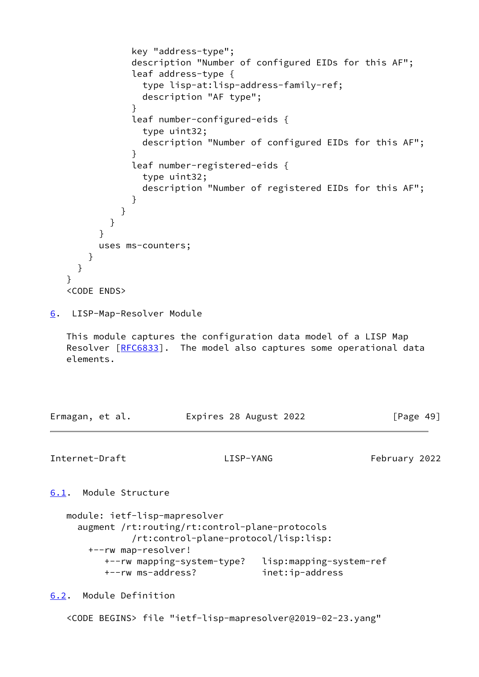```
 key "address-type";
              description "Number of configured EIDs for this AF";
              leaf address-type {
                type lisp-at:lisp-address-family-ref;
                description "AF type";
 }
              leaf number-configured-eids {
                type uint32;
                description "Number of configured EIDs for this AF";
 }
              leaf number-registered-eids {
                type uint32;
                description "Number of registered EIDs for this AF";
 }
 }
 }
 }
         uses ms-counters;
       }
     }
   }
   <CODE ENDS>
6. LISP-Map-Resolver Module
   This module captures the configuration data model of a LISP Map
  [RFC6833]. The model also captures some operational data
   elements.
Ermagan, et al.             Expires 28 August 2022               [Page 49]
Internet-Draft LISP-YANG February 2022
6.1. Module Structure
   module: ietf-lisp-mapresolver
```

```
 augment /rt:routing/rt:control-plane-protocols
          /rt:control-plane-protocol/lisp:lisp:
  +--rw map-resolver!
     +--rw mapping-system-type? lisp:mapping-system-ref
     +--rw ms-address? inet:ip-address
```
<span id="page-55-2"></span>[6.2](#page-55-2). Module Definition

<CODE BEGINS> file "ietf-lisp-mapresolver@2019-02-23.yang"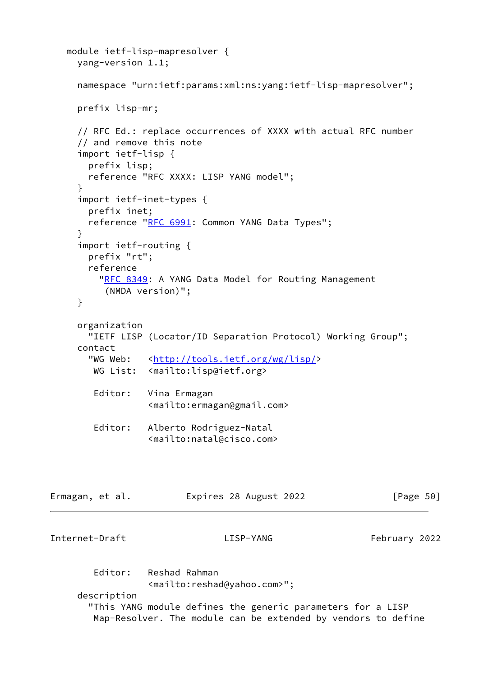```
 module ietf-lisp-mapresolver {
     yang-version 1.1;
     namespace "urn:ietf:params:xml:ns:yang:ietf-lisp-mapresolver";
     prefix lisp-mr;
      // RFC Ed.: replace occurrences of XXXX with actual RFC number
      // and remove this note
      import ietf-lisp {
       prefix lisp;
       reference "RFC XXXX: LISP YANG model";
      }
      import ietf-inet-types {
       prefix inet;
      RFC 6991: Common YANG Data Types";
      }
      import ietf-routing {
       prefix "rt";
       reference
         RFC 8349: A YANG Data Model for Routing Management
           (NMDA version)";
     }
     organization
       "IETF LISP (Locator/ID Separation Protocol) Working Group";
     contact
      <http://tools.ietf.org/wg/lisp/>
        WG List: <mailto:lisp@ietf.org>
        Editor: Vina Ermagan
                  <mailto:ermagan@gmail.com>
        Editor: Alberto Rodriguez-Natal
                  <mailto:natal@cisco.com>
Ermagan, et al.             Expires 28 August 2022               [Page 50]
Internet-Draft LISP-YANG February 2022
         Editor: Reshad Rahman
                  <mailto:reshad@yahoo.com>";
     description
        "This YANG module defines the generic parameters for a LISP
        Map-Resolver. The module can be extended by vendors to define
```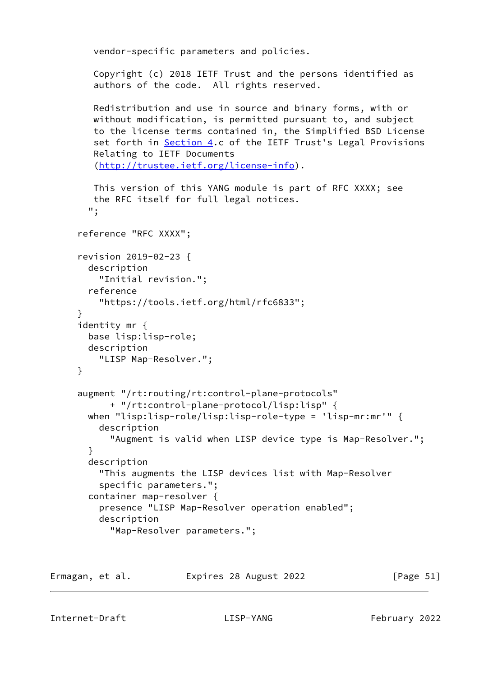```
 vendor-specific parameters and policies.
    Copyright (c) 2018 IETF Trust and the persons identified as
    authors of the code. All rights reserved.
    Redistribution and use in source and binary forms, with or
    without modification, is permitted pursuant to, and subject
    to the license terms contained in, the Simplified BSD License
   set forth in Section 4.c of the IETF Trust's Legal Provisions
    Relating to IETF Documents
    (http://trustee.ietf.org/license-info).
    This version of this YANG module is part of RFC XXXX; see
    the RFC itself for full legal notices.
   ";
 reference "RFC XXXX";
 revision 2019-02-23 {
   description
     "Initial revision.";
   reference
     "https://tools.ietf.org/html/rfc6833";
 }
 identity mr {
   base lisp:lisp-role;
   description
     "LISP Map-Resolver.";
 }
 augment "/rt:routing/rt:control-plane-protocols"
       + "/rt:control-plane-protocol/lisp:lisp" {
   when "lisp:lisp-role/lisp:lisp-role-type = 'lisp-mr:mr'" {
     description
       "Augment is valid when LISP device type is Map-Resolver.";
   }
   description
     "This augments the LISP devices list with Map-Resolver
     specific parameters.";
   container map-resolver {
     presence "LISP Map-Resolver operation enabled";
     description
       "Map-Resolver parameters.";
```
Ermagan, et al. Expires 28 August 2022 [Page 51]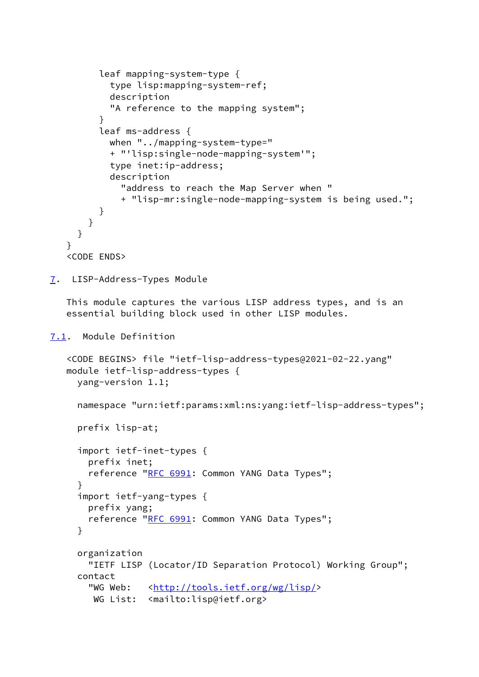```
 leaf mapping-system-type {
            type lisp:mapping-system-ref;
            description
            "A reference to the mapping system";
 }
          leaf ms-address {
            when "../mapping-system-type="
            + "'lisp:single-node-mapping-system'";
            type inet:ip-address;
            description
              "address to reach the Map Server when "
              + "lisp-mr:single-node-mapping-system is being used.";
          }
        }
      }
    }
    <CODE ENDS>
7. LISP-Address-Types Module
    This module captures the various LISP address types, and is an
    essential building block used in other LISP modules.
7.1. Module Definition
    <CODE BEGINS> file "ietf-lisp-address-types@2021-02-22.yang"
    module ietf-lisp-address-types {
      yang-version 1.1;
      namespace "urn:ietf:params:xml:ns:yang:ietf-lisp-address-types";
      prefix lisp-at;
      import ietf-inet-types {
        prefix inet;
       RFC 6991: Common YANG Data Types";
      }
      import ietf-yang-types {
        prefix yang;
       RFC 6991: Common YANG Data Types";
      }
      organization
        "IETF LISP (Locator/ID Separation Protocol) Working Group";
      contact
       <http://tools.ietf.org/wg/lisp/>
```

```
WG List: <mailto:lisp@ietf.org>
```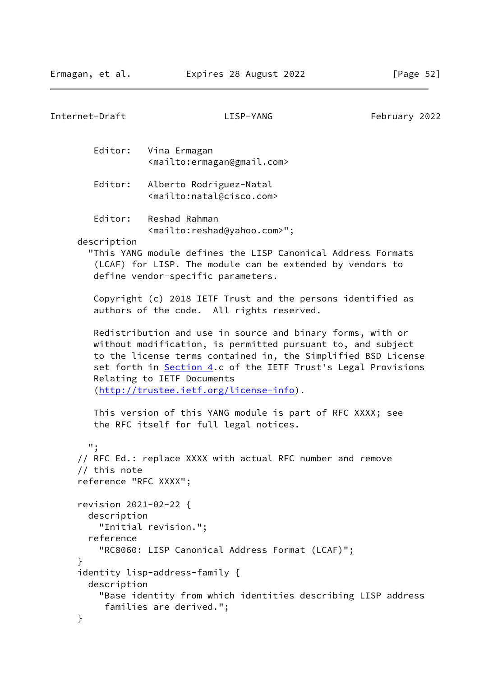```
Internet-Draft LISP-YANG February 2022
         Editor: Vina Ermagan
                   <mailto:ermagan@gmail.com>
         Editor: Alberto Rodriguez-Natal
                  <mailto:natal@cisco.com>
         Editor: Reshad Rahman
                   <mailto:reshad@yahoo.com>";
      description
        "This YANG module defines the LISP Canonical Address Formats
         (LCAF) for LISP. The module can be extended by vendors to
         define vendor-specific parameters.
         Copyright (c) 2018 IETF Trust and the persons identified as
         authors of the code. All rights reserved.
         Redistribution and use in source and binary forms, with or
        without modification, is permitted pursuant to, and subject
         to the license terms contained in, the Simplified BSD License
         Section 4.c of the IETF Trust's Legal Provisions
         Relating to IETF Documents
         (http://trustee.ietf.org/license-info).
         This version of this YANG module is part of RFC XXXX; see
         the RFC itself for full legal notices.
        ";
      // RFC Ed.: replace XXXX with actual RFC number and remove
      // this note
      reference "RFC XXXX";
      revision 2021-02-22 {
        description
          "Initial revision.";
        reference
          "RC8060: LISP Canonical Address Format (LCAF)";
      }
      identity lisp-address-family {
        description
          "Base identity from which identities describing LISP address
           families are derived.";
      }
```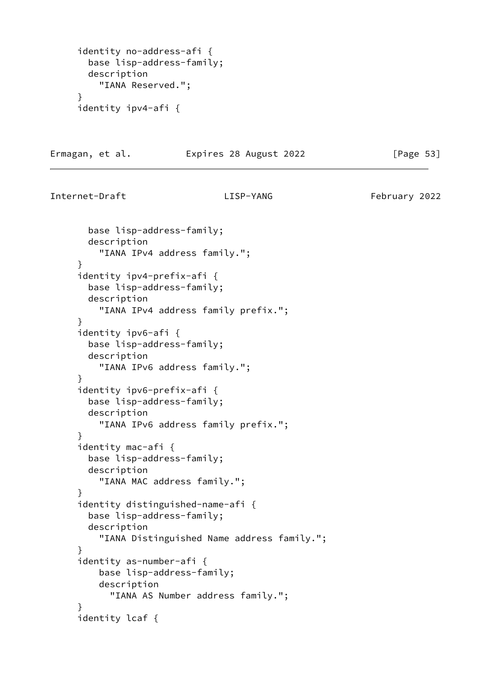```
 identity no-address-afi {
   base lisp-address-family;
   description
     "IANA Reserved.";
 }
 identity ipv4-afi {
```
Ermagan, et al. Expires 28 August 2022 [Page 53]

Internet-Draft LISP-YANG February 2022

 base lisp-address-family; description "IANA IPv4 address family."; } identity ipv4-prefix-afi { base lisp-address-family; description "IANA IPv4 address family prefix."; } identity ipv6-afi { base lisp-address-family; description "IANA IPv6 address family."; } identity ipv6-prefix-afi { base lisp-address-family; description "IANA IPv6 address family prefix."; } identity mac-afi { base lisp-address-family; description "IANA MAC address family."; } identity distinguished-name-afi { base lisp-address-family; description "IANA Distinguished Name address family."; } identity as-number-afi { base lisp-address-family; description "IANA AS Number address family."; } identity lcaf {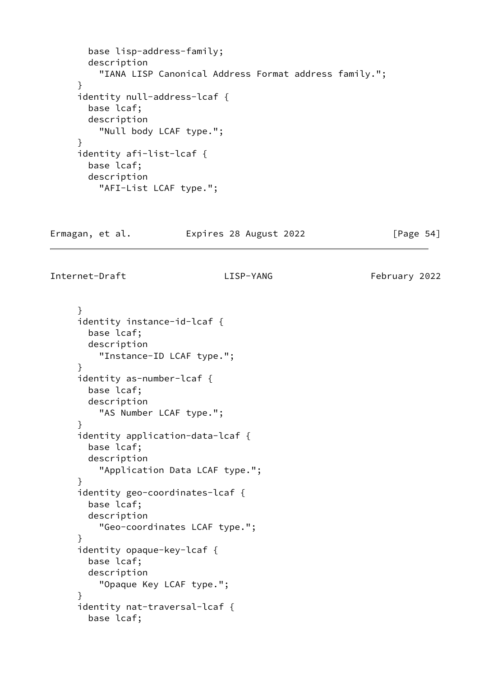```
 base lisp-address-family;
   description
     "IANA LISP Canonical Address Format address family.";
 }
 identity null-address-lcaf {
   base lcaf;
   description
     "Null body LCAF type.";
 }
 identity afi-list-lcaf {
   base lcaf;
   description
     "AFI-List LCAF type.";
```
Ermagan, et al. Expires 28 August 2022 [Page 54]

Internet-Draft LISP-YANG February 2022

 } identity instance-id-lcaf { base lcaf; description "Instance-ID LCAF type."; } identity as-number-lcaf { base lcaf; description "AS Number LCAF type."; } identity application-data-lcaf { base lcaf; description "Application Data LCAF type."; } identity geo-coordinates-lcaf { base lcaf; description "Geo-coordinates LCAF type."; } identity opaque-key-lcaf { base lcaf; description "Opaque Key LCAF type."; } identity nat-traversal-lcaf { base lcaf;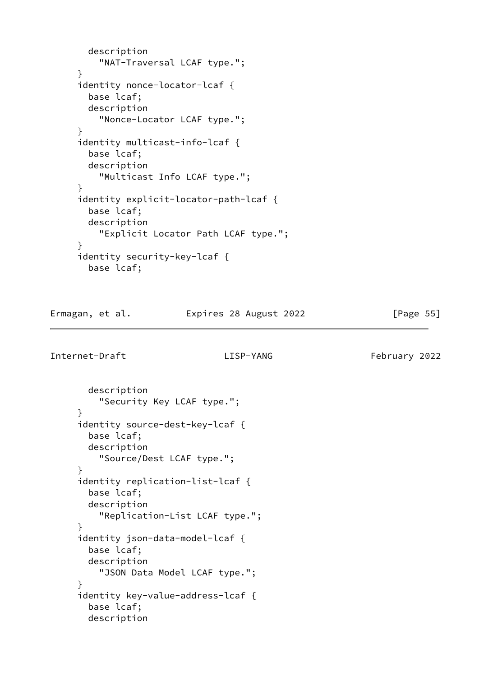```
 description
     "NAT-Traversal LCAF type.";
 }
 identity nonce-locator-lcaf {
   base lcaf;
   description
     "Nonce-Locator LCAF type.";
 }
 identity multicast-info-lcaf {
   base lcaf;
   description
     "Multicast Info LCAF type.";
 }
 identity explicit-locator-path-lcaf {
   base lcaf;
   description
     "Explicit Locator Path LCAF type.";
 }
 identity security-key-lcaf {
   base lcaf;
```
Ermagan, et al. Expires 28 August 2022 [Page 55]

```
 description
     "Security Key LCAF type.";
 }
 identity source-dest-key-lcaf {
   base lcaf;
   description
     "Source/Dest LCAF type.";
 }
 identity replication-list-lcaf {
   base lcaf;
   description
     "Replication-List LCAF type.";
 }
 identity json-data-model-lcaf {
   base lcaf;
   description
     "JSON Data Model LCAF type.";
 }
 identity key-value-address-lcaf {
   base lcaf;
   description
```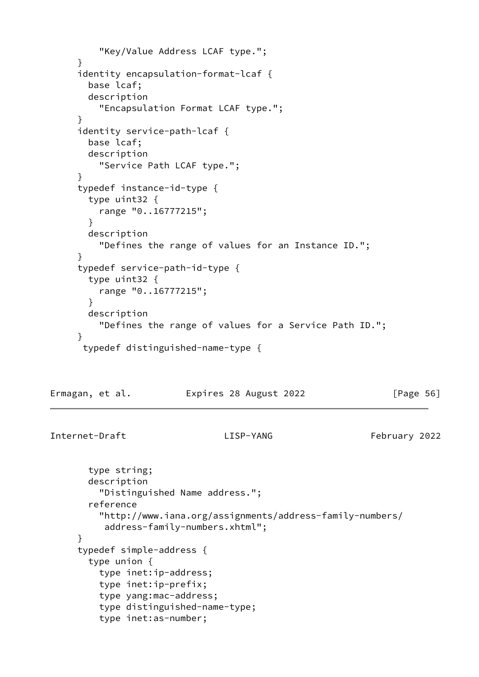```
 "Key/Value Address LCAF type.";
      }
      identity encapsulation-format-lcaf {
        base lcaf;
        description
          "Encapsulation Format LCAF type.";
      }
      identity service-path-lcaf {
        base lcaf;
        description
          "Service Path LCAF type.";
      }
      typedef instance-id-type {
        type uint32 {
          range "0..16777215";
        }
        description
          "Defines the range of values for an Instance ID.";
      }
      typedef service-path-id-type {
        type uint32 {
          range "0..16777215";
        }
       description
          "Defines the range of values for a Service Path ID.";
      }
      typedef distinguished-name-type {
Ermagan, et al. 
Expires 28 August 2022 [Page 56]
Internet-Draft LISP-YANG February 2022
        type string;
        description
          "Distinguished Name address.";
        reference
          "http://www.iana.org/assignments/address-family-numbers/
           address-family-numbers.xhtml";
      }
      typedef simple-address {
        type union {
          type inet:ip-address;
          type inet:ip-prefix;
          type yang:mac-address;
          type distinguished-name-type;
          type inet:as-number;
```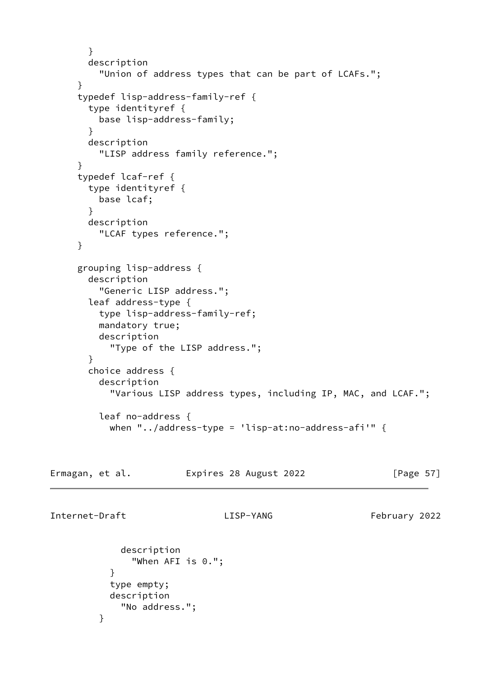```
 }
        description
          "Union of address types that can be part of LCAFs.";
      }
      typedef lisp-address-family-ref {
        type identityref {
          base lisp-address-family;
        }
        description
          "LISP address family reference.";
      }
      typedef lcaf-ref {
        type identityref {
          base lcaf;
        }
        description
          "LCAF types reference.";
      }
      grouping lisp-address {
        description
          "Generic LISP address.";
        leaf address-type {
          type lisp-address-family-ref;
          mandatory true;
          description
            "Type of the LISP address.";
        }
        choice address {
          description
            "Various LISP address types, including IP, MAC, and LCAF.";
          leaf no-address {
           when "../address-type = 'lisp-at:no-address-afi'" \{Ermagan, et al.             Expires 28 August 2022               [Page 57]
```
Internet-Draft LISP-YANG February 2022

}

```
 description
               "When AFI is 0.";
 }
           type empty;
           description
             "No address.";
```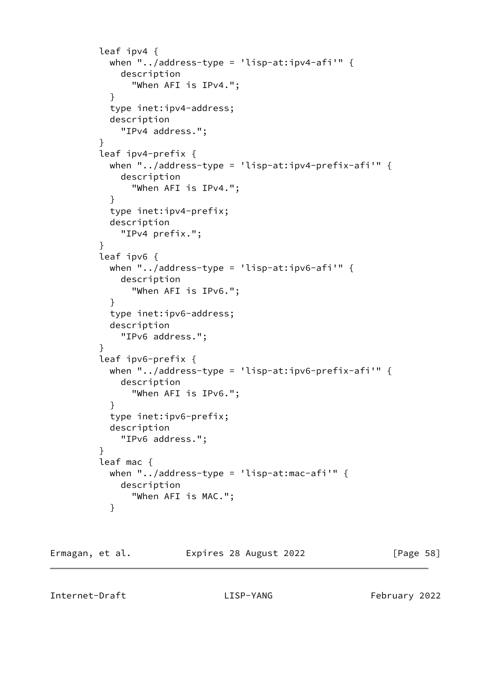```
 leaf ipv4 {
          when "../address-type = 'lisp-at:ipv4-afi'" \{ description
               "When AFI is IPv4.";
 }
           type inet:ipv4-address;
           description
             "IPv4 address.";
 }
         leaf ipv4-prefix {
          when "../address-type = 'lisp-at:ipv4-prefix-afi'" {
             description
               "When AFI is IPv4.";
 }
           type inet:ipv4-prefix;
           description
             "IPv4 prefix.";
 }
         leaf ipv6 {
           when "../address-type = 'lisp-at:ipv6-afi'" {
             description
               "When AFI is IPv6.";
 }
           type inet:ipv6-address;
           description
             "IPv6 address.";
 }
         leaf ipv6-prefix {
          when "../address-type = 'lisp-at:ipv6-prefix-afi'" \{ description
               "When AFI is IPv6.";
 }
           type inet:ipv6-prefix;
           description
             "IPv6 address.";
         }
         leaf mac {
           when "../address-type = 'lisp-at:mac-afi'" {
             description
               "When AFI is MAC.";
 }
```

| Ermagan, et al. | Expires 28 August 2022 | [Page 58] |
|-----------------|------------------------|-----------|
|                 |                        |           |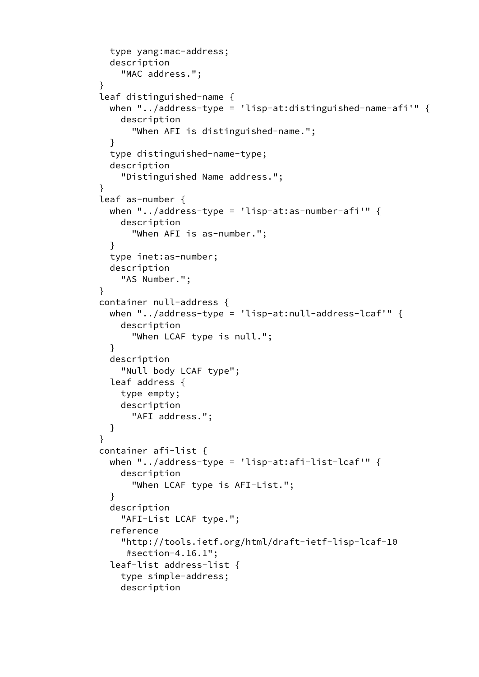```
 type yang:mac-address;
           description
             "MAC address.";
 }
         leaf distinguished-name {
           when "../address-type = 'lisp-at:distinguished-name-afi'" {
             description
                "When AFI is distinguished-name.";
 }
           type distinguished-name-type;
           description
             "Distinguished Name address.";
 }
         leaf as-number {
          when "../address-type = 'lisp-at:as-number-afi'" \{ description
               "When AFI is as-number.";
 }
           type inet:as-number;
           description
             "AS Number.";
         }
         container null-address {
           when "../address-type = 'lisp-at:null-address-lcaf'" {
             description
               "When LCAF type is null.";
 }
           description
             "Null body LCAF type";
           leaf address {
             type empty;
             description
               "AFI address.";
           }
 }
         container afi-list {
           when "../address-type = 'lisp-at:afi-list-lcaf'" {
             description
               "When LCAF type is AFI-List.";
 }
           description
             "AFI-List LCAF type.";
           reference
             "http://tools.ietf.org/html/draft-ietf-lisp-lcaf-10
              #section-4.16.1";
           leaf-list address-list {
             type simple-address;
             description
```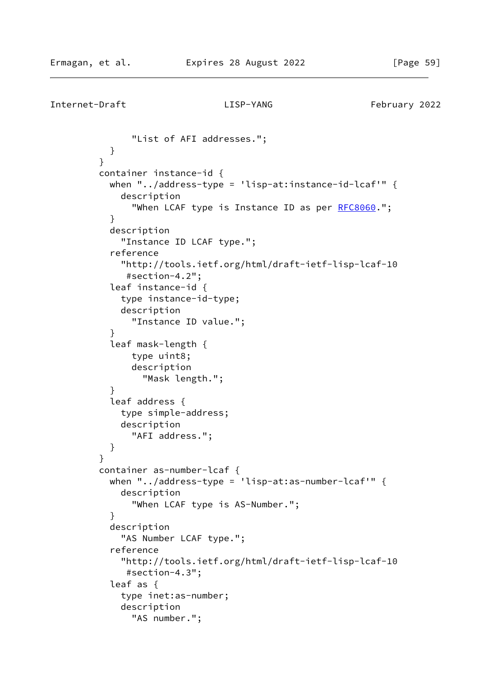```
Internet-Draft LISP-YANG February 2022
              "List of AFI addresses.";
 }
 }
         container instance-id {
         when "../address-type = 'lisp-at:instance-id-lcaf'" \{ description
              RFC8060.";
 }
          description
            "Instance ID LCAF type.";
           reference
            "http://tools.ietf.org/html/draft-ietf-lisp-lcaf-10
             #section-4.2";
           leaf instance-id {
            type instance-id-type;
            description
              "Instance ID value.";
 }
           leaf mask-length {
              type uint8;
              description
                "Mask length.";
 }
           leaf address {
            type simple-address;
            description
              "AFI address.";
 }
 }
         container as-number-lcaf {
         when "../address-type = 'lisp-at:as-number-lcaf'" \{ description
              "When LCAF type is AS-Number.";
 }
           description
            "AS Number LCAF type.";
           reference
            "http://tools.ietf.org/html/draft-ietf-lisp-lcaf-10
             #section-4.3";
           leaf as {
            type inet:as-number;
            description
              "AS number.";
```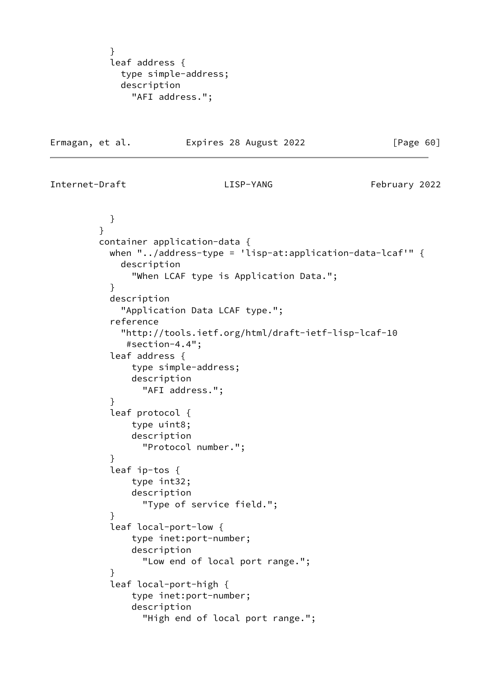} leaf address { type simple-address; description "AFI address.";

Ermagan, et al. Expires 28 August 2022 [Page 60]

Internet-Draft LISP-YANG February 2022

 } } container application-data { when "../address-type = 'lisp-at:application-data-lcaf'" { description "When LCAF type is Application Data."; } description "Application Data LCAF type."; reference "http://tools.ietf.org/html/draft-ietf-lisp-lcaf-10 #section-4.4"; leaf address { type simple-address; description "AFI address."; } leaf protocol { type uint8; description "Protocol number."; } leaf ip-tos { type int32; description "Type of service field."; } leaf local-port-low { type inet:port-number; description "Low end of local port range."; } leaf local-port-high { type inet:port-number; description "High end of local port range.";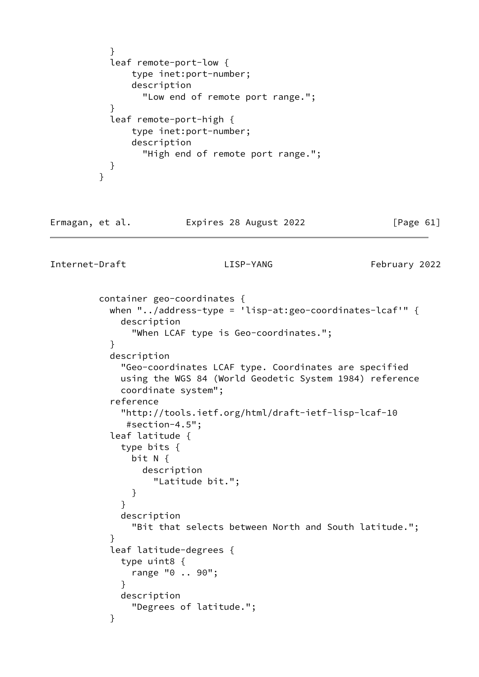```
 }
           leaf remote-port-low {
              type inet:port-number;
              description
                "Low end of remote port range.";
 }
           leaf remote-port-high {
              type inet:port-number;
              description
                "High end of remote port range.";
 }
         }
```
### Ermagan, et al. 
Expires 28 August 2022

[Page 61]

```
 container geo-coordinates {
           when "../address-type = 'lisp-at:geo-coordinates-lcaf'" {
             description
               "When LCAF type is Geo-coordinates.";
 }
           description
             "Geo-coordinates LCAF type. Coordinates are specified
             using the WGS 84 (World Geodetic System 1984) reference
             coordinate system";
           reference
             "http://tools.ietf.org/html/draft-ietf-lisp-lcaf-10
              #section-4.5";
           leaf latitude {
             type bits {
               bit N {
                 description
                   "Latitude bit.";
 }
 }
             description
               "Bit that selects between North and South latitude.";
 }
           leaf latitude-degrees {
             type uint8 {
               range "0 .. 90";
 }
             description
               "Degrees of latitude.";
 }
```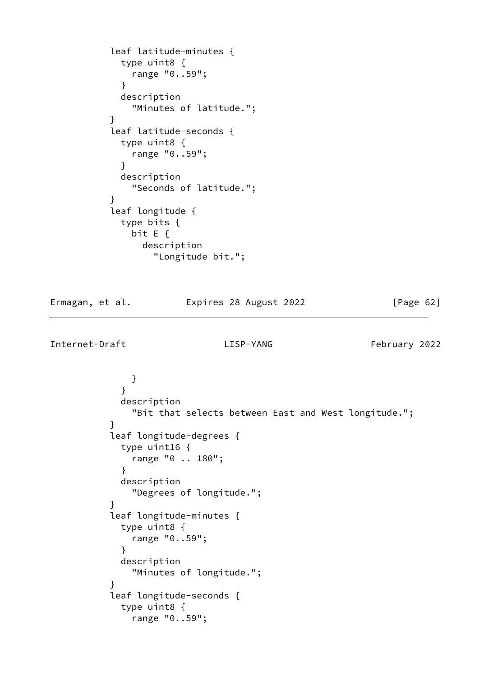```
 leaf latitude-minutes {
             type uint8 {
              range "0..59";
 }
            description
              "Minutes of latitude.";
 }
           leaf latitude-seconds {
            type uint8 {
              range "0..59";
 }
            description
              "Seconds of latitude.";
 }
           leaf longitude {
            type bits {
              bit E {
                description
                  "Longitude bit.";
```
Ermagan, et al. Expires 28 August 2022 [Page 62]

```
 }
 }
            description
             "Bit that selects between East and West longitude.";
 }
          leaf longitude-degrees {
            type uint16 {
             range "0 .. 180";
 }
            description
             "Degrees of longitude.";
 }
          leaf longitude-minutes {
            type uint8 {
             range "0..59";
 }
            description
             "Minutes of longitude.";
 }
          leaf longitude-seconds {
            type uint8 {
             range "0..59";
```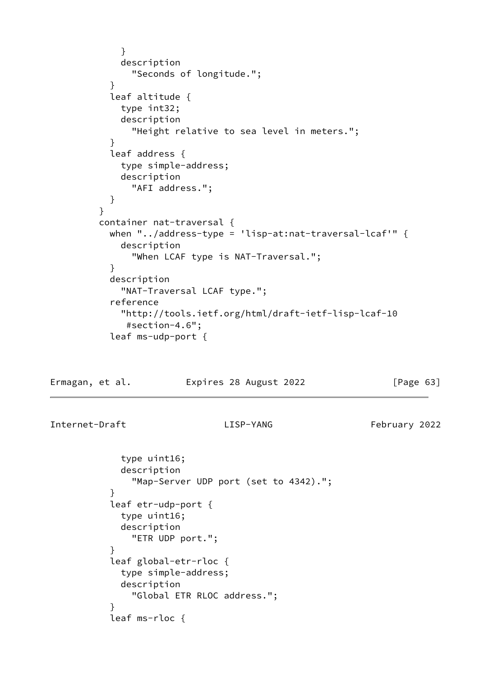```
 }
             description
               "Seconds of longitude.";
 }
           leaf altitude {
             type int32;
             description
               "Height relative to sea level in meters.";
 }
           leaf address {
             type simple-address;
             description
               "AFI address.";
 }
 }
         container nat-traversal {
           when "../address-type = 'lisp-at:nat-traversal-lcaf'" {
             description
               "When LCAF type is NAT-Traversal.";
 }
           description
             "NAT-Traversal LCAF type.";
           reference
             "http://tools.ietf.org/html/draft-ietf-lisp-lcaf-10
              #section-4.6";
           leaf ms-udp-port {
```
Ermagan, et al. **Expires 28 August 2022** [Page 63]

```
 type uint16;
             description
               "Map-Server UDP port (set to 4342).";
 }
           leaf etr-udp-port {
             type uint16;
             description
               "ETR UDP port.";
 }
           leaf global-etr-rloc {
             type simple-address;
             description
               "Global ETR RLOC address.";
 }
           leaf ms-rloc {
```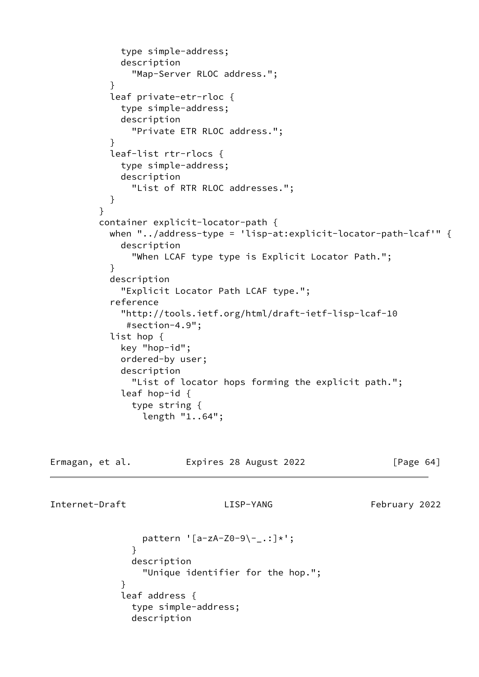```
 type simple-address;
             description
               "Map-Server RLOC address.";
 }
           leaf private-etr-rloc {
             type simple-address;
             description
               "Private ETR RLOC address.";
 }
           leaf-list rtr-rlocs {
             type simple-address;
             description
               "List of RTR RLOC addresses.";
 }
 }
         container explicit-locator-path {
           when "../address-type = 'lisp-at:explicit-locator-path-lcaf'" {
             description
               "When LCAF type type is Explicit Locator Path.";
 }
           description
             "Explicit Locator Path LCAF type.";
           reference
             "http://tools.ietf.org/html/draft-ietf-lisp-lcaf-10
              #section-4.9";
           list hop {
             key "hop-id";
             ordered-by user;
             description
               "List of locator hops forming the explicit path.";
             leaf hop-id {
               type string {
                 length "1..64";
```

| Ermagan, et al. | Expires 28 August 2022 | [Page 64] |
|-----------------|------------------------|-----------|
|                 |                        |           |
|                 |                        |           |

```
Internet-Draft LISP-YANG February 2022
```

```
pattern '[a-zA-Z0-9\-_.:]*';
 }
              description
               "Unique identifier for the hop.";
 }
            leaf address {
              type simple-address;
              description
```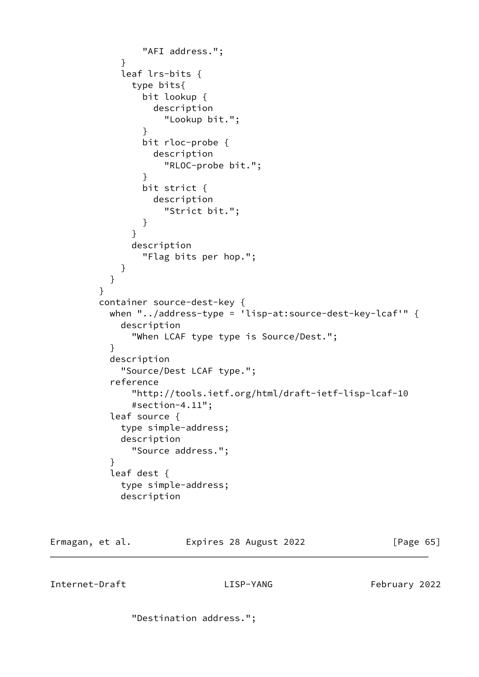```
 "AFI address.";
 }
            leaf lrs-bits {
              type bits{
                bit lookup {
                  description
                    "Lookup bit.";
 }
                bit rloc-probe {
                 description
                    "RLOC-probe bit.";
 }
                bit strict {
                  description
                    "Strict bit.";
 }
 }
              description
                "Flag bits per hop.";
 }
 }
         }
         container source-dest-key {
          when "../address-type = 'lisp-at:source-dest-key-lcaf'" {
            description
              "When LCAF type type is Source/Dest.";
 }
          description
            "Source/Dest LCAF type.";
          reference
              "http://tools.ietf.org/html/draft-ietf-lisp-lcaf-10
              #section-4.11";
          leaf source {
            type simple-address;
            description
              "Source address.";
 }
          leaf dest {
            type simple-address;
            description
```
Ermagan, et al. 
Expires 28 August 2022

[Page 65]

Internet-Draft LISP-YANG February 2022

"Destination address.";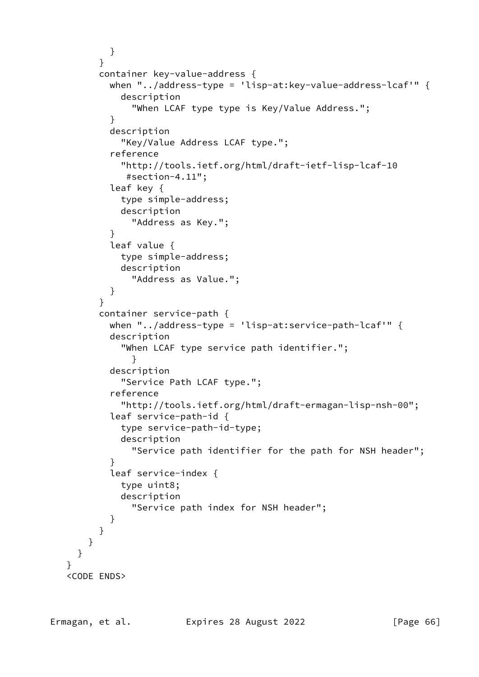```
 }
         }
         container key-value-address {
           when "../address-type = 'lisp-at:key-value-address-lcaf'" {
             description
               "When LCAF type type is Key/Value Address.";
 }
           description
             "Key/Value Address LCAF type.";
           reference
             "http://tools.ietf.org/html/draft-ietf-lisp-lcaf-10
              #section-4.11";
           leaf key {
             type simple-address;
             description
               "Address as Key.";
 }
           leaf value {
             type simple-address;
             description
               "Address as Value.";
 }
 }
         container service-path {
          when "../address-type = 'lisp-at:service-path-lcaf'" \{ description
             "When LCAF type service path identifier.";
 }
           description
             "Service Path LCAF type.";
           reference
             "http://tools.ietf.org/html/draft-ermagan-lisp-nsh-00";
           leaf service-path-id {
             type service-path-id-type;
             description
               "Service path identifier for the path for NSH header";
 }
           leaf service-index {
             type uint8;
             description
               "Service path index for NSH header";
 }
         }
       }
   <CODE ENDS>
```
}

}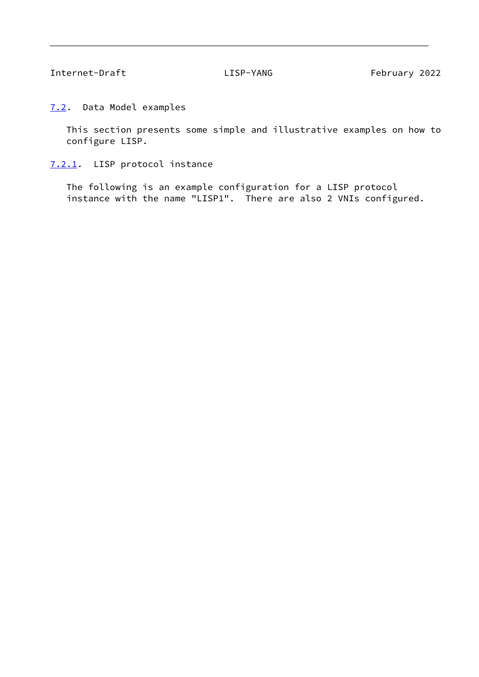Internet-Draft LISP-YANG February 2022

<span id="page-75-0"></span>[7.2](#page-75-0). Data Model examples

 This section presents some simple and illustrative examples on how to configure LISP.

<span id="page-75-1"></span>[7.2.1](#page-75-1). LISP protocol instance

 The following is an example configuration for a LISP protocol instance with the name "LISP1". There are also 2 VNIs configured.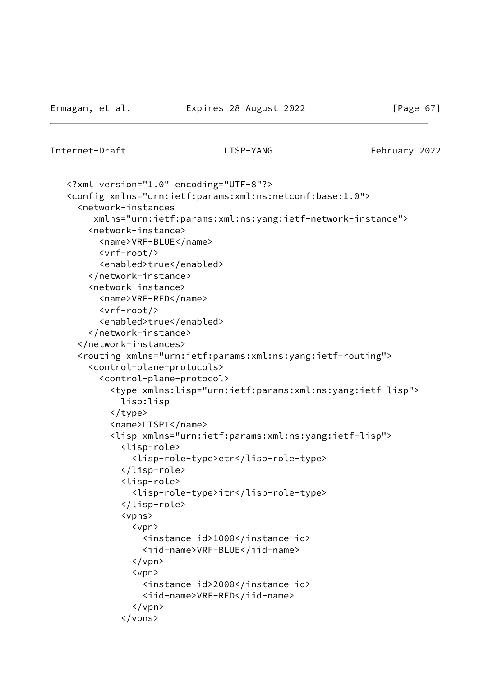```
Internet-Draft LISP-YANG February 2022
```

```
 <?xml version="1.0" encoding="UTF-8"?>
 <config xmlns="urn:ietf:params:xml:ns:netconf:base:1.0">
   <network-instances
      xmlns="urn:ietf:params:xml:ns:yang:ietf-network-instance">
     <network-instance>
       <name>VRF-BLUE</name>
       <vrf-root/>
       <enabled>true</enabled>
     </network-instance>
     <network-instance>
       <name>VRF-RED</name>
       <vrf-root/>
       <enabled>true</enabled>
     </network-instance>
   </network-instances>
   <routing xmlns="urn:ietf:params:xml:ns:yang:ietf-routing">
     <control-plane-protocols>
       <control-plane-protocol>
         <type xmlns:lisp="urn:ietf:params:xml:ns:yang:ietf-lisp">
           lisp:lisp
         </type>
         <name>LISP1</name>
         <lisp xmlns="urn:ietf:params:xml:ns:yang:ietf-lisp">
            <lisp-role>
              <lisp-role-type>etr</lisp-role-type>
           </lisp-role>
           <lisp-role>
              <lisp-role-type>itr</lisp-role-type>
            </lisp-role>
            <vpns>
              <vpn>
                <instance-id>1000</instance-id>
                <iid-name>VRF-BLUE</iid-name>
             \langle/vpn\rangle <vpn>
                <instance-id>2000</instance-id>
                <iid-name>VRF-RED</iid-name>
             \langle/vpn\rangle </vpns>
```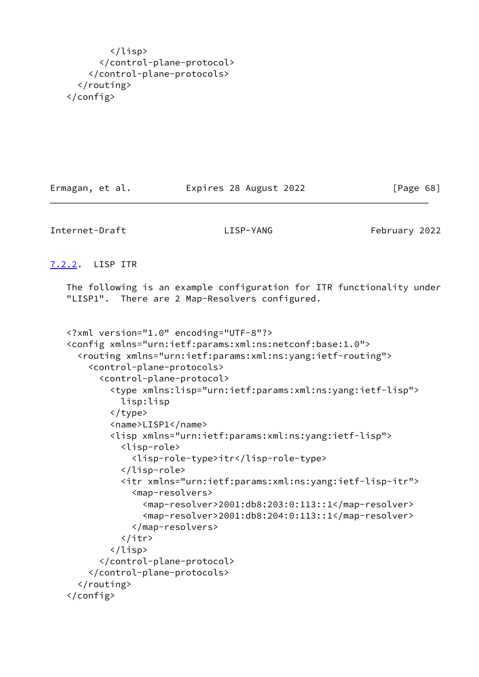</lisp> </control-plane-protocol> </control-plane-protocols> </routing> </config>

Ermagan, et al. 
Expires 28 August 2022

[Page 68]

Internet-Draft LISP-YANG February 2022

<span id="page-77-0"></span>[7.2.2](#page-77-0). LISP ITR

 The following is an example configuration for ITR functionality under "LISP1". There are 2 Map-Resolvers configured.

```
 <?xml version="1.0" encoding="UTF-8"?>
 <config xmlns="urn:ietf:params:xml:ns:netconf:base:1.0">
   <routing xmlns="urn:ietf:params:xml:ns:yang:ietf-routing">
     <control-plane-protocols>
       <control-plane-protocol>
         <type xmlns:lisp="urn:ietf:params:xml:ns:yang:ietf-lisp">
           lisp:lisp
         </type>
         <name>LISP1</name>
         <lisp xmlns="urn:ietf:params:xml:ns:yang:ietf-lisp">
           <lisp-role>
             <lisp-role-type>itr</lisp-role-type>
           </lisp-role>
           <itr xmlns="urn:ietf:params:xml:ns:yang:ietf-lisp-itr">
             <map-resolvers>
               <map-resolver>2001:db8:203:0:113::1</map-resolver>
               <map-resolver>2001:db8:204:0:113::1</map-resolver>
             </map-resolvers>
           </itr>
         </lisp>
       </control-plane-protocol>
     </control-plane-protocols>
   </routing>
 </config>
```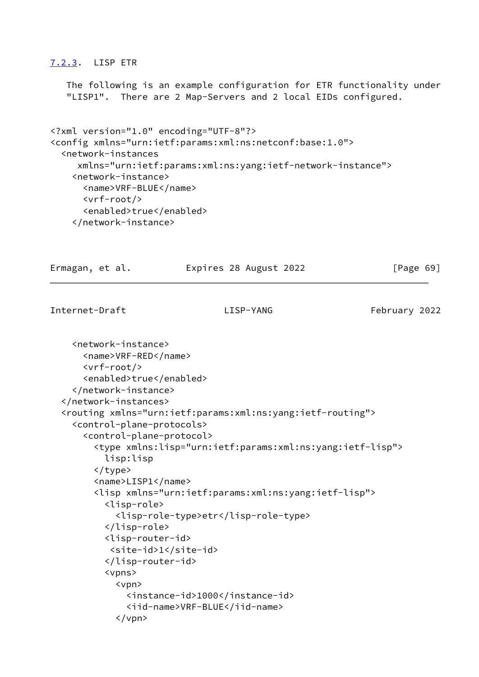# <span id="page-78-0"></span>[7.2.3](#page-78-0). LISP ETR

 The following is an example configuration for ETR functionality under "LISP1". There are 2 Map-Servers and 2 local EIDs configured.

```
<?xml version="1.0" encoding="UTF-8"?>
<config xmlns="urn:ietf:params:xml:ns:netconf:base:1.0">
   <network-instances
      xmlns="urn:ietf:params:xml:ns:yang:ietf-network-instance">
     <network-instance>
       <name>VRF-BLUE</name>
       <vrf-root/>
       <enabled>true</enabled>
     </network-instance>
```

```
Ermagan, et al.             Expires 28 August 2022               [Page 69]
Internet-Draft LISP-YANG February 2022
     <network-instance>
       <name>VRF-RED</name>
       <vrf-root/>
       <enabled>true</enabled>
     </network-instance>
   </network-instances>
   <routing xmlns="urn:ietf:params:xml:ns:yang:ietf-routing">
     <control-plane-protocols>
       <control-plane-protocol>
         <type xmlns:lisp="urn:ietf:params:xml:ns:yang:ietf-lisp">
           lisp:lisp
         </type>
         <name>LISP1</name>
         <lisp xmlns="urn:ietf:params:xml:ns:yang:ietf-lisp">
           <lisp-role>
             <lisp-role-type>etr</lisp-role-type>
           </lisp-role>
           <lisp-router-id>
            <site-id>1</site-id>
           </lisp-router-id>
           <vpns>
             <vpn>
               <instance-id>1000</instance-id>
               <iid-name>VRF-BLUE</iid-name>
             </vpn>
```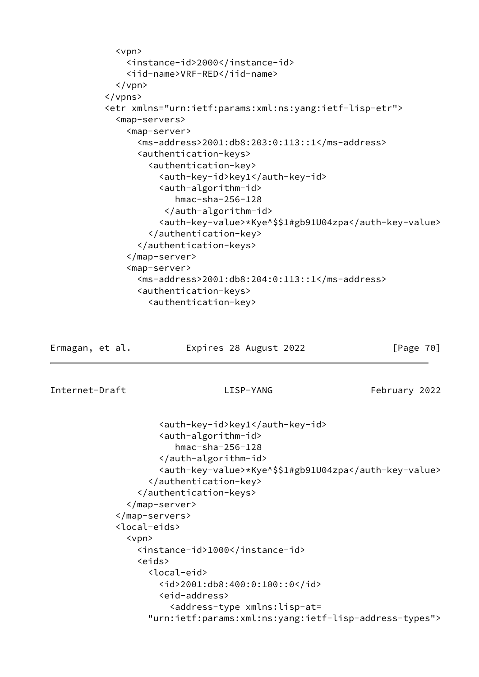```
 <vpn>
     <instance-id>2000</instance-id>
     <iid-name>VRF-RED</iid-name>
  \langle/vpn\rangle </vpns>
 <etr xmlns="urn:ietf:params:xml:ns:yang:ietf-lisp-etr">
   <map-servers>
     <map-server>
       <ms-address>2001:db8:203:0:113::1</ms-address>
       <authentication-keys>
         <authentication-key>
           <auth-key-id>key1</auth-key-id>
           <auth-algorithm-id>
              hmac-sha-256-128
            </auth-algorithm-id>
           <auth-key-value>*Kye^$$1#gb91U04zpa</auth-key-value>
         </authentication-key>
       </authentication-keys>
     </map-server>
     <map-server>
       <ms-address>2001:db8:204:0:113::1</ms-address>
       <authentication-keys>
         <authentication-key>
```
Ermagan, et al. Expires 28 August 2022 [Page 70]

Internet-Draft LISP-YANG February 2022

```
 <auth-key-id>key1</auth-key-id>
         <auth-algorithm-id>
            hmac-sha-256-128
         </auth-algorithm-id>
         <auth-key-value>*Kye^$$1#gb91U04zpa</auth-key-value>
       </authentication-key>
     </authentication-keys>
   </map-server>
 </map-servers>
 <local-eids>
   <vpn>
     <instance-id>1000</instance-id>
     <eids>
       <local-eid>
         <id>2001:db8:400:0:100::0</id>
         <eid-address>
           <address-type xmlns:lisp-at=
       "urn:ietf:params:xml:ns:yang:ietf-lisp-address-types">
```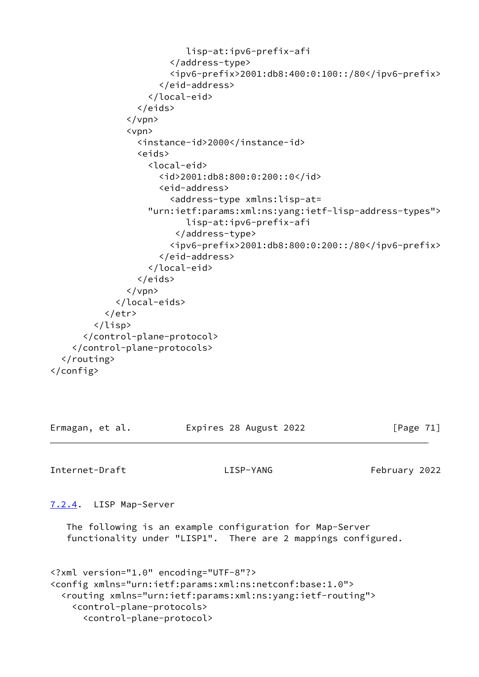```
 lisp-at:ipv6-prefix-afi
                         </address-type>
                         <ipv6-prefix>2001:db8:400:0:100::/80</ipv6-prefix>
                       </eid-address>
                    </local-eid>
                  </eids>
                </vpn>
                <vpn>
                  <instance-id>2000</instance-id>
                  <eids>
                    <local-eid>
                      <id>2001:db8:800:0:200::0</id>
                       <eid-address>
                         <address-type xmlns:lisp-at=
                    "urn:ietf:params:xml:ns:yang:ietf-lisp-address-types">
                            lisp-at:ipv6-prefix-afi
                          </address-type>
                         <ipv6-prefix>2001:db8:800:0:200::/80</ipv6-prefix>
                       </eid-address>
                    </local-eid>
                  </eids>
               \langle/vpn\rangle </local-eids>
           </etr>
         </lisp>
       </control-plane-protocol>
     </control-plane-protocols>
   </routing>
</config>
```

| Ermagan, et al. | Expires 28 August 2022 | [Page 71] |
|-----------------|------------------------|-----------|
|                 |                        |           |

Internet-Draft LISP-YANG February 2022

<span id="page-80-0"></span>[7.2.4](#page-80-0). LISP Map-Server

 The following is an example configuration for Map-Server functionality under "LISP1". There are 2 mappings configured.

```
<?xml version="1.0" encoding="UTF-8"?>
<config xmlns="urn:ietf:params:xml:ns:netconf:base:1.0">
   <routing xmlns="urn:ietf:params:xml:ns:yang:ietf-routing">
     <control-plane-protocols>
       <control-plane-protocol>
```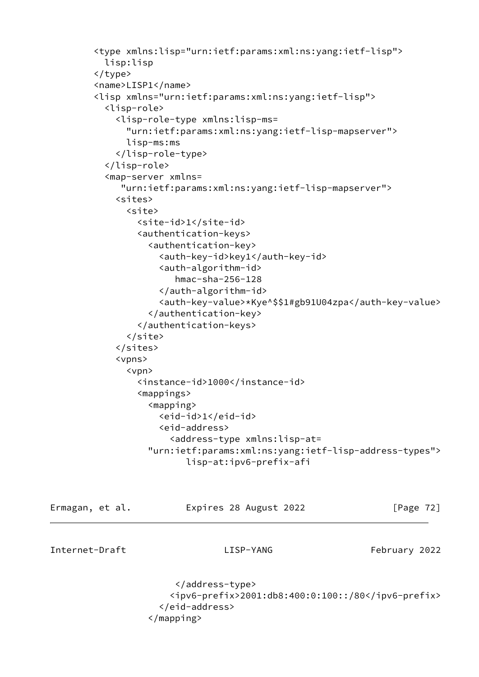```
 <type xmlns:lisp="urn:ietf:params:xml:ns:yang:ietf-lisp">
           lisp:lisp
         </type>
         <name>LISP1</name>
         <lisp xmlns="urn:ietf:params:xml:ns:yang:ietf-lisp">
           <lisp-role>
             <lisp-role-type xmlns:lisp-ms=
               "urn:ietf:params:xml:ns:yang:ietf-lisp-mapserver">
               lisp-ms:ms
             </lisp-role-type>
           </lisp-role>
           <map-server xmlns=
              "urn:ietf:params:xml:ns:yang:ietf-lisp-mapserver">
             <sites>
               <site>
                 <site-id>1</site-id>
                 <authentication-keys>
                   <authentication-key>
                     <auth-key-id>key1</auth-key-id>
                     <auth-algorithm-id>
                        hmac-sha-256-128
                     </auth-algorithm-id>
                     <auth-key-value>*Kye^$$1#gb91U04zpa</auth-key-value>
                   </authentication-key>
                 </authentication-keys>
               </site>
             </sites>
             <vpns>
               <vpn>
                 <instance-id>1000</instance-id>
                 <mappings>
                   <mapping>
                     <eid-id>1</eid-id>
                     <eid-address>
                       <address-type xmlns:lisp-at=
                   "urn:ietf:params:xml:ns:yang:ietf-lisp-address-types">
                          lisp-at:ipv6-prefix-afi
Ermagan, et al.             Expires 28 August 2022               [Page 72]
Internet-Draft LISP-YANG February 2022
```
 </address-type> <ipv6-prefix>2001:db8:400:0:100::/80</ipv6-prefix> </eid-address> </mapping>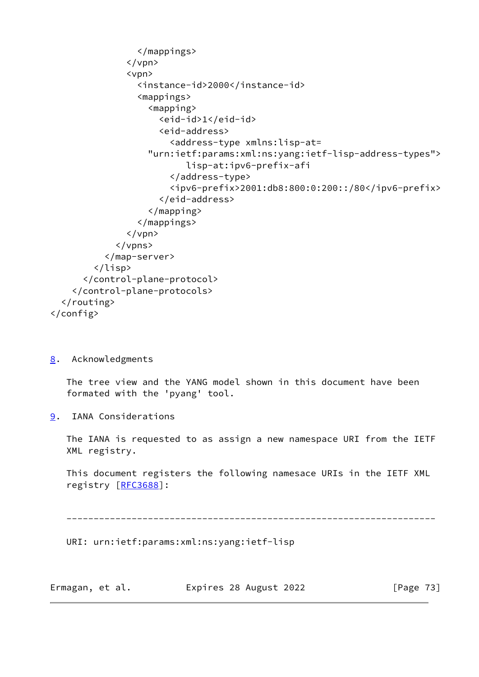```
 </mappings>
               \langle/vpn\rangle <vpn>
                   <instance-id>2000</instance-id>
                   <mappings>
                     <mapping>
                       <eid-id>1</eid-id>
                       <eid-address>
                          <address-type xmlns:lisp-at=
                     "urn:ietf:params:xml:ns:yang:ietf-lisp-address-types">
                             lisp-at:ipv6-prefix-afi
                          </address-type>
                          <ipv6-prefix>2001:db8:800:0:200::/80</ipv6-prefix>
                       </eid-address>
                     </mapping>
                   </mappings>
               \langle/vpn\rangle </vpns>
            </map-server>
          </lisp>
       </control-plane-protocol>
     </control-plane-protocols>
   </routing>
</config>
```
<span id="page-82-0"></span>[8](#page-82-0). Acknowledgments

 The tree view and the YANG model shown in this document have been formated with the 'pyang' tool.

<span id="page-82-1"></span>[9](#page-82-1). IANA Considerations

 The IANA is requested to as assign a new namespace URI from the IETF XML registry.

 This document registers the following namesace URIs in the IETF XML registry [\[RFC3688](https://datatracker.ietf.org/doc/pdf/rfc3688)]:

--------------------------------------------------------------------

URI: urn:ietf:params:xml:ns:yang:ietf-lisp

| Ermagan, et al. | Expires 28 August 2022 | [Page 73] |
|-----------------|------------------------|-----------|
|-----------------|------------------------|-----------|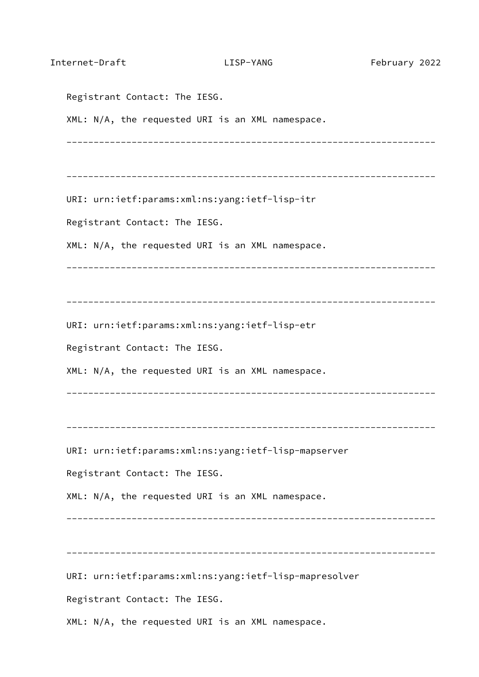| Internet-Draft                | LISP-YANG                                              | February 2022 |
|-------------------------------|--------------------------------------------------------|---------------|
| Registrant Contact: The IESG. |                                                        |               |
|                               | XML: N/A, the requested URI is an XML namespace.       |               |
|                               |                                                        |               |
|                               | URI: urn:ietf:params:xml:ns:yang:ietf-lisp-itr         |               |
| Registrant Contact: The IESG. |                                                        |               |
|                               | XML: N/A, the requested URI is an XML namespace.       |               |
|                               |                                                        |               |
|                               | URI: urn:ietf:params:xml:ns:yang:ietf-lisp-etr         |               |
| Registrant Contact: The IESG. |                                                        |               |
|                               | XML: N/A, the requested URI is an XML namespace.       |               |
|                               |                                                        |               |
|                               | URI: urn:ietf:params:xml:ns:yang:ietf-lisp-mapserver   |               |
| Registrant Contact: The IESG. |                                                        |               |
|                               | XML: N/A, the requested URI is an XML namespace.       |               |
|                               |                                                        |               |
|                               | URI: urn:ietf:params:xml:ns:yang:ietf-lisp-mapresolver |               |
| Registrant Contact: The IESG. |                                                        |               |
|                               | XML: N/A, the requested URI is an XML namespace.       |               |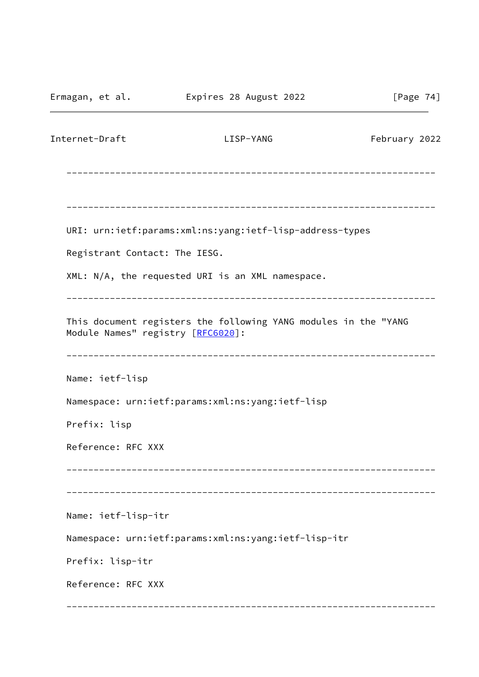Ermagan, et al. Expires 28 August 2022 [Page 74] Internet-Draft LISP-YANG February 2022 -------------------------------------------------------------------- -------------------------------------------------------------------- URI: urn:ietf:params:xml:ns:yang:ietf-lisp-address-types Registrant Contact: The IESG. XML: N/A, the requested URI is an XML namespace. -------------------------------------------------------------------- This document registers the following YANG modules in the "YANG Module Names" registry [\[RFC6020](https://datatracker.ietf.org/doc/pdf/rfc6020)]: -------------------------------------------------------------------- Name: ietf-lisp Namespace: urn:ietf:params:xml:ns:yang:ietf-lisp Prefix: lisp Reference: RFC XXX -------------------------------------------------------------------- -------------------------------------------------------------------- Name: ietf-lisp-itr Namespace: urn:ietf:params:xml:ns:yang:ietf-lisp-itr Prefix: lisp-itr Reference: RFC XXX --------------------------------------------------------------------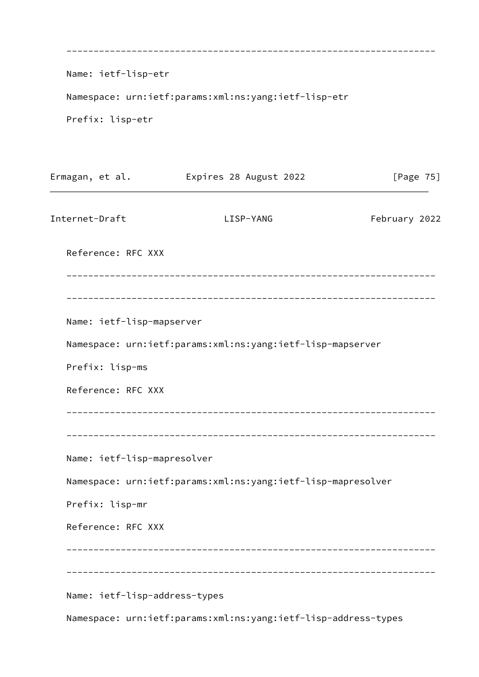| Name: ietf-lisp-etr           |                                                                |               |
|-------------------------------|----------------------------------------------------------------|---------------|
|                               | Namespace: urn:ietf:params:xml:ns:yang:ietf-lisp-etr           |               |
| Prefix: lisp-etr              |                                                                |               |
|                               |                                                                |               |
| Ermagan, et al.               | Expires 28 August 2022                                         | [Page $75$ ]  |
| Internet-Draft                | LISP-YANG                                                      | February 2022 |
| Reference: RFC XXX            |                                                                |               |
|                               |                                                                |               |
| Name: ietf-lisp-mapserver     |                                                                |               |
|                               | Namespace: urn:ietf:params:xml:ns:yang:ietf-lisp-mapserver     |               |
| Prefix: lisp-ms               |                                                                |               |
| Reference: RFC XXX            |                                                                |               |
|                               |                                                                |               |
| Name: ietf-lisp-mapresolver   |                                                                |               |
|                               | Namespace: urn:ietf:params:xml:ns:yang:ietf-lisp-mapresolver   |               |
| Prefix: lisp-mr               |                                                                |               |
| Reference: RFC XXX            |                                                                |               |
|                               |                                                                |               |
| Name: ietf-lisp-address-types |                                                                |               |
|                               | Namespace: urn:ietf:params:xml:ns:yang:ietf-lisp-address-types |               |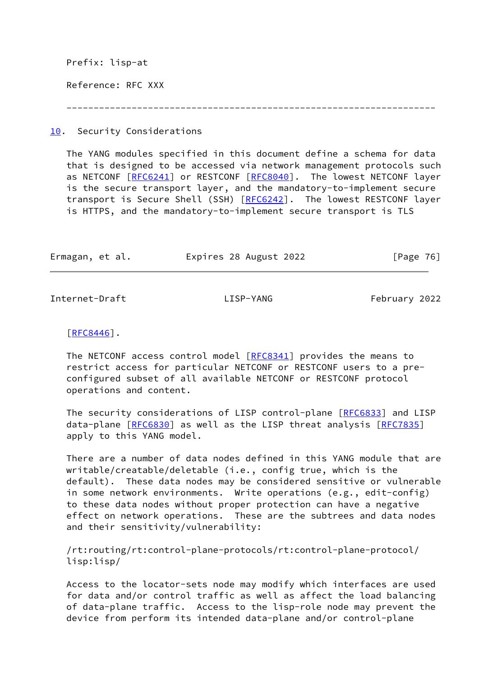Prefix: lisp-at Reference: RFC XXX --------------------------------------------------------------------

<span id="page-86-0"></span>[10.](#page-86-0) Security Considerations

 The YANG modules specified in this document define a schema for data that is designed to be accessed via network management protocols such as NETCONF [[RFC6241\]](https://datatracker.ietf.org/doc/pdf/rfc6241) or RESTCONF [\[RFC8040](https://datatracker.ietf.org/doc/pdf/rfc8040)]. The lowest NETCONF layer is the secure transport layer, and the mandatory-to-implement secure transport is Secure Shell (SSH) [\[RFC6242](https://datatracker.ietf.org/doc/pdf/rfc6242)]. The lowest RESTCONF layer is HTTPS, and the mandatory-to-implement secure transport is TLS

| Ermagan, et al. | Expires 28 August 2022 | [Page 76] |
|-----------------|------------------------|-----------|
|                 |                        |           |

Internet-Draft LISP-YANG February 2022

 $[REC8446]$ .

The NETCONF access control model [\[RFC8341](https://datatracker.ietf.org/doc/pdf/rfc8341)] provides the means to restrict access for particular NETCONF or RESTCONF users to a pre configured subset of all available NETCONF or RESTCONF protocol operations and content.

 The security considerations of LISP control-plane [[RFC6833](https://datatracker.ietf.org/doc/pdf/rfc6833)] and LISP data-plane [[RFC6830\]](https://datatracker.ietf.org/doc/pdf/rfc6830) as well as the LISP threat analysis [\[RFC7835](https://datatracker.ietf.org/doc/pdf/rfc7835)] apply to this YANG model.

 There are a number of data nodes defined in this YANG module that are writable/creatable/deletable (i.e., config true, which is the default). These data nodes may be considered sensitive or vulnerable in some network environments. Write operations (e.g., edit-config) to these data nodes without proper protection can have a negative effect on network operations. These are the subtrees and data nodes and their sensitivity/vulnerability:

 /rt:routing/rt:control-plane-protocols/rt:control-plane-protocol/ lisp:lisp/

 Access to the locator-sets node may modify which interfaces are used for data and/or control traffic as well as affect the load balancing of data-plane traffic. Access to the lisp-role node may prevent the device from perform its intended data-plane and/or control-plane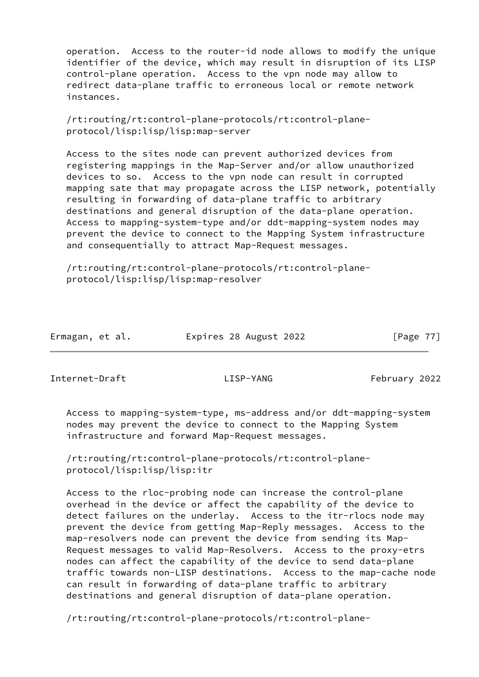operation. Access to the router-id node allows to modify the unique identifier of the device, which may result in disruption of its LISP control-plane operation. Access to the vpn node may allow to redirect data-plane traffic to erroneous local or remote network instances.

 /rt:routing/rt:control-plane-protocols/rt:control-plane protocol/lisp:lisp/lisp:map-server

 Access to the sites node can prevent authorized devices from registering mappings in the Map-Server and/or allow unauthorized devices to so. Access to the vpn node can result in corrupted mapping sate that may propagate across the LISP network, potentially resulting in forwarding of data-plane traffic to arbitrary destinations and general disruption of the data-plane operation. Access to mapping-system-type and/or ddt-mapping-system nodes may prevent the device to connect to the Mapping System infrastructure and consequentially to attract Map-Request messages.

 /rt:routing/rt:control-plane-protocols/rt:control-plane protocol/lisp:lisp/lisp:map-resolver

| Ermagan, et al. | Expires 28 August 2022 | [Page 77] |
|-----------------|------------------------|-----------|
|                 |                        |           |

Internet-Draft LISP-YANG February 2022

 Access to mapping-system-type, ms-address and/or ddt-mapping-system nodes may prevent the device to connect to the Mapping System infrastructure and forward Map-Request messages.

 /rt:routing/rt:control-plane-protocols/rt:control-plane protocol/lisp:lisp/lisp:itr

 Access to the rloc-probing node can increase the control-plane overhead in the device or affect the capability of the device to detect failures on the underlay. Access to the itr-rlocs node may prevent the device from getting Map-Reply messages. Access to the map-resolvers node can prevent the device from sending its Map- Request messages to valid Map-Resolvers. Access to the proxy-etrs nodes can affect the capability of the device to send data-plane traffic towards non-LISP destinations. Access to the map-cache node can result in forwarding of data-plane traffic to arbitrary destinations and general disruption of data-plane operation.

/rt:routing/rt:control-plane-protocols/rt:control-plane-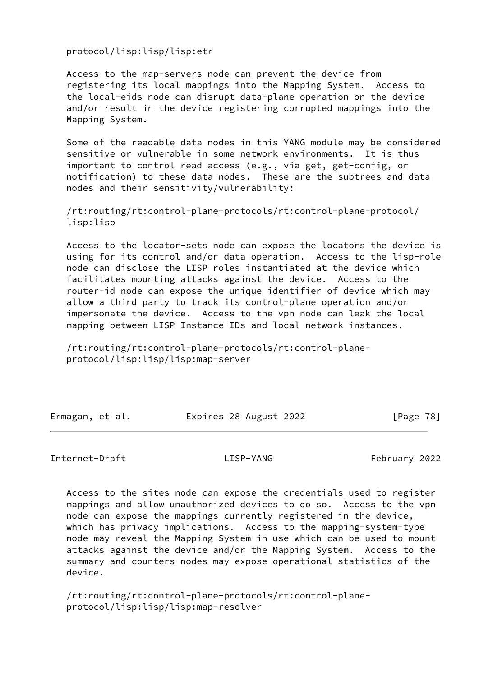protocol/lisp:lisp/lisp:etr

 Access to the map-servers node can prevent the device from registering its local mappings into the Mapping System. Access to the local-eids node can disrupt data-plane operation on the device and/or result in the device registering corrupted mappings into the Mapping System.

 Some of the readable data nodes in this YANG module may be considered sensitive or vulnerable in some network environments. It is thus important to control read access (e.g., via get, get-config, or notification) to these data nodes. These are the subtrees and data nodes and their sensitivity/vulnerability:

 /rt:routing/rt:control-plane-protocols/rt:control-plane-protocol/ lisp:lisp

 Access to the locator-sets node can expose the locators the device is using for its control and/or data operation. Access to the lisp-role node can disclose the LISP roles instantiated at the device which facilitates mounting attacks against the device. Access to the router-id node can expose the unique identifier of device which may allow a third party to track its control-plane operation and/or impersonate the device. Access to the vpn node can leak the local mapping between LISP Instance IDs and local network instances.

 /rt:routing/rt:control-plane-protocols/rt:control-plane protocol/lisp:lisp/lisp:map-server

| Ermagan, et al. | Expires 28 August 2022 | [Page 78] |
|-----------------|------------------------|-----------|

## Internet-Draft LISP-YANG February 2022

 Access to the sites node can expose the credentials used to register mappings and allow unauthorized devices to do so. Access to the vpn node can expose the mappings currently registered in the device, which has privacy implications. Access to the mapping-system-type node may reveal the Mapping System in use which can be used to mount attacks against the device and/or the Mapping System. Access to the summary and counters nodes may expose operational statistics of the device.

 /rt:routing/rt:control-plane-protocols/rt:control-plane protocol/lisp:lisp/lisp:map-resolver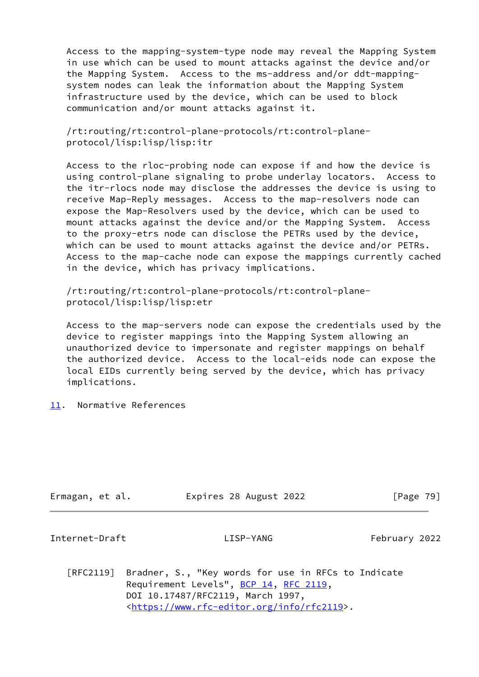Access to the mapping-system-type node may reveal the Mapping System in use which can be used to mount attacks against the device and/or the Mapping System. Access to the ms-address and/or ddt-mapping system nodes can leak the information about the Mapping System infrastructure used by the device, which can be used to block communication and/or mount attacks against it.

 /rt:routing/rt:control-plane-protocols/rt:control-plane protocol/lisp:lisp/lisp:itr

 Access to the rloc-probing node can expose if and how the device is using control-plane signaling to probe underlay locators. Access to the itr-rlocs node may disclose the addresses the device is using to receive Map-Reply messages. Access to the map-resolvers node can expose the Map-Resolvers used by the device, which can be used to mount attacks against the device and/or the Mapping System. Access to the proxy-etrs node can disclose the PETRs used by the device, which can be used to mount attacks against the device and/or PETRs. Access to the map-cache node can expose the mappings currently cached in the device, which has privacy implications.

 /rt:routing/rt:control-plane-protocols/rt:control-plane protocol/lisp:lisp/lisp:etr

 Access to the map-servers node can expose the credentials used by the device to register mappings into the Mapping System allowing an unauthorized device to impersonate and register mappings on behalf the authorized device. Access to the local-eids node can expose the local EIDs currently being served by the device, which has privacy implications.

<span id="page-89-0"></span>[11.](#page-89-0) Normative References

| Ermagan, et al. | Expires 28 August 2022 | [Page 79] |
|-----------------|------------------------|-----------|

Internet-Draft LISP-YANG February 2022

 [RFC2119] Bradner, S., "Key words for use in RFCs to Indicate Requirement Levels", [BCP 14](https://datatracker.ietf.org/doc/pdf/bcp14), [RFC 2119](https://datatracker.ietf.org/doc/pdf/rfc2119), DOI 10.17487/RFC2119, March 1997, <[https://www.rfc-editor.org/info/rfc2119>](https://www.rfc-editor.org/info/rfc2119).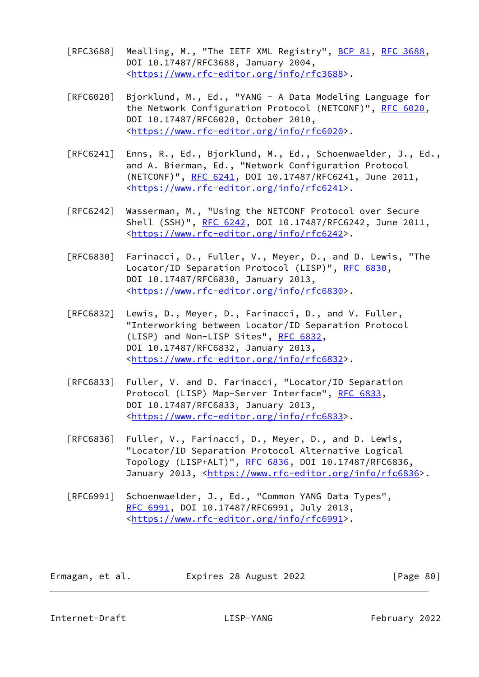- [RFC3688] Mealling, M., "The IETF XML Registry", [BCP 81](https://datatracker.ietf.org/doc/pdf/bcp81), [RFC 3688](https://datatracker.ietf.org/doc/pdf/rfc3688), DOI 10.17487/RFC3688, January 2004, <[https://www.rfc-editor.org/info/rfc3688>](https://www.rfc-editor.org/info/rfc3688).
- [RFC6020] Bjorklund, M., Ed., "YANG A Data Modeling Language for the Network Configuration Protocol (NETCONF)", [RFC 6020](https://datatracker.ietf.org/doc/pdf/rfc6020), DOI 10.17487/RFC6020, October 2010, <[https://www.rfc-editor.org/info/rfc6020>](https://www.rfc-editor.org/info/rfc6020).
- [RFC6241] Enns, R., Ed., Bjorklund, M., Ed., Schoenwaelder, J., Ed., and A. Bierman, Ed., "Network Configuration Protocol (NETCONF)", [RFC 6241,](https://datatracker.ietf.org/doc/pdf/rfc6241) DOI 10.17487/RFC6241, June 2011, <[https://www.rfc-editor.org/info/rfc6241>](https://www.rfc-editor.org/info/rfc6241).
- [RFC6242] Wasserman, M., "Using the NETCONF Protocol over Secure Shell (SSH)", [RFC 6242](https://datatracker.ietf.org/doc/pdf/rfc6242), DOI 10.17487/RFC6242, June 2011, <[https://www.rfc-editor.org/info/rfc6242>](https://www.rfc-editor.org/info/rfc6242).
- [RFC6830] Farinacci, D., Fuller, V., Meyer, D., and D. Lewis, "The Locator/ID Separation Protocol (LISP)", [RFC 6830,](https://datatracker.ietf.org/doc/pdf/rfc6830) DOI 10.17487/RFC6830, January 2013, <[https://www.rfc-editor.org/info/rfc6830>](https://www.rfc-editor.org/info/rfc6830).
- [RFC6832] Lewis, D., Meyer, D., Farinacci, D., and V. Fuller, "Interworking between Locator/ID Separation Protocol (LISP) and Non-LISP Sites", [RFC 6832,](https://datatracker.ietf.org/doc/pdf/rfc6832) DOI 10.17487/RFC6832, January 2013, <[https://www.rfc-editor.org/info/rfc6832>](https://www.rfc-editor.org/info/rfc6832).
- [RFC6833] Fuller, V. and D. Farinacci, "Locator/ID Separation Protocol (LISP) Map-Server Interface", [RFC 6833](https://datatracker.ietf.org/doc/pdf/rfc6833), DOI 10.17487/RFC6833, January 2013, <[https://www.rfc-editor.org/info/rfc6833>](https://www.rfc-editor.org/info/rfc6833).
- [RFC6836] Fuller, V., Farinacci, D., Meyer, D., and D. Lewis, "Locator/ID Separation Protocol Alternative Logical Topology (LISP+ALT)", [RFC 6836](https://datatracker.ietf.org/doc/pdf/rfc6836), DOI 10.17487/RFC6836, January 2013, [<https://www.rfc-editor.org/info/rfc6836](https://www.rfc-editor.org/info/rfc6836)>.
- [RFC6991] Schoenwaelder, J., Ed., "Common YANG Data Types", [RFC 6991,](https://datatracker.ietf.org/doc/pdf/rfc6991) DOI 10.17487/RFC6991, July 2013, <[https://www.rfc-editor.org/info/rfc6991>](https://www.rfc-editor.org/info/rfc6991).

| Ermagan, et al. | Expires 28 August 2022 | [Page 80] |
|-----------------|------------------------|-----------|
|-----------------|------------------------|-----------|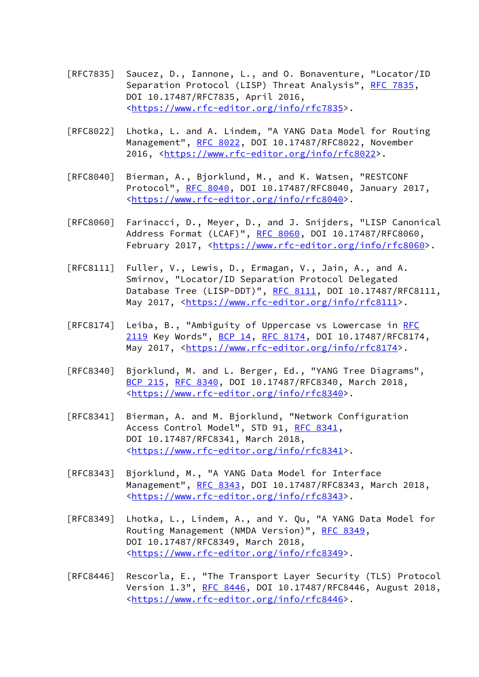- [RFC7835] Saucez, D., Iannone, L., and O. Bonaventure, "Locator/ID Separation Protocol (LISP) Threat Analysis", [RFC 7835](https://datatracker.ietf.org/doc/pdf/rfc7835), DOI 10.17487/RFC7835, April 2016, <[https://www.rfc-editor.org/info/rfc7835>](https://www.rfc-editor.org/info/rfc7835).
- [RFC8022] Lhotka, L. and A. Lindem, "A YANG Data Model for Routing Management", [RFC 8022](https://datatracker.ietf.org/doc/pdf/rfc8022), DOI 10.17487/RFC8022, November 2016, [<https://www.rfc-editor.org/info/rfc8022](https://www.rfc-editor.org/info/rfc8022)>.
- [RFC8040] Bierman, A., Bjorklund, M., and K. Watsen, "RESTCONF Protocol", [RFC 8040](https://datatracker.ietf.org/doc/pdf/rfc8040), DOI 10.17487/RFC8040, January 2017, <[https://www.rfc-editor.org/info/rfc8040>](https://www.rfc-editor.org/info/rfc8040).
- [RFC8060] Farinacci, D., Meyer, D., and J. Snijders, "LISP Canonical Address Format (LCAF)", [RFC 8060,](https://datatracker.ietf.org/doc/pdf/rfc8060) DOI 10.17487/RFC8060, February 2017, <<https://www.rfc-editor.org/info/rfc8060>>.
- [RFC8111] Fuller, V., Lewis, D., Ermagan, V., Jain, A., and A. Smirnov, "Locator/ID Separation Protocol Delegated Database Tree (LISP-DDT)", [RFC 8111](https://datatracker.ietf.org/doc/pdf/rfc8111), DOI 10.17487/RFC8111, May 2017, [<https://www.rfc-editor.org/info/rfc8111](https://www.rfc-editor.org/info/rfc8111)>.
- [RFC8174] Leiba, B., "Ambiguity of Uppercase vs Lowercase in [RFC](https://datatracker.ietf.org/doc/pdf/rfc2119) [2119](https://datatracker.ietf.org/doc/pdf/rfc2119) Key Words", [BCP 14](https://datatracker.ietf.org/doc/pdf/bcp14), [RFC 8174,](https://datatracker.ietf.org/doc/pdf/rfc8174) DOI 10.17487/RFC8174, May 2017, [<https://www.rfc-editor.org/info/rfc8174](https://www.rfc-editor.org/info/rfc8174)>.
- [RFC8340] Bjorklund, M. and L. Berger, Ed., "YANG Tree Diagrams", [BCP 215](https://datatracker.ietf.org/doc/pdf/bcp215), [RFC 8340,](https://datatracker.ietf.org/doc/pdf/rfc8340) DOI 10.17487/RFC8340, March 2018, <[https://www.rfc-editor.org/info/rfc8340>](https://www.rfc-editor.org/info/rfc8340).
- [RFC8341] Bierman, A. and M. Bjorklund, "Network Configuration Access Control Model", STD 91, [RFC 8341](https://datatracker.ietf.org/doc/pdf/rfc8341), DOI 10.17487/RFC8341, March 2018, <[https://www.rfc-editor.org/info/rfc8341>](https://www.rfc-editor.org/info/rfc8341).
- [RFC8343] Bjorklund, M., "A YANG Data Model for Interface Management", [RFC 8343](https://datatracker.ietf.org/doc/pdf/rfc8343), DOI 10.17487/RFC8343, March 2018, <[https://www.rfc-editor.org/info/rfc8343>](https://www.rfc-editor.org/info/rfc8343).
- [RFC8349] Lhotka, L., Lindem, A., and Y. Qu, "A YANG Data Model for Routing Management (NMDA Version)", [RFC 8349,](https://datatracker.ietf.org/doc/pdf/rfc8349) DOI 10.17487/RFC8349, March 2018, <[https://www.rfc-editor.org/info/rfc8349>](https://www.rfc-editor.org/info/rfc8349).
- [RFC8446] Rescorla, E., "The Transport Layer Security (TLS) Protocol Version 1.3", [RFC 8446](https://datatracker.ietf.org/doc/pdf/rfc8446), DOI 10.17487/RFC8446, August 2018, <[https://www.rfc-editor.org/info/rfc8446>](https://www.rfc-editor.org/info/rfc8446).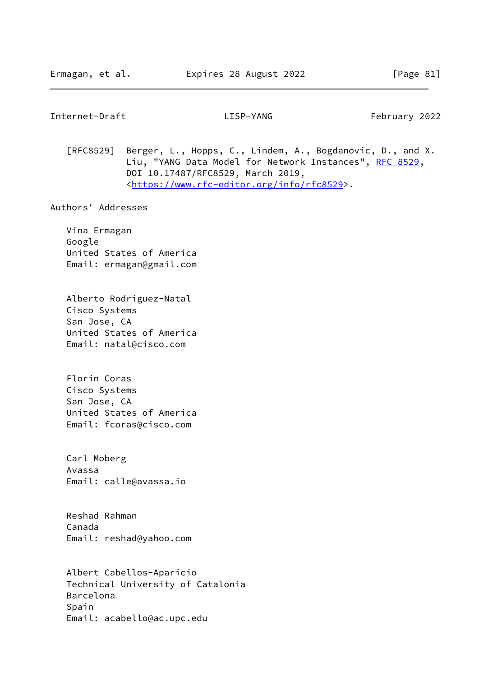Internet-Draft LISP-YANG February 2022

 [RFC8529] Berger, L., Hopps, C., Lindem, A., Bogdanovic, D., and X. Liu, "YANG Data Model for Network Instances", [RFC 8529](https://datatracker.ietf.org/doc/pdf/rfc8529), DOI 10.17487/RFC8529, March 2019, <[https://www.rfc-editor.org/info/rfc8529>](https://www.rfc-editor.org/info/rfc8529).

Authors' Addresses

 Vina Ermagan Google United States of America Email: ermagan@gmail.com

 Alberto Rodriguez-Natal Cisco Systems San Jose, CA United States of America Email: natal@cisco.com

 Florin Coras Cisco Systems San Jose, CA United States of America Email: fcoras@cisco.com

 Carl Moberg Avassa Email: calle@avassa.io

 Reshad Rahman Canada Email: reshad@yahoo.com

 Albert Cabellos-Aparicio Technical University of Catalonia Barcelona Spain Email: acabello@ac.upc.edu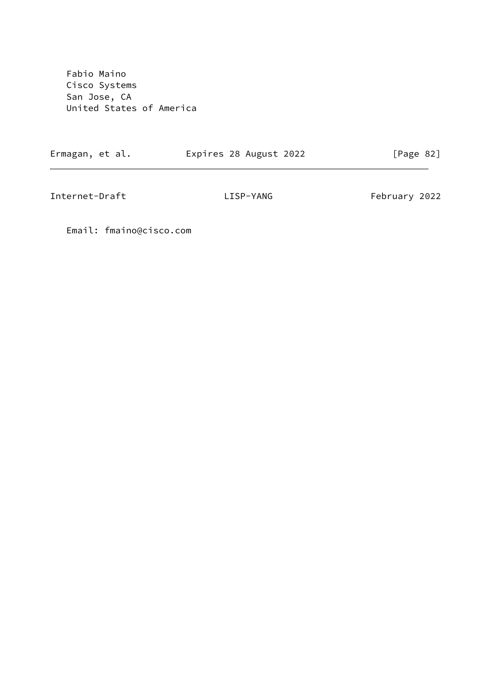Fabio Maino Cisco Systems San Jose, CA United States of America

Ermagan, et al. Expires 28 August 2022 [Page 82]

 $\overline{\phantom{0}}$ 

Internet-Draft LISP-YANG February 2022

Email: fmaino@cisco.com